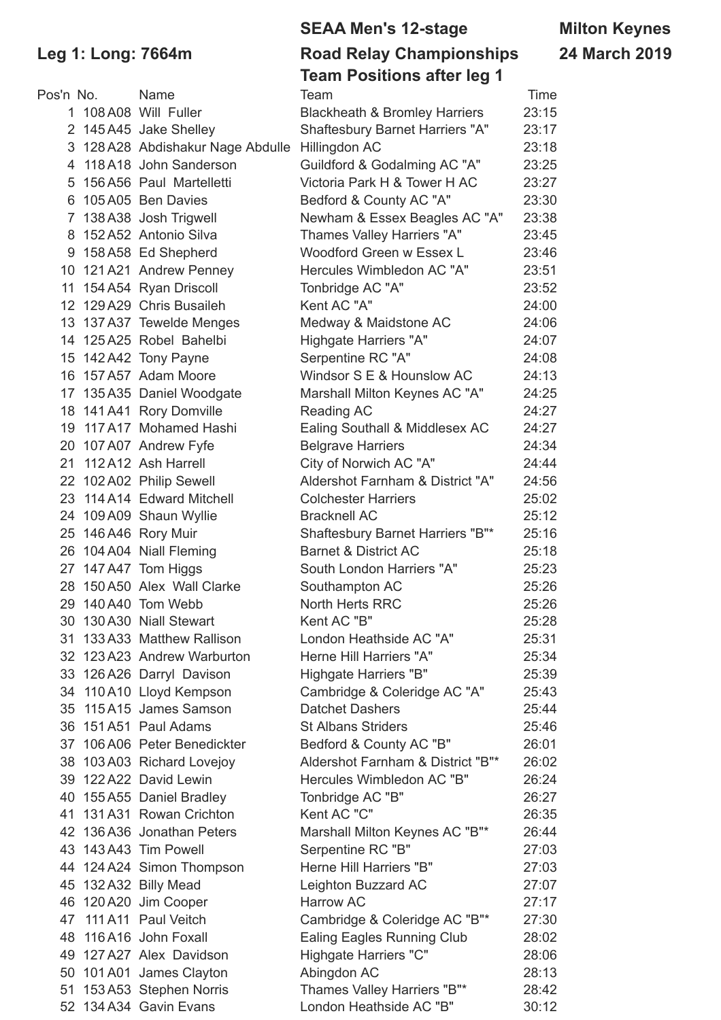| <sup>o</sup> os'n No. | Name                                            | Team                                     | Time  |
|-----------------------|-------------------------------------------------|------------------------------------------|-------|
|                       | 1 108 A08 Will Fuller                           | <b>Blackheath &amp; Bromley Harriers</b> | 23:15 |
|                       | 2 145 A45 Jake Shelley                          | Shaftesbury Barnet Harriers "A"          | 23:17 |
|                       | 3 128 A28 Abdishakur Nage Abdulle Hillingdon AC |                                          | 23:18 |
| 4                     | 118A18 John Sanderson                           | Guildford & Godalming AC "A"             | 23:25 |
| 5                     | 156 A56 Paul Martelletti                        | Victoria Park H & Tower H AC             | 23:27 |
|                       | 6 105 A05 Ben Davies                            | Bedford & County AC "A"                  | 23:30 |
| 7                     | 138 A38 Josh Trigwell                           | Newham & Essex Beagles AC "A"            | 23:38 |
|                       | 8 152 A52 Antonio Silva                         | Thames Valley Harriers "A"               | 23:45 |
|                       | 9 158 A58 Ed Shepherd                           | Woodford Green w Essex L                 | 23:46 |
|                       | 10 121 A21 Andrew Penney                        | Hercules Wimbledon AC "A"                | 23:51 |
|                       | 11 154 A54 Ryan Driscoll                        | Tonbridge AC "A"                         | 23:52 |
|                       | 12 129 A29 Chris Busaileh                       | Kent AC "A"                              | 24:00 |
|                       | 13 137 A37 Tewelde Menges                       | Medway & Maidstone AC                    | 24:06 |
|                       | 14 125 A25 Robel Bahelbi                        | Highgate Harriers "A"                    | 24:07 |
|                       | 15 142 A42 Tony Payne                           | Serpentine RC "A"                        | 24:08 |
|                       | 16 157 A57 Adam Moore                           | Windsor S E & Hounslow AC                | 24:13 |
|                       | 17 135 A35 Daniel Woodgate                      | Marshall Milton Keynes AC "A"            | 24:25 |
|                       | 18 141 A41 Rory Domville                        | Reading AC                               | 24:27 |
| 19                    | 117A17 Mohamed Hashi                            | Ealing Southall & Middlesex AC           | 24:27 |
|                       | 20 107 A07 Andrew Fyfe                          | <b>Belgrave Harriers</b>                 | 24:34 |
|                       | 21 112 A12 Ash Harrell                          | City of Norwich AC "A"                   | 24:44 |
|                       | 22 102 A02 Philip Sewell                        | Aldershot Farnham & District "A"         | 24:56 |
|                       | 23 114 A14 Edward Mitchell                      | <b>Colchester Harriers</b>               | 25:02 |
|                       | 24 109 A09 Shaun Wyllie                         | <b>Bracknell AC</b>                      | 25:12 |
|                       | 25 146 A46 Rory Muir                            | Shaftesbury Barnet Harriers "B"*         | 25:16 |
|                       | 26 104 A04 Niall Fleming                        | <b>Barnet &amp; District AC</b>          | 25:18 |
|                       | 27 147 A47 Tom Higgs                            | South London Harriers "A"                | 25:23 |
|                       | 28 150 A50 Alex Wall Clarke                     | Southampton AC                           | 25:26 |
|                       | 29 140 A40 Tom Webb                             | North Herts RRC                          |       |
|                       | 30 130 A30 Niall Stewart                        |                                          | 25:26 |
|                       |                                                 | Kent AC "B"                              | 25:28 |
|                       | 31 133 A33 Matthew Rallison                     | London Heathside AC "A"                  | 25:31 |
|                       | 32 123 A23 Andrew Warburton                     | Herne Hill Harriers "A"                  | 25:34 |
|                       | 33 126 A26 Darryl Davison                       | Highgate Harriers "B"                    | 25:39 |
|                       | 34 110 A10 Lloyd Kempson                        | Cambridge & Coleridge AC "A"             | 25:43 |
|                       | 35 115A15 James Samson                          | <b>Datchet Dashers</b>                   | 25:44 |
|                       | 36 151 A51 Paul Adams                           | <b>St Albans Striders</b>                | 25:46 |
|                       | 37 106 A06 Peter Benedickter                    | Bedford & County AC "B"                  | 26:01 |
|                       | 38 103 A03 Richard Lovejoy                      | Aldershot Farnham & District "B"*        | 26:02 |
|                       | 39 122 A22 David Lewin                          | Hercules Wimbledon AC "B"                | 26:24 |
|                       | 40 155 A55 Daniel Bradley                       | Tonbridge AC "B"                         | 26:27 |
|                       | 41 131 A31 Rowan Crichton                       | Kent AC "C"                              | 26:35 |
|                       | 42 136 A36 Jonathan Peters                      | Marshall Milton Keynes AC "B"*           | 26:44 |
|                       | 43 143 A43 Tim Powell                           | Serpentine RC "B"                        | 27:03 |
|                       | 44 124 A24 Simon Thompson                       | Herne Hill Harriers "B"                  | 27:03 |
|                       | 45 132 A32 Billy Mead                           | Leighton Buzzard AC                      | 27:07 |
|                       | 46 120 A20 Jim Cooper                           | Harrow AC                                | 27:17 |
|                       | 47 111 A11 Paul Veitch                          | Cambridge & Coleridge AC "B"*            | 27:30 |
|                       | 48 116 A16 John Foxall                          | Ealing Eagles Running Club               | 28:02 |
|                       | 49 127 A27 Alex Davidson                        | Highgate Harriers "C"                    | 28:06 |
|                       | 50 101 A01 James Clayton                        | Abingdon AC                              | 28:13 |
|                       | 51 153 A53 Stephen Norris                       | Thames Valley Harriers "B"*              | 28:42 |
|                       | 52 134 A34 Gavin Evans                          | London Heathside AC "B"                  | 30:12 |

# **SEAA Men's 12-stage Milton Keynes**

### **Leg 1: Long: 7664m Road Relay Championships 24 March 2019 Team Positions after leg 1**

| Pos'n No. | <b>Name</b>                                     | Team                                     | Time           |
|-----------|-------------------------------------------------|------------------------------------------|----------------|
|           | 1 108 A08 Will Fuller                           | <b>Blackheath &amp; Bromley Harriers</b> | 23:15          |
|           | 2 145 A45 Jake Shelley                          | <b>Shaftesbury Barnet Harriers "A"</b>   | 23:17          |
|           | 3 128 A28 Abdishakur Nage Abdulle               | Hillingdon AC                            | 23:18          |
|           | 4 118 A18 John Sanderson                        | Guildford & Godalming AC "A"             | 23:25          |
|           | 5 156 A56 Paul Martelletti                      | Victoria Park H & Tower H AC             | 23:27          |
| 6         | 105A05 Ben Davies                               | Bedford & County AC "A"                  | 23:30          |
|           | 7 138 A38 Josh Trigwell                         | Newham & Essex Beagles AC "A"            | 23:38          |
|           | 8 152 A52 Antonio Silva                         | Thames Valley Harriers "A"               | 23:45          |
|           | 9 158 A58 Ed Shepherd                           | Woodford Green w Essex L                 | 23:46          |
|           | 10 121 A21 Andrew Penney                        | Hercules Wimbledon AC "A"                | 23:51          |
|           | 11 154 A54 Ryan Driscoll                        | Tonbridge AC "A"                         | 23:52          |
|           | 12 129 A29 Chris Busaileh                       | Kent AC "A"                              | 24:00          |
|           | 13 137 A37 Tewelde Menges                       | Medway & Maidstone AC                    | 24:06          |
|           | 14 125 A25 Robel Bahelbi                        | Highgate Harriers "A"                    | 24:07          |
|           | 15 142 A42 Tony Payne                           | Serpentine RC "A"                        | 24:08          |
|           | 16 157 A57 Adam Moore                           | Windsor S E & Hounslow AC                | 24:13          |
|           | 17 135 A35 Daniel Woodgate                      | Marshall Milton Keynes AC "A"            | 24:25          |
|           | 18 141 A41 Rory Domville                        | Reading AC                               | 24:27          |
|           | 19 117 A17 Mohamed Hashi                        | Ealing Southall & Middlesex AC           | 24:27          |
|           | 20 107 A07 Andrew Fyfe                          | <b>Belgrave Harriers</b>                 | 24:34          |
|           | 21 112 A12 Ash Harrell                          | City of Norwich AC "A"                   | 24:44          |
|           | 22 102 A02 Philip Sewell                        | Aldershot Farnham & District "A"         | 24:56          |
|           | 23 114 A14 Edward Mitchell                      | <b>Colchester Harriers</b>               | 25:02          |
|           | 24 109 A09 Shaun Wyllie                         | <b>Bracknell AC</b>                      | 25:12          |
|           | 25 146 A46 Rory Muir                            | Shaftesbury Barnet Harriers "B"*         | 25:16          |
|           | 26 104 A04 Niall Fleming                        | <b>Barnet &amp; District AC</b>          | 25:18          |
|           | 27 147 A47 Tom Higgs                            | South London Harriers "A"                | 25:23          |
|           | 28 150 A50 Alex Wall Clarke                     | Southampton AC                           | 25:26          |
|           | 29 140 A40 Tom Webb                             | North Herts RRC                          | 25:26          |
|           | 30 130 A30 Niall Stewart                        | Kent AC "B"                              | 25:28          |
|           | 31 133 A33 Matthew Rallison                     | London Heathside AC "A"                  | 25:31          |
|           | 32 123 A23 Andrew Warburton                     | Herne Hill Harriers "A"                  | 25:34          |
|           | 33 126 A26 Darryl Davison                       | Highgate Harriers "B"                    | 25:39          |
|           | 34 110 A10 Lloyd Kempson                        | Cambridge & Coleridge AC "A"             | 25:43          |
|           | 35 115A15 James Samson                          | <b>Datchet Dashers</b>                   | 25:44          |
|           | 36 151 A51 Paul Adams                           | <b>St Albans Striders</b>                | 25:46          |
|           | 37 106 A06 Peter Benedickter                    | Bedford & County AC "B"                  | 26:01          |
|           | 38 103 A03 Richard Lovejoy                      | Aldershot Farnham & District "B"*        | 26:02          |
|           | 39 122 A22 David Lewin                          | Hercules Wimbledon AC "B"                | 26:24          |
|           | 40 155 A55 Daniel Bradley                       | Tonbridge AC "B"                         | 26:27          |
|           | 41 131 A31 Rowan Crichton                       | Kent AC "C"                              | 26:35          |
|           | 42 136 A36 Jonathan Peters                      | Marshall Milton Keynes AC "B"*           | 26:44          |
|           | 43 143 A43 Tim Powell                           | Serpentine RC "B"                        | 27:03          |
|           | 44 124 A24 Simon Thompson                       | Herne Hill Harriers "B"                  | 27:03<br>27:07 |
|           | 45 132 A32 Billy Mead                           | Leighton Buzzard AC<br>Harrow AC         | 27:17          |
|           | 46 120 A20 Jim Cooper<br>47 111 A11 Paul Veitch | Cambridge & Coleridge AC "B"*            | 27:30          |
|           | 48 116 A16 John Foxall                          | <b>Ealing Eagles Running Club</b>        | 28:02          |
|           | 49 127 A27 Alex Davidson                        | Highgate Harriers "C"                    | 28:06          |
|           | 50 101 A01 James Clayton                        | Abingdon AC                              | 28:13          |
|           | 51 153 A53 Stephen Norris                       | Thames Valley Harriers "B"*              | 28:42          |
|           |                                                 |                                          |                |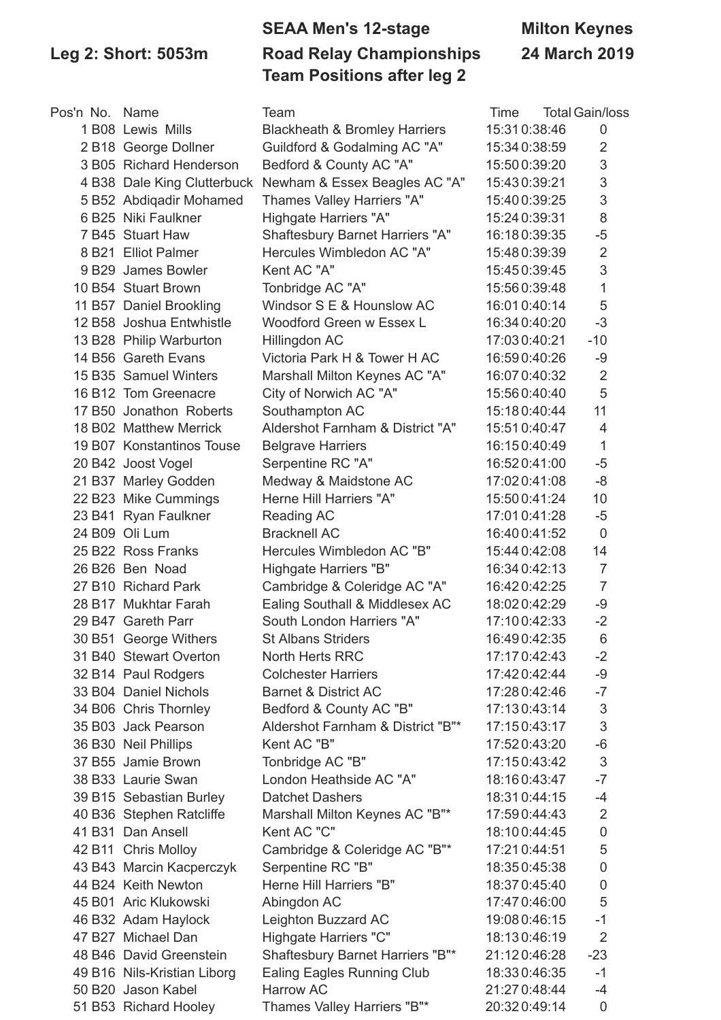## **SEAA Men's 12-stage Milton Keynes Leg 2: Short: 5053m Road Relay Championships 24 March 2019 Team Positions after leg 2**

| Pos'n No. Name |                             | Team                                     | Time          | <b>Total Gain/loss</b> |
|----------------|-----------------------------|------------------------------------------|---------------|------------------------|
|                | 1 B08 Lewis Mills           | <b>Blackheath &amp; Bromley Harriers</b> | 15:310:38:46  | 0                      |
|                | 2 B18 George Dollner        | Guildford & Godalming AC "A"             | 15:34 0:38:59 | $\overline{2}$         |
|                | 3 B05 Richard Henderson     | Bedford & County AC "A"                  | 15:50 0:39:20 | 3                      |
|                | 4 B38 Dale King Clutterbuck | Newham & Essex Beagles AC "A"            | 15:430:39:21  | $\sqrt{3}$             |
|                | 5 B52 Abdiqadir Mohamed     | Thames Valley Harriers "A"               | 15:40 0:39:25 | 3                      |
|                | 6 B25 Niki Faulkner         | Highgate Harriers "A"                    | 15:24 0:39:31 | 8                      |
|                | 7 B45 Stuart Haw            | <b>Shaftesbury Barnet Harriers "A"</b>   | 16:180:39:35  | $-5$                   |
|                | 8 B21 Elliot Palmer         | Hercules Wimbledon AC "A"                | 15:48 0:39:39 | $\overline{2}$         |
|                | 9 B29 James Bowler          | Kent AC "A"                              | 15:450:39:45  | 3                      |
|                | 10 B54 Stuart Brown         | Tonbridge AC "A"                         | 15:560:39:48  | $\mathbf 1$            |
|                | 11 B57 Daniel Brookling     | Windsor S E & Hounslow AC                | 16:01 0:40:14 | 5                      |
|                | 12 B58 Joshua Entwhistle    | Woodford Green w Essex L                 | 16:34 0:40:20 | $-3$                   |
|                | 13 B28 Philip Warburton     | Hillingdon AC                            | 17:030:40:21  | $-10$                  |
|                | 14 B56 Gareth Evans         | Victoria Park H & Tower H AC             | 16:590:40:26  | $-9$                   |
|                | 15 B35 Samuel Winters       | Marshall Milton Keynes AC "A"            | 16:07 0:40:32 | $\overline{2}$         |
|                | 16 B12 Tom Greenacre        | City of Norwich AC "A"                   | 15:560:40:40  | 5                      |
|                | 17 B50 Jonathon Roberts     | Southampton AC                           | 15:180:40:44  | 11                     |
|                | 18 B02 Matthew Merrick      | Aldershot Farnham & District "A"         | 15:510:40:47  | $\overline{4}$         |
|                | 19 B07 Konstantinos Touse   | <b>Belgrave Harriers</b>                 | 16:150:40:49  | 1                      |
|                | 20 B42 Joost Vogel          | Serpentine RC "A"                        | 16:520:41:00  | $-5$                   |
|                | 21 B37 Marley Godden        | Medway & Maidstone AC                    | 17:02 0:41:08 | $-8$                   |
|                | 22 B23 Mike Cummings        | Herne Hill Harriers "A"                  | 15:50 0:41:24 | 10                     |
|                | 23 B41 Ryan Faulkner        | Reading AC                               | 17:01 0:41:28 | $-5$                   |
|                | 24 B09 Oli Lum              | <b>Bracknell AC</b>                      | 16:400:41:52  | $\mathbf 0$            |
|                | 25 B22 Ross Franks          | Hercules Wimbledon AC "B"                | 15:44 0:42:08 | 14                     |
|                | 26 B26 Ben Noad             | Highgate Harriers "B"                    | 16:34 0:42:13 | $\overline{7}$         |
|                | 27 B10 Richard Park         | Cambridge & Coleridge AC "A"             | 16:420:42:25  | $\overline{7}$         |
|                | 28 B17 Mukhtar Farah        | Ealing Southall & Middlesex AC           | 18:020:42:29  | -9                     |
|                | 29 B47 Gareth Parr          | South London Harriers "A"                | 17:100:42:33  | $-2$                   |
|                | 30 B51 George Withers       | <b>St Albans Striders</b>                | 16:490:42:35  | 6                      |
|                | 31 B40 Stewart Overton      | <b>North Herts RRC</b>                   | 17:170:42:43  | $-2$                   |
|                | 32 B14 Paul Rodgers         | <b>Colchester Harriers</b>               | 17:420:42:44  | -9                     |
|                | 33 B04 Daniel Nichols       | <b>Barnet &amp; District AC</b>          | 17:280:42:46  | $-7$                   |
|                | 34 B06 Chris Thornley       | Bedford & County AC "B"                  | 17:130:43:14  | $\sqrt{3}$             |
|                | 35 B03 Jack Pearson         | Aldershot Farnham & District "B"*        | 17:150:43:17  | $\sqrt{3}$             |
|                | 36 B30 Neil Phillips        | Kent AC "B"                              | 17:520:43:20  | $-6$                   |
|                | 37 B55 Jamie Brown          | Tonbridge AC "B"                         | 17:150:43:42  | $\sqrt{3}$             |
|                | 38 B33 Laurie Swan          | London Heathside AC "A"                  | 18:160:43:47  | $-7$                   |
|                | 39 B15 Sebastian Burley     | <b>Datchet Dashers</b>                   | 18:310:44:15  | $-4$                   |
|                | 40 B36 Stephen Ratcliffe    | Marshall Milton Keynes AC "B"*           | 17:590:44:43  | $\overline{2}$         |
|                | 41 B31 Dan Ansell           | Kent AC "C"                              | 18:100:44:45  | $\mathsf{O}\xspace$    |
|                | 42 B11 Chris Molloy         | Cambridge & Coleridge AC "B"*            | 17:21 0:44:51 | 5                      |
|                | 43 B43 Marcin Kacperczyk    | Serpentine RC "B"                        | 18:350:45:38  | $\boldsymbol{0}$       |
|                | 44 B24 Keith Newton         | Herne Hill Harriers "B"                  | 18:370:45:40  | $\pmb{0}$              |
|                | 45 B01 Aric Klukowski       | Abingdon AC                              | 17:47 0:46:00 | 5                      |
|                | 46 B32 Adam Haylock         | Leighton Buzzard AC                      | 19:08 0:46:15 | $-1$                   |
|                | 47 B27 Michael Dan          | Highgate Harriers "C"                    | 18:130:46:19  | $\overline{2}$         |
|                | 48 B46 David Greenstein     | Shaftesbury Barnet Harriers "B"*         | 21:120:46:28  | $-23$                  |
|                | 49 B16 Nils-Kristian Liborg | Ealing Eagles Running Club               | 18:330:46:35  | $-1$                   |
|                | 50 B20 Jason Kabel          | <b>Harrow AC</b>                         | 21:27 0:48:44 | $-4$                   |
|                | 51 B53 Richard Hooley       | Thames Valley Harriers "B"*              | 20:320:49:14  | $\pmb{0}$              |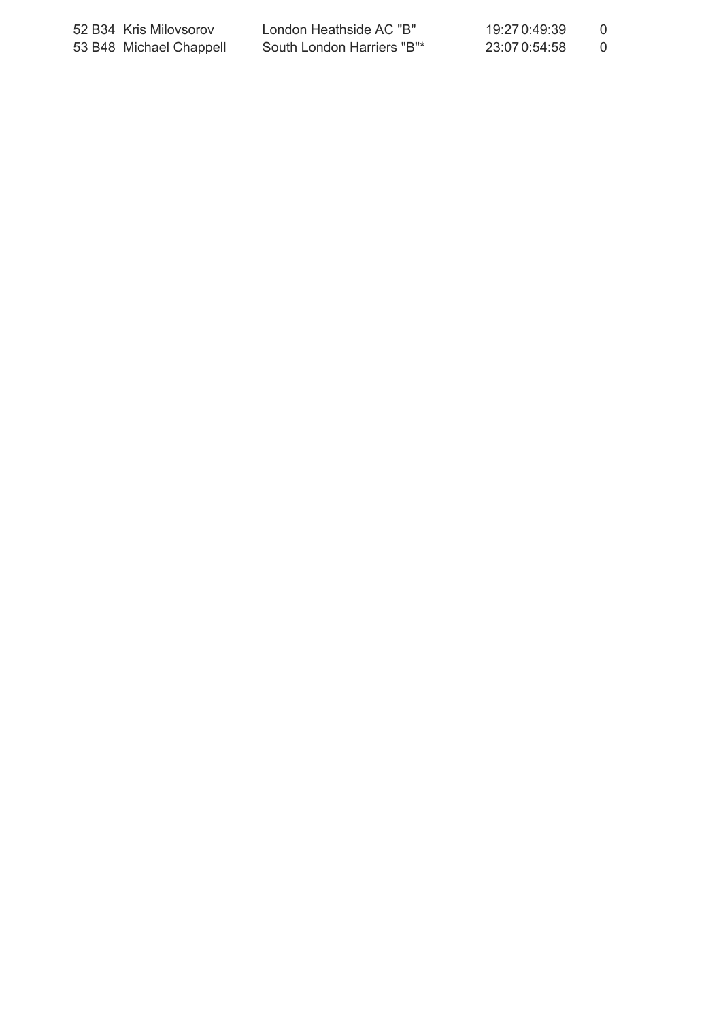| 52 B34 Kris Milovsorov  | London Heathside AC "B"    | 19:27 0:49:39 |  |
|-------------------------|----------------------------|---------------|--|
| 53 B48 Michael Chappell | South London Harriers "B"* | 23:07 0:54:58 |  |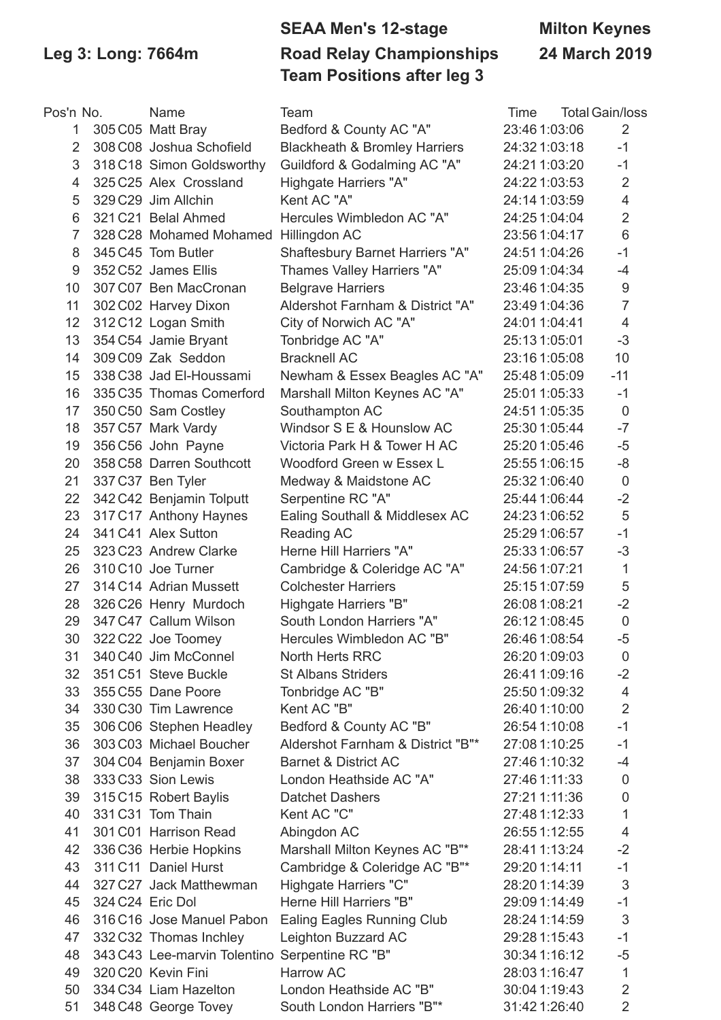## **SEAA Men's 12-stage Milton Keynes Leg 3: Long: 7664m Road Relay Championships 24 March 2019 Team Positions after leg 3**

| Pos'n No.      |                  | Name                                           | Team                                     | Time          | <b>Total Gain/loss</b>  |
|----------------|------------------|------------------------------------------------|------------------------------------------|---------------|-------------------------|
| 1              |                  | 305 C05 Matt Bray                              | Bedford & County AC "A"                  | 23:46 1:03:06 | $\overline{2}$          |
| 2              |                  | 308 C08 Joshua Schofield                       | <b>Blackheath &amp; Bromley Harriers</b> | 24:32 1:03:18 | $-1$                    |
| 3              |                  | 318 C18 Simon Goldsworthy                      | Guildford & Godalming AC "A"             | 24:211:03:20  | $-1$                    |
| $\overline{4}$ |                  | 325 C25 Alex Crossland                         | Highgate Harriers "A"                    | 24:22 1:03:53 | $\overline{2}$          |
| 5              |                  | 329 C29 Jim Allchin                            | Kent AC "A"                              | 24:14 1:03:59 | $\overline{\mathbf{4}}$ |
| 6              |                  | 321 C21 Belal Ahmed                            | Hercules Wimbledon AC "A"                | 24:251:04:04  | $\overline{2}$          |
| 7              |                  | 328 C28 Mohamed Mohamed Hillingdon AC          |                                          | 23:56 1:04:17 | 6                       |
| 8              |                  | 345 C45 Tom Butler                             | <b>Shaftesbury Barnet Harriers "A"</b>   | 24:51 1:04:26 | $-1$                    |
| 9              |                  | 352 C52 James Ellis                            | Thames Valley Harriers "A"               | 25:09 1:04:34 | $-4$                    |
| 10             |                  | 307 C07 Ben MacCronan                          | <b>Belgrave Harriers</b>                 | 23:46 1:04:35 | $\boldsymbol{9}$        |
| 11             |                  | 302 C02 Harvey Dixon                           | Aldershot Farnham & District "A"         | 23:49 1:04:36 | $\overline{7}$          |
| 12             |                  | 312 C12 Logan Smith                            | City of Norwich AC "A"                   | 24:01 1:04:41 | $\overline{4}$          |
| 13             |                  | 354 C54 Jamie Bryant                           | Tonbridge AC "A"                         | 25:131:05:01  | $-3$                    |
| 14             |                  | 309 C09 Zak Seddon                             | <b>Bracknell AC</b>                      | 23:161:05:08  | 10                      |
| 15             |                  | 338 C38 Jad El-Houssami                        | Newham & Essex Beagles AC "A"            | 25:48 1:05:09 | $-11$                   |
| 16             |                  | 335 C35 Thomas Comerford                       | Marshall Milton Keynes AC "A"            | 25:01 1:05:33 | $-1$                    |
| 17             |                  | 350 C50 Sam Costley                            | Southampton AC                           | 24:51 1:05:35 | $\overline{0}$          |
| 18             |                  | 357 C57 Mark Vardy                             | Windsor S E & Hounslow AC                | 25:30 1:05:44 | $-7$                    |
| 19             |                  | 356 C56 John Payne                             | Victoria Park H & Tower H AC             | 25:20 1:05:46 | $-5$                    |
| 20             |                  | 358 C58 Darren Southcott                       | Woodford Green w Essex L                 | 25:55 1:06:15 | $-8$                    |
| 21             |                  | 337 C37 Ben Tyler                              | Medway & Maidstone AC                    | 25:32 1:06:40 | $\mathbf 0$             |
| 22             |                  | 342 C42 Benjamin Tolputt                       | Serpentine RC "A"                        | 25:44 1:06:44 | $-2$                    |
| 23             |                  | 317 C17 Anthony Haynes                         | Ealing Southall & Middlesex AC           | 24:231:06:52  | 5                       |
| 24             |                  | 341 C41 Alex Sutton                            | Reading AC                               | 25:29 1:06:57 | $-1$                    |
| 25             |                  | 323 C23 Andrew Clarke                          | Herne Hill Harriers "A"                  | 25:331:06:57  | $-3$                    |
| 26             |                  | 310 C10 Joe Turner                             | Cambridge & Coleridge AC "A"             | 24:56 1:07:21 | 1                       |
| 27             |                  | 314 C14 Adrian Mussett                         | <b>Colchester Harriers</b>               | 25:15 1:07:59 | 5                       |
| 28             |                  | 326 C26 Henry Murdoch                          | Highgate Harriers "B"                    | 26:08 1:08:21 | $-2$                    |
| 29             |                  | 347 C47 Callum Wilson                          | South London Harriers "A"                | 26:121:08:45  | $\mathbf 0$             |
| 30             |                  | 322 C22 Joe Toomey                             | Hercules Wimbledon AC "B"                | 26:46 1:08:54 | $-5$                    |
| 31             |                  | 340 C40 Jim McConnel                           | <b>North Herts RRC</b>                   | 26:201:09:03  | 0                       |
| 32             |                  | 351 C51 Steve Buckle                           | <b>St Albans Striders</b>                | 26:411:09:16  | $-2$                    |
| 33             |                  | 355 C55 Dane Poore                             | Tonbridge AC "B"                         | 25:50 1:09:32 | $\overline{4}$          |
| 34             |                  | 330 C30 Tim Lawrence                           | Kent AC "B"                              | 26:40 1:10:00 | $\overline{2}$          |
| 35             |                  | 306 C06 Stephen Headley                        | Bedford & County AC "B"                  | 26:54 1:10:08 | $-1$                    |
| 36             |                  | 303 C03 Michael Boucher                        | Aldershot Farnham & District "B"*        | 27:08 1:10:25 | $-1$                    |
| 37             |                  | 304 C04 Benjamin Boxer                         | <b>Barnet &amp; District AC</b>          | 27:46 1:10:32 | $-4$                    |
| 38             |                  | 333 C33 Sion Lewis                             | London Heathside AC "A"                  | 27:46 1:11:33 | $\mathbf 0$             |
| 39             |                  | 315 C15 Robert Baylis                          | <b>Datchet Dashers</b>                   | 27:21 1:11:36 | 0                       |
| 40             |                  | 331 C31 Tom Thain                              | Kent AC "C"                              | 27:48 1:12:33 | 1                       |
| 41             |                  | 301 C01 Harrison Read                          |                                          |               | $\overline{\mathbf{4}}$ |
|                |                  |                                                | Abingdon AC                              | 26:55 1:12:55 | $-2$                    |
| 42             |                  | 336 C36 Herbie Hopkins                         | Marshall Milton Keynes AC "B"*           | 28:41 1:13:24 |                         |
| 43             |                  | 311 C11 Daniel Hurst                           | Cambridge & Coleridge AC "B"*            | 29:20 1:14:11 | $-1$                    |
| 44             |                  | 327 C27 Jack Matthewman                        | Highgate Harriers "C"                    | 28:201:14:39  | 3                       |
| 45             | 324 C24 Eric Dol |                                                | Herne Hill Harriers "B"                  | 29:09 1:14:49 | $-1$                    |
| 46             |                  | 316 C16 Jose Manuel Pabon                      | Ealing Eagles Running Club               | 28:24 1:14:59 | 3                       |
| 47             |                  | 332 C32 Thomas Inchley                         | Leighton Buzzard AC                      | 29:28 1:15:43 | $-1$                    |
| 48             |                  | 343 C43 Lee-marvin Tolentino Serpentine RC "B" |                                          | 30:34 1:16:12 | $-5$                    |
| 49             |                  | 320 C20 Kevin Fini                             | <b>Harrow AC</b>                         | 28:03 1:16:47 | 1                       |
| 50             |                  | 334 C34 Liam Hazelton                          | London Heathside AC "B"                  | 30:04 1:19:43 | $\overline{2}$          |
| 51             |                  | 348 C48 George Tovey                           | South London Harriers "B"*               | 31:421:26:40  | $\overline{2}$          |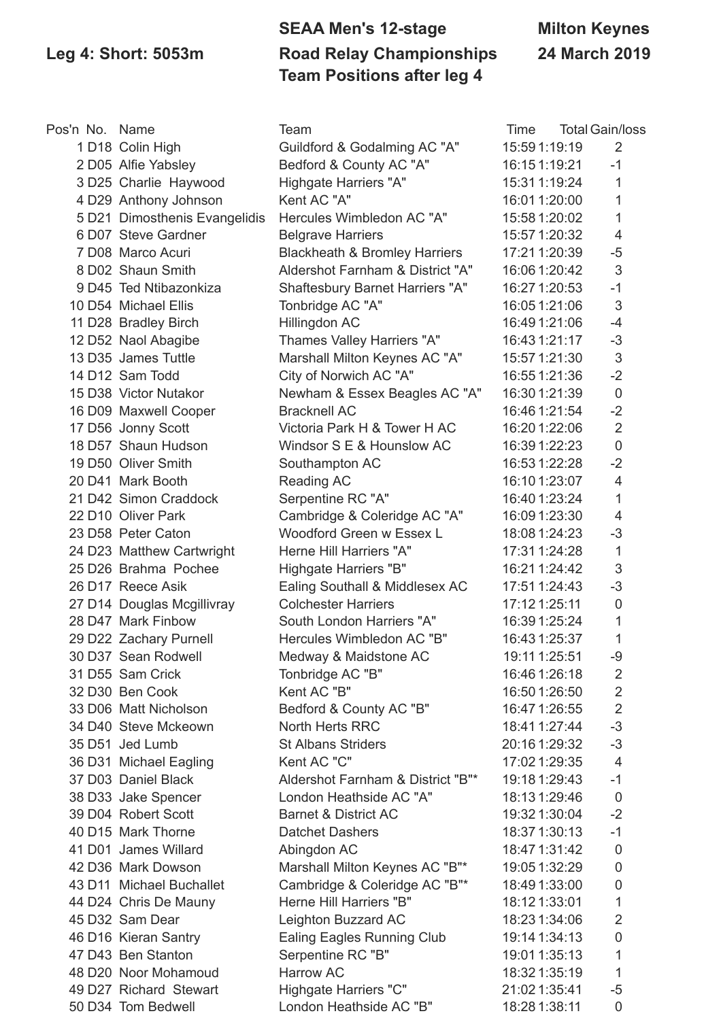### **SEAA Men's 12-stage Milton Keynes Leg 4: Short: 5053m Road Relay Championships 24 March 2019 Team Positions after leg 4**

| Pos'n No. Name |                                            | Team                                     | Time          | <b>Total Gain/loss</b>   |
|----------------|--------------------------------------------|------------------------------------------|---------------|--------------------------|
|                | 1 D18 Colin High                           | Guildford & Godalming AC "A"             | 15:59 1:19:19 | $\overline{2}$           |
|                | 2 D05 Alfie Yabsley                        | Bedford & County AC "A"                  | 16:151:19:21  | $-1$                     |
|                | 3 D25 Charlie Haywood                      | Highgate Harriers "A"                    | 15:31 1:19:24 | 1                        |
|                | 4 D29 Anthony Johnson                      | Kent AC "A"                              | 16:01 1:20:00 | 1                        |
|                | 5 D21 Dimosthenis Evangelidis              | Hercules Wimbledon AC "A"                | 15:58 1:20:02 | $\mathbf{1}$             |
|                | 6 D07 Steve Gardner                        | <b>Belgrave Harriers</b>                 | 15:57 1:20:32 | $\overline{4}$           |
|                | 7 D08 Marco Acuri                          | <b>Blackheath &amp; Bromley Harriers</b> | 17:21 1:20:39 | $-5$                     |
|                | 8 D02 Shaun Smith                          | Aldershot Farnham & District "A"         | 16:06 1:20:42 | 3                        |
|                | 9 D45 Ted Ntibazonkiza                     | Shaftesbury Barnet Harriers "A"          | 16:27 1:20:53 | $-1$                     |
|                | 10 D54 Michael Ellis                       | Tonbridge AC "A"                         | 16:05 1:21:06 | 3                        |
|                | 11 D28 Bradley Birch                       | Hillingdon AC                            | 16:49 1:21:06 | $-4$                     |
|                | 12 D52 Naol Abagibe                        | Thames Valley Harriers "A"               | 16:43 1:21:17 | $-3$                     |
|                | 13 D35 James Tuttle                        | Marshall Milton Keynes AC "A"            | 15:57 1:21:30 | 3                        |
|                | 14 D12 Sam Todd                            | City of Norwich AC "A"                   | 16:55 1:21:36 | $-2$                     |
|                | 15 D38 Victor Nutakor                      | Newham & Essex Beagles AC "A"            | 16:30 1:21:39 | $\mathbf 0$              |
|                | 16 D09 Maxwell Cooper                      | <b>Bracknell AC</b>                      | 16:46 1:21:54 | $-2$                     |
|                | 17 D56 Jonny Scott                         | Victoria Park H & Tower H AC             | 16:20 1:22:06 | $\overline{2}$           |
|                | 18 D57 Shaun Hudson                        | Windsor S E & Hounslow AC                | 16:39 1:22:23 | $\mathbf 0$              |
|                | 19 D50 Oliver Smith                        | Southampton AC                           | 16:53 1:22:28 | $-2$                     |
|                | 20 D41 Mark Booth                          | Reading AC                               | 16:10 1:23:07 | $\overline{4}$           |
|                | 21 D42 Simon Craddock                      | Serpentine RC "A"                        | 16:40 1:23:24 | $\mathbf 1$              |
|                | 22 D10 Oliver Park                         | Cambridge & Coleridge AC "A"             | 16:09 1:23:30 | 4                        |
|                | 23 D58 Peter Caton                         | Woodford Green w Essex L                 | 18:08 1:24:23 | $-3$                     |
|                | 24 D23 Matthew Cartwright                  | Herne Hill Harriers "A"                  | 17:31 1:24:28 | $\mathbf{1}$             |
|                | 25 D26 Brahma Pochee                       | Highgate Harriers "B"                    | 16:21 1:24:42 | 3                        |
|                | 26 D17 Reece Asik                          | Ealing Southall & Middlesex AC           | 17:51 1:24:43 | $-3$                     |
|                | 27 D14 Douglas Mcgillivray                 | <b>Colchester Harriers</b>               | 17:12 1:25:11 | $\mathbf 0$              |
|                | 28 D47 Mark Finbow                         | South London Harriers "A"                | 16:39 1:25:24 | 1                        |
|                | 29 D22 Zachary Purnell                     | Hercules Wimbledon AC "B"                | 16:43 1:25:37 | $\mathbf 1$              |
|                | 30 D37 Sean Rodwell                        | Medway & Maidstone AC                    | 19:11 1:25:51 | $-9$                     |
|                | 31 D55 Sam Crick                           | Tonbridge AC "B"                         | 16:46 1:26:18 | $\overline{2}$           |
|                | 32 D30 Ben Cook                            | Kent AC "B"                              | 16:50 1:26:50 | 2                        |
|                | 33 D06 Matt Nicholson                      | Bedford & County AC "B"                  | 16:47 1:26:55 | $\overline{2}$           |
|                | 34 D40 Steve Mckeown                       | North Herts RRC                          | 18:41 1:27:44 | $-3$                     |
|                | 35 D51 Jed Lumb                            | <b>St Albans Striders</b>                | 20:16 1:29:32 | $-3$                     |
|                | 36 D31 Michael Eagling                     | Kent AC "C"                              | 17:02 1:29:35 | $\overline{4}$           |
|                | 37 D03 Daniel Black                        | Aldershot Farnham & District "B"*        | 19:18 1:29:43 | $-1$                     |
|                |                                            | London Heathside AC "A"                  | 18:131:29:46  |                          |
|                | 38 D33 Jake Spencer<br>39 D04 Robert Scott | <b>Barnet &amp; District AC</b>          |               | $\boldsymbol{0}$<br>$-2$ |
|                | 40 D15 Mark Thorne                         |                                          | 19:32 1:30:04 | $-1$                     |
|                |                                            | <b>Datchet Dashers</b>                   | 18:37 1:30:13 |                          |
|                | 41 D01 James Willard                       | Abingdon AC                              | 18:47 1:31:42 | $\mathbf 0$              |
|                | 42 D36 Mark Dowson                         | Marshall Milton Keynes AC "B"*           | 19:05 1:32:29 | $\mathbf 0$              |
|                | 43 D11 Michael Buchallet                   | Cambridge & Coleridge AC "B"*            | 18:49 1:33:00 | $\pmb{0}$                |
|                | 44 D24 Chris De Mauny                      | Herne Hill Harriers "B"                  | 18:12 1:33:01 | 1                        |
|                | 45 D32 Sam Dear                            | Leighton Buzzard AC                      | 18:23 1:34:06 | $\overline{2}$           |
|                | 46 D16 Kieran Santry                       | Ealing Eagles Running Club               | 19:14 1:34:13 | $\pmb{0}$                |
|                | 47 D43 Ben Stanton                         | Serpentine RC "B"                        | 19:01 1:35:13 | 1                        |
|                | 48 D20 Noor Mohamoud                       | Harrow AC                                | 18:32 1:35:19 | 1                        |
|                | 49 D27 Richard Stewart                     | Highgate Harriers "C"                    | 21:02 1:35:41 | $-5$                     |
|                | 50 D34 Tom Bedwell                         | London Heathside AC "B"                  | 18:28 1:38:11 | 0                        |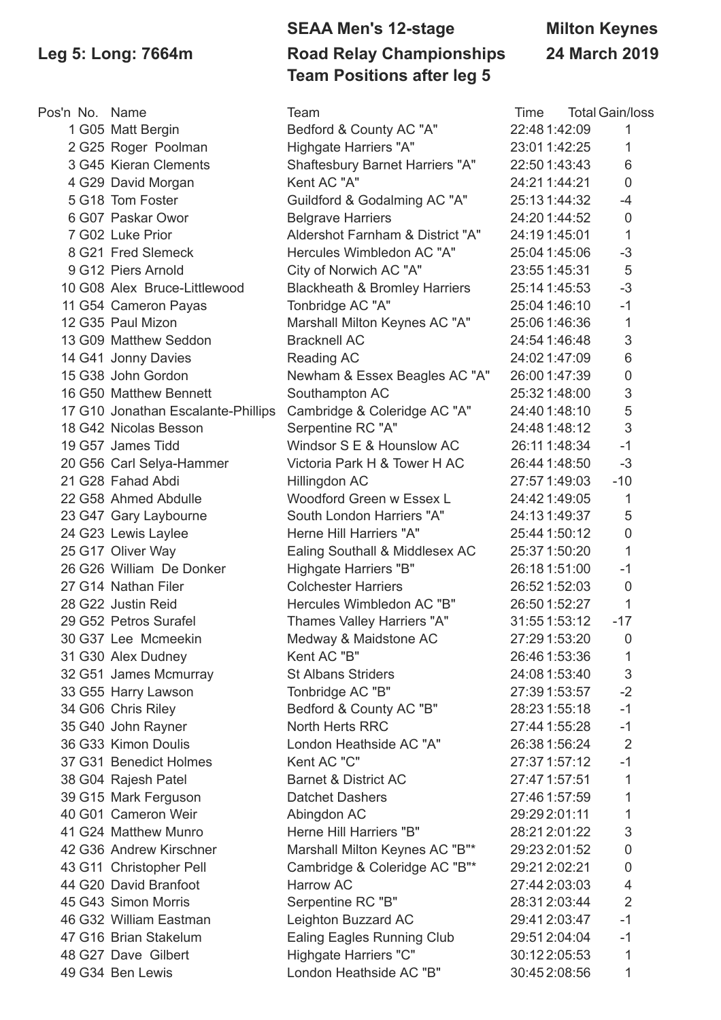### **SEAA Men's 12-stage Milton Keynes Leg 5: Long: 7664m Road Relay Championships 24 March 2019 Team Positions after leg 5**

| Pos'n No. Name |                                    | Team                                     | Time          | <b>Total Gain/loss</b>    |
|----------------|------------------------------------|------------------------------------------|---------------|---------------------------|
|                | 1 G05 Matt Bergin                  | Bedford & County AC "A"                  | 22:48 1:42:09 | 1                         |
|                | 2 G25 Roger Poolman                | Highgate Harriers "A"                    | 23:01 1:42:25 | 1                         |
|                | 3 G45 Kieran Clements              | Shaftesbury Barnet Harriers "A"          | 22:50 1:43:43 | 6                         |
|                | 4 G29 David Morgan                 | Kent AC "A"                              | 24:211:44:21  | $\mathbf 0$               |
|                | 5 G18 Tom Foster                   | Guildford & Godalming AC "A"             | 25:131:44:32  | $-4$                      |
|                | 6 G07 Paskar Owor                  | <b>Belgrave Harriers</b>                 | 24:201:44:52  | $\mathbf 0$               |
|                | 7 G02 Luke Prior                   | Aldershot Farnham & District "A"         | 24:191:45:01  | $\mathbf{1}$              |
|                | 8 G21 Fred Slemeck                 | Hercules Wimbledon AC "A"                | 25:04 1:45:06 | $-3$                      |
|                | 9 G12 Piers Arnold                 | City of Norwich AC "A"                   | 23:55 1:45:31 | 5                         |
|                | 10 G08 Alex Bruce-Littlewood       | <b>Blackheath &amp; Bromley Harriers</b> | 25:14 1:45:53 | $-3$                      |
|                | 11 G54 Cameron Payas               | Tonbridge AC "A"                         | 25:04 1:46:10 | $-1$                      |
|                | 12 G35 Paul Mizon                  | Marshall Milton Keynes AC "A"            | 25:06 1:46:36 | $\mathbf{1}$              |
|                | 13 G09 Matthew Seddon              | <b>Bracknell AC</b>                      | 24:54 1:46:48 | $\ensuremath{\mathsf{3}}$ |
|                | 14 G41 Jonny Davies                | Reading AC                               | 24:02 1:47:09 | $6\,$                     |
|                | 15 G38 John Gordon                 | Newham & Essex Beagles AC "A"            | 26:00 1:47:39 | $\mathbf 0$               |
|                | 16 G50 Matthew Bennett             | Southampton AC                           | 25:32 1:48:00 | $\ensuremath{\mathsf{3}}$ |
|                | 17 G10 Jonathan Escalante-Phillips | Cambridge & Coleridge AC "A"             | 24:40 1:48:10 | 5                         |
|                | 18 G42 Nicolas Besson              | Serpentine RC "A"                        | 24:48 1:48:12 | 3                         |
|                | 19 G57 James Tidd                  | Windsor S E & Hounslow AC                | 26:11 1:48:34 | $-1$                      |
|                | 20 G56 Carl Selya-Hammer           | Victoria Park H & Tower H AC             | 26:44 1:48:50 | $-3$                      |
|                | 21 G28 Fahad Abdi                  | Hillingdon AC                            | 27:57 1:49:03 | $-10$                     |
|                | 22 G58 Ahmed Abdulle               | Woodford Green w Essex L                 | 24:42 1:49:05 | 1                         |
|                | 23 G47 Gary Laybourne              | South London Harriers "A"                | 24:131:49:37  | 5                         |
|                | 24 G23 Lewis Laylee                | Herne Hill Harriers "A"                  | 25:44 1:50:12 | $\mathbf 0$               |
|                | 25 G17 Oliver Way                  | Ealing Southall & Middlesex AC           | 25:37 1:50:20 | 1                         |
|                | 26 G26 William De Donker           | Highgate Harriers "B"                    | 26:181:51:00  | $-1$                      |
|                | 27 G14 Nathan Filer                | <b>Colchester Harriers</b>               | 26:52 1:52:03 | $\mathbf 0$               |
|                | 28 G22 Justin Reid                 | Hercules Wimbledon AC "B"                | 26:50 1:52:27 | $\mathbf{1}$              |
|                | 29 G52 Petros Surafel              | Thames Valley Harriers "A"               | 31:55 1:53:12 | $-17$                     |
|                | 30 G37 Lee Mcmeekin                | Medway & Maidstone AC                    | 27:29 1:53:20 | $\mathbf 0$               |
|                | 31 G30 Alex Dudney                 | Kent AC "B"                              | 26:46 1:53:36 | 1                         |
|                | 32 G51 James Mcmurray              | <b>St Albans Striders</b>                | 24:08 1:53:40 | 3                         |
|                | 33 G55 Harry Lawson                | Tonbridge AC "B"                         | 27:39 1:53:57 | $-2$                      |
|                | 34 G06 Chris Riley                 | Bedford & County AC "B"                  | 28:23 1:55:18 | $-1$                      |
|                | 35 G40 John Rayner                 | North Herts RRC                          | 27:44 1:55:28 | $-1$                      |
|                | 36 G33 Kimon Doulis                | London Heathside AC "A"                  | 26:38 1:56:24 | $\overline{2}$            |
|                | 37 G31 Benedict Holmes             | Kent AC "C"                              | 27:37 1:57:12 | $-1$                      |
|                | 38 G04 Rajesh Patel                | <b>Barnet &amp; District AC</b>          | 27:47 1:57:51 | 1                         |
|                | 39 G15 Mark Ferguson               | <b>Datchet Dashers</b>                   | 27:46 1:57:59 | 1                         |
|                | 40 G01 Cameron Weir                | Abingdon AC                              | 29:292:01:11  | 1                         |
|                | 41 G24 Matthew Munro               | Herne Hill Harriers "B"                  | 28:212:01:22  | 3                         |
|                | 42 G36 Andrew Kirschner            | Marshall Milton Keynes AC "B"*           | 29:232:01:52  | $\mathbf 0$               |
|                | 43 G11 Christopher Pell            | Cambridge & Coleridge AC "B"*            | 29:212:02:21  | $\mathbf 0$               |
|                | 44 G20 David Branfoot              | <b>Harrow AC</b>                         | 27:44 2:03:03 | 4                         |
|                | 45 G43 Simon Morris                | Serpentine RC "B"                        | 28:312:03:44  | $\overline{2}$            |
|                |                                    |                                          |               | $-1$                      |
|                | 46 G32 William Eastman             | Leighton Buzzard AC                      | 29:412:03:47  |                           |
|                | 47 G16 Brian Stakelum              | Ealing Eagles Running Club               | 29:512:04:04  | $-1$                      |
|                | 48 G27 Dave Gilbert                | Highgate Harriers "C"                    | 30:122:05:53  | 1                         |
|                | 49 G34 Ben Lewis                   | London Heathside AC "B"                  | 30:452:08:56  | 1                         |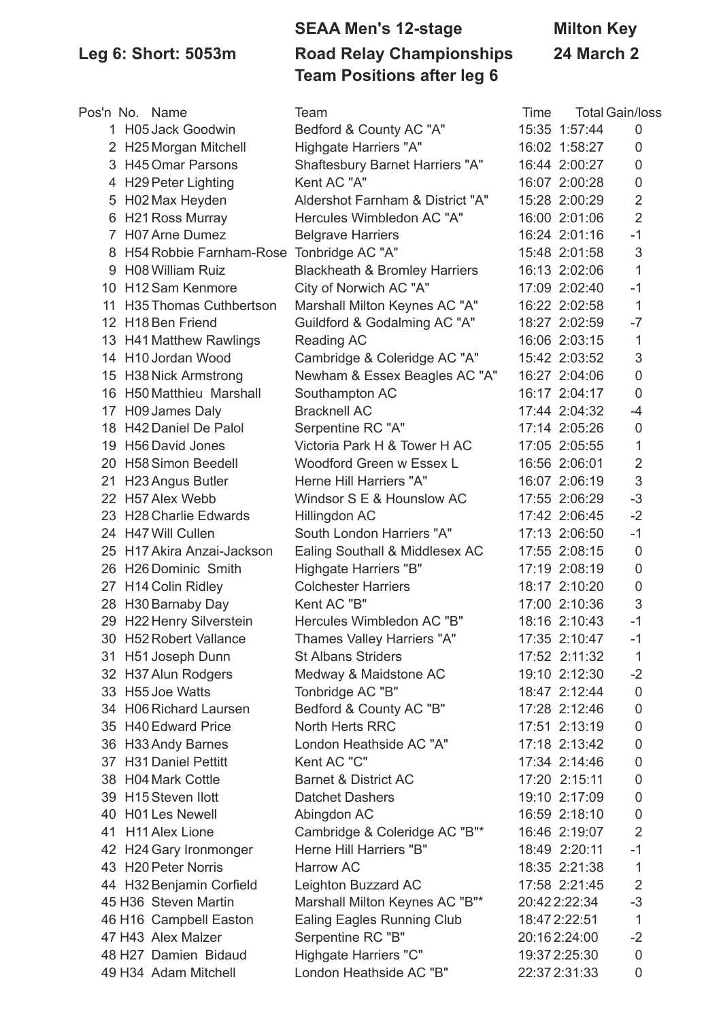## **SEAA Men's 12-stage Milton Key Leg 6: Short: 5053m Road Relay Championships 24 March 2 Team Positions after leg 6**

|    | Pos'n No. Name                           | Team                                     | Time |               | <b>Total Gain/loss</b> |
|----|------------------------------------------|------------------------------------------|------|---------------|------------------------|
|    | 1 H05 Jack Goodwin                       | Bedford & County AC "A"                  |      | 15:35 1:57:44 | $\mathbf 0$            |
|    | 2 H25 Morgan Mitchell                    | Highgate Harriers "A"                    |      | 16:02 1:58:27 | 0                      |
|    | 3 H45 Omar Parsons                       | <b>Shaftesbury Barnet Harriers "A"</b>   |      | 16:44 2:00:27 | 0                      |
|    | 4 H29 Peter Lighting                     | Kent AC "A"                              |      | 16:07 2:00:28 | 0                      |
| 5  | H02 Max Heyden                           | Aldershot Farnham & District "A"         |      | 15:28 2:00:29 | $\overline{2}$         |
| 6  | <b>H21 Ross Murray</b>                   | Hercules Wimbledon AC "A"                |      | 16:00 2:01:06 | $\overline{2}$         |
| 7. | H07 Arne Dumez                           | <b>Belgrave Harriers</b>                 |      | 16:24 2:01:16 | $-1$                   |
| 8  | H54 Robbie Farnham-Rose Tonbridge AC "A" |                                          |      | 15:48 2:01:58 | 3                      |
|    | 9 H08 William Ruiz                       | <b>Blackheath &amp; Bromley Harriers</b> |      | 16:13 2:02:06 | 1                      |
|    | 10 H12 Sam Kenmore                       | City of Norwich AC "A"                   |      | 17:09 2:02:40 | $-1$                   |
|    | 11 H35 Thomas Cuthbertson                | Marshall Milton Keynes AC "A"            |      | 16:22 2:02:58 | 1                      |
|    | 12 H18 Ben Friend                        | Guildford & Godalming AC "A"             |      | 18:27 2:02:59 | $-7$                   |
|    | 13 H41 Matthew Rawlings                  | Reading AC                               |      | 16:06 2:03:15 | $\mathbf 1$            |
|    | 14 H10 Jordan Wood                       | Cambridge & Coleridge AC "A"             |      | 15:42 2:03:52 | 3                      |
|    | 15 H38 Nick Armstrong                    | Newham & Essex Beagles AC "A"            |      | 16:27 2:04:06 | $\mathbf 0$            |
|    | 16 H50 Matthieu Marshall                 | Southampton AC                           |      | 16:17 2:04:17 | $\mathbf 0$            |
| 17 | H09 James Daly                           | <b>Bracknell AC</b>                      |      | 17:44 2:04:32 | $-4$                   |
|    | 18 H42 Daniel De Palol                   | Serpentine RC "A"                        |      | 17:14 2:05:26 | $\mathbf 0$            |
|    | 19 H56 David Jones                       | Victoria Park H & Tower H AC             |      | 17:05 2:05:55 | 1                      |
|    | 20 H58 Simon Beedell                     | Woodford Green w Essex L                 |      | 16:56 2:06:01 | $\overline{2}$         |
| 21 | H23 Angus Butler                         | Herne Hill Harriers "A"                  |      | 16:07 2:06:19 | 3                      |
|    | 22 H57 Alex Webb                         | Windsor S E & Hounslow AC                |      | 17:55 2:06:29 | $-3$                   |
|    | 23 H28 Charlie Edwards                   | Hillingdon AC                            |      | 17:42 2:06:45 | $-2$                   |
|    | 24 H47 Will Cullen                       | South London Harriers "A"                |      | 17:13 2:06:50 | $-1$                   |
|    | 25 H17 Akira Anzai-Jackson               | Ealing Southall & Middlesex AC           |      | 17:55 2:08:15 | $\mathbf 0$            |
|    | 26 H26 Dominic Smith                     | Highgate Harriers "B"                    |      | 17:19 2:08:19 | $\mathbf 0$            |
|    | 27 H14 Colin Ridley                      | <b>Colchester Harriers</b>               |      | 18:17 2:10:20 | 0                      |
|    | 28 H30 Barnaby Day                       | Kent AC "B"                              |      | 17:00 2:10:36 | 3                      |
|    | 29 H22 Henry Silverstein                 | Hercules Wimbledon AC "B"                |      | 18:16 2:10:43 | $-1$                   |
|    | 30 H52 Robert Vallance                   | <b>Thames Valley Harriers "A"</b>        |      | 17:35 2:10:47 | $-1$                   |
|    | 31 H51 Joseph Dunn                       | <b>St Albans Striders</b>                |      | 17:52 2:11:32 | 1                      |
|    | 32 H37 Alun Rodgers                      | Medway & Maidstone AC                    |      | 19:10 2:12:30 | $-2$                   |
|    | 33 H55 Joe Watts                         | Tonbridge AC "B"                         |      | 18:47 2:12:44 | $\mathbf 0$            |
|    | 34 H06 Richard Laursen                   | Bedford & County AC "B"                  |      | 17:28 2:12:46 | $\mathbf 0$            |
|    | 35 H40 Edward Price                      | North Herts RRC                          |      | 17:51 2:13:19 | 0                      |
|    | 36 H33 Andy Barnes                       | London Heathside AC "A"                  |      | 17:18 2:13:42 | 0                      |
|    | 37 H31 Daniel Pettitt                    | Kent AC "C"                              |      | 17:34 2:14:46 | 0                      |
|    | 38 H04 Mark Cottle                       | <b>Barnet &amp; District AC</b>          |      | 17:20 2:15:11 | 0                      |
|    | 39 H15 Steven Ilott                      | <b>Datchet Dashers</b>                   |      | 19:10 2:17:09 | $\mathbf 0$            |
|    | 40 H01 Les Newell                        | Abingdon AC                              |      | 16:59 2:18:10 | 0                      |
|    | 41 H11 Alex Lione                        | Cambridge & Coleridge AC "B"*            |      | 16:46 2:19:07 | $\overline{2}$         |
|    | 42 H24 Gary Ironmonger                   | Herne Hill Harriers "B"                  |      | 18:49 2:20:11 | $-1$                   |
|    | 43 H20 Peter Norris                      | <b>Harrow AC</b>                         |      | 18:35 2:21:38 | $\mathbf{1}$           |
|    | 44 H32 Benjamin Corfield                 | Leighton Buzzard AC                      |      | 17:58 2:21:45 | $\overline{2}$         |
|    | 45 H36 Steven Martin                     | Marshall Milton Keynes AC "B"*           |      | 20:422:22:34  | $-3$                   |
|    | 46 H16 Campbell Easton                   | <b>Ealing Eagles Running Club</b>        |      | 18:47 2:22:51 | $\mathbf{1}$           |
|    | 47 H43 Alex Malzer                       | Serpentine RC "B"                        |      | 20:162:24:00  | $-2$                   |
|    | 48 H27 Damien Bidaud                     | Highgate Harriers "C"                    |      | 19:37 2:25:30 | $\mathbf 0$            |
|    | 49 H34 Adam Mitchell                     | London Heathside AC "B"                  |      | 22:37 2:31:33 | $\overline{0}$         |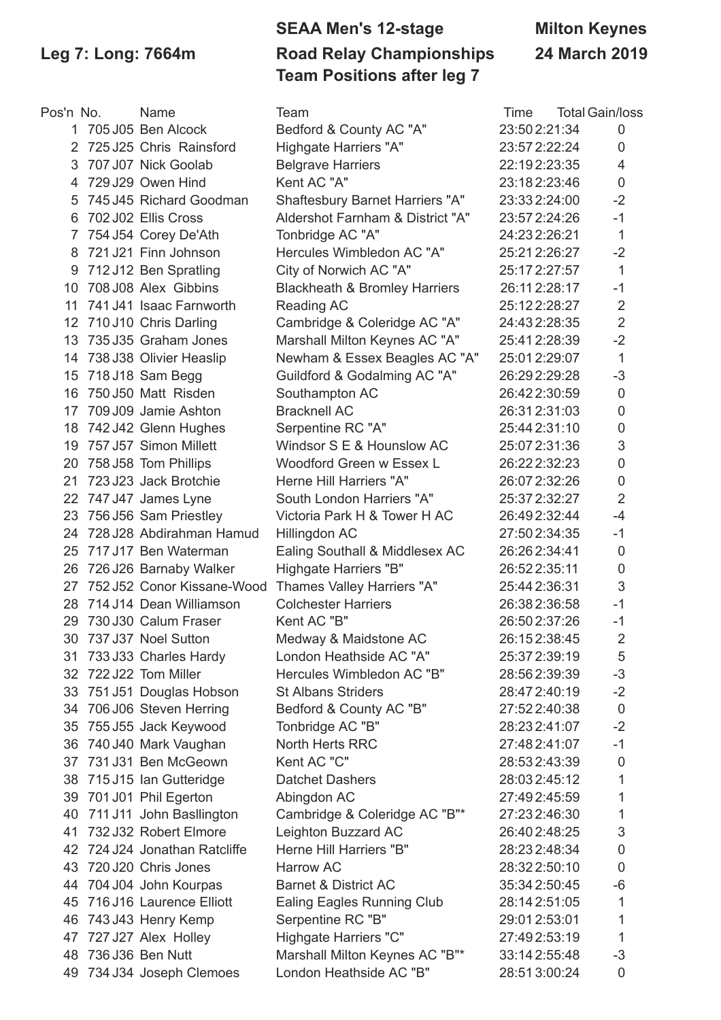# **SEAA Men's 12-stage Milton Keynes Leg 7: Long: 7664m Road Relay Championships 24 March 2019 Team Positions after leg 7**

| Pos'n No.         | Name                          | Team                                     | Time          | <b>Total Gain/loss</b> |
|-------------------|-------------------------------|------------------------------------------|---------------|------------------------|
|                   | 1 705 J05 Ben Alcock          | Bedford & County AC "A"                  | 23:502:21:34  | 0                      |
| 2                 | 725 J25 Chris Rainsford       | Highgate Harriers "A"                    | 23:57 2:22:24 | $\mathbf 0$            |
| 3                 | 707 J07 Nick Goolab           | <b>Belgrave Harriers</b>                 | 22:192:23:35  | 4                      |
| 4                 | 729 J29 Owen Hind             | Kent AC "A"                              | 23:182:23:46  | $\mathbf 0$            |
| 5                 | 745 J45 Richard Goodman       | Shaftesbury Barnet Harriers "A"          | 23:332:24:00  | $-2$                   |
| 6                 | 702 J02 Ellis Cross           | Aldershot Farnham & District "A"         | 23:57 2:24:26 | $-1$                   |
| 7                 | 754 J54 Corey De'Ath          | Tonbridge AC "A"                         | 24:232:26:21  | $\mathbf{1}$           |
| 8                 | 721 J21 Finn Johnson          | Hercules Wimbledon AC "A"                | 25:212:26:27  | $-2$                   |
| 9                 | 712 J12 Ben Spratling         | City of Norwich AC "A"                   | 25:172:27:57  | 1                      |
| 10                | 708 J08 Alex Gibbins          | <b>Blackheath &amp; Bromley Harriers</b> | 26:112:28:17  | $-1$                   |
| 11                | 741 J41 Isaac Farnworth       | Reading AC                               | 25:122:28:27  | $\sqrt{2}$             |
| $12 \overline{ }$ | 710 J10 Chris Darling         | Cambridge & Coleridge AC "A"             | 24:432:28:35  | $\overline{2}$         |
|                   | 13 735 J35 Graham Jones       | Marshall Milton Keynes AC "A"            | 25:412:28:39  | $-2$                   |
|                   | 14 738 J38 Olivier Heaslip    | Newham & Essex Beagles AC "A"            | 25:012:29:07  | $\mathbf{1}$           |
|                   | 15 718 J18 Sam Begg           | Guildford & Godalming AC "A"             | 26:292:29:28  | $-3$                   |
| 16                | 750 J50 Matt Risden           | Southampton AC                           | 26:422:30:59  | $\mathbf 0$            |
| 17                | 709 J09 Jamie Ashton          | <b>Bracknell AC</b>                      | 26:312:31:03  | $\mathsf{O}\xspace$    |
| 18                | 742 J42 Glenn Hughes          | Serpentine RC "A"                        | 25:44 2:31:10 | $\mathbf 0$            |
| 19                | 757 J57 Simon Millett         | Windsor S E & Hounslow AC                | 25:07 2:31:36 | $\mathsf 3$            |
|                   | 20 758 J58 Tom Phillips       | Woodford Green w Essex L                 | 26:222:32:23  | $\mathsf{O}\xspace$    |
| 21                | 723 J23 Jack Brotchie         | Herne Hill Harriers "A"                  | 26:072:32:26  | $\boldsymbol{0}$       |
|                   | 22 747 J47 James Lyne         | South London Harriers "A"                | 25:37 2:32:27 | $\overline{2}$         |
|                   | 23 756 J56 Sam Priestley      | Victoria Park H & Tower H AC             | 26:492:32:44  | $-4$                   |
|                   | 24 728 J28 Abdirahman Hamud   | Hillingdon AC                            | 27:50 2:34:35 | $-1$                   |
|                   | 25 717 J17 Ben Waterman       | Ealing Southall & Middlesex AC           | 26:262:34:41  | $\mathbf 0$            |
| 26                | 726 J26 Barnaby Walker        | Highgate Harriers "B"                    | 26:52 2:35:11 | $\pmb{0}$              |
| 27                | 752 J52 Conor Kissane-Wood    | Thames Valley Harriers "A"               | 25:44 2:36:31 | 3                      |
|                   | 28 714 J14 Dean Williamson    | <b>Colchester Harriers</b>               | 26:382:36:58  | $-1$                   |
|                   | 29 730 J30 Calum Fraser       | Kent AC "B"                              | 26:502:37:26  | $-1$                   |
|                   | 30 737 J37 Noel Sutton        | Medway & Maidstone AC                    | 26:152:38:45  | $\overline{2}$         |
| 31                | 733 J33 Charles Hardy         | London Heathside AC "A"                  | 25:37 2:39:19 | 5                      |
|                   | 32 722 J22 Tom Miller         | Hercules Wimbledon AC "B"                | 28:562:39:39  | $-3$                   |
|                   | 33 751 J51 Douglas Hobson     | <b>St Albans Striders</b>                | 28:472:40:19  | $-2$                   |
|                   | 34 706 J06 Steven Herring     | Bedford & County AC "B"                  | 27:522:40:38  | $\mathbf 0$            |
| 35                | 755 J55 Jack Keywood          | Tonbridge AC "B"                         | 28:232:41:07  | $-2$                   |
|                   | 36 740 J40 Mark Vaughan       | North Herts RRC                          | 27:482:41:07  | $-1$                   |
|                   | 37 731 J31 Ben McGeown        | Kent AC "C"                              | 28:532:43:39  | $\mathbf 0$            |
|                   | 38 715 J15 Ian Gutteridge     | <b>Datchet Dashers</b>                   | 28:032:45:12  | 1                      |
|                   | 39 701 J01 Phil Egerton       | Abingdon AC                              | 27:492:45:59  | 1                      |
| 40                | 711 J11 John Basllington      | Cambridge & Coleridge AC "B"*            | 27:232:46:30  | 1                      |
| 41                | 732 J32 Robert Elmore         | Leighton Buzzard AC                      | 26:402:48:25  | 3                      |
|                   | 42 724 J24 Jonathan Ratcliffe | Herne Hill Harriers "B"                  | 28:232:48:34  | $\mathbf 0$            |
| 43                | 720 J20 Chris Jones           | <b>Harrow AC</b>                         | 28:322:50:10  | $\mathbf 0$            |
|                   | 44 704 J04 John Kourpas       | <b>Barnet &amp; District AC</b>          | 35:34 2:50:45 | $-6$                   |
| 45                | 716 J16 Laurence Elliott      | <b>Ealing Eagles Running Club</b>        | 28:14 2:51:05 | 1                      |
| 46                | 743 J43 Henry Kemp            | Serpentine RC "B"                        | 29:012:53:01  | 1                      |
|                   | 47 727 J27 Alex Holley        | Highgate Harriers "C"                    | 27:492:53:19  | 1                      |
| 48                | 736 J36 Ben Nutt              | Marshall Milton Keynes AC "B"*           | 33:142:55:48  | $-3$                   |
|                   | 49 734 J34 Joseph Clemoes     | London Heathside AC "B"                  | 28:513:00:24  | $\mathbf 0$            |
|                   |                               |                                          |               |                        |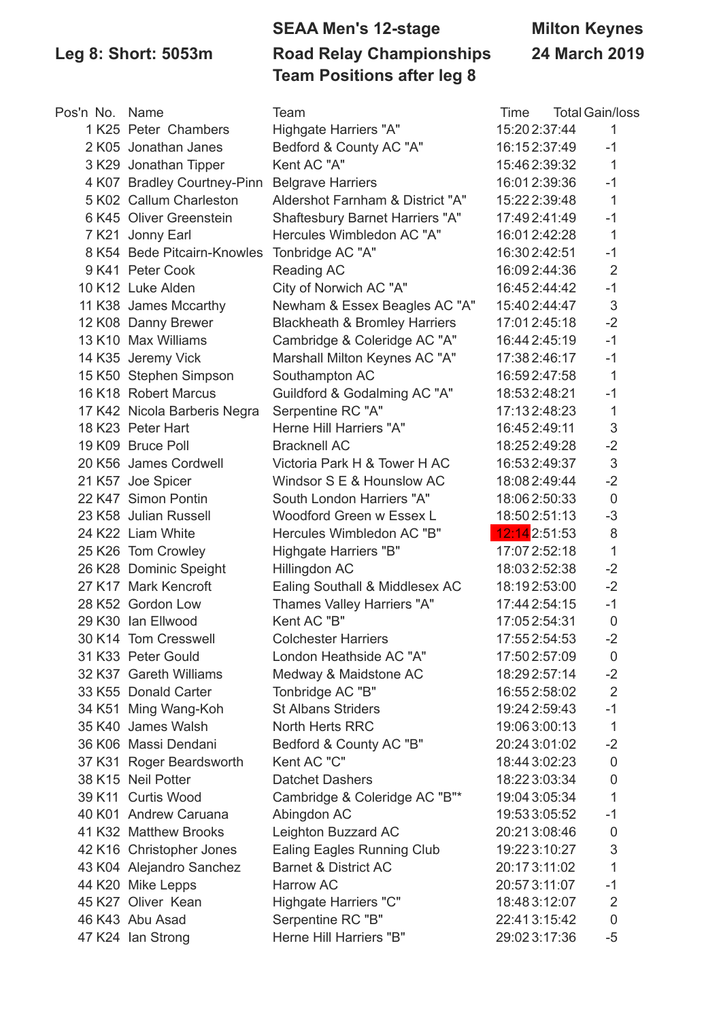### **SEAA Men's 12-stage Milton Keynes Leg 8: Short: 5053m Road Relay Championships 24 March 2019 Team Positions after leg 8**

| Pos'n No. Name |                              | Team                                     | Time          | <b>Total Gain/loss</b> |
|----------------|------------------------------|------------------------------------------|---------------|------------------------|
|                | 1 K25 Peter Chambers         | Highgate Harriers "A"                    | 15:20 2:37:44 | 1                      |
|                | 2 K05 Jonathan Janes         | Bedford & County AC "A"                  | 16:152:37:49  | $-1$                   |
|                | 3 K29 Jonathan Tipper        | Kent AC "A"                              | 15:462:39:32  | $\mathbf{1}$           |
|                | 4 K07 Bradley Courtney-Pinn  | <b>Belgrave Harriers</b>                 | 16:012:39:36  | $-1$                   |
|                | 5 K02 Callum Charleston      | Aldershot Farnham & District "A"         | 15:22 2:39:48 | $\mathbf{1}$           |
|                | 6 K45 Oliver Greenstein      | Shaftesbury Barnet Harriers "A"          | 17:492:41:49  | $-1$                   |
|                | 7 K21 Jonny Earl             | Hercules Wimbledon AC "A"                | 16:012:42:28  | $\mathbf{1}$           |
|                | 8 K54 Bede Pitcairn-Knowles  | Tonbridge AC "A"                         | 16:302:42:51  | $-1$                   |
|                | 9 K41 Peter Cook             | Reading AC                               | 16:092:44:36  | $\overline{2}$         |
|                | 10 K12 Luke Alden            | City of Norwich AC "A"                   | 16:452:44:42  | $-1$                   |
|                | 11 K38 James Mccarthy        | Newham & Essex Beagles AC "A"            | 15:402:44:47  | $\mathfrak{S}$         |
|                | 12 K08 Danny Brewer          | <b>Blackheath &amp; Bromley Harriers</b> | 17:012:45:18  | $-2$                   |
|                | 13 K10 Max Williams          | Cambridge & Coleridge AC "A"             | 16:44 2:45:19 | $-1$                   |
|                | 14 K35 Jeremy Vick           | Marshall Milton Keynes AC "A"            | 17:382:46:17  | $-1$                   |
|                | 15 K50 Stephen Simpson       | Southampton AC                           | 16:592:47:58  | $\mathbf{1}$           |
|                | 16 K18 Robert Marcus         | Guildford & Godalming AC "A"             | 18:532:48:21  | $-1$                   |
|                | 17 K42 Nicola Barberis Negra | Serpentine RC "A"                        | 17:132:48:23  | $\mathbf{1}$           |
|                | 18 K23 Peter Hart            | Herne Hill Harriers "A"                  | 16:452:49:11  | $\mathfrak{S}$         |
|                | 19 K09 Bruce Poll            | <b>Bracknell AC</b>                      | 18:252:49:28  | $-2$                   |
|                | 20 K56 James Cordwell        | Victoria Park H & Tower H AC             | 16:532:49:37  | $\sqrt{3}$             |
|                | 21 K57 Joe Spicer            | Windsor S E & Hounslow AC                | 18:082:49:44  | $-2$                   |
|                | 22 K47 Simon Pontin          | South London Harriers "A"                | 18:062:50:33  | $\overline{0}$         |
|                | 23 K58 Julian Russell        | Woodford Green w Essex L                 | 18:502:51:13  | $-3$                   |
|                | 24 K22 Liam White            | Hercules Wimbledon AC "B"                | 12:14 2:51:53 | 8                      |
|                | 25 K26 Tom Crowley           | Highgate Harriers "B"                    | 17:07 2:52:18 | $\mathbf{1}$           |
|                | 26 K28 Dominic Speight       | Hillingdon AC                            | 18:032:52:38  | $-2$                   |
|                | 27 K17 Mark Kencroft         | Ealing Southall & Middlesex AC           | 18:192:53:00  | $-2$                   |
|                | 28 K52 Gordon Low            | Thames Valley Harriers "A"               | 17:44 2:54:15 | $-1$                   |
|                | 29 K30 Ian Ellwood           | Kent AC "B"                              | 17:052:54:31  | $\mathbf 0$            |
|                | 30 K14 Tom Cresswell         | <b>Colchester Harriers</b>               | 17:552:54:53  | $-2$                   |
|                | 31 K33 Peter Gould           | London Heathside AC "A"                  | 17:50 2:57:09 | 0                      |
|                | 32 K37 Gareth Williams       | Medway & Maidstone AC                    | 18:292:57:14  | $-2$                   |
|                | 33 K55 Donald Carter         | Tonbridge AC "B"                         | 16:552:58:02  | $\overline{2}$         |
|                | 34 K51 Ming Wang-Koh         | <b>St Albans Striders</b>                | 19:24 2:59:43 | $-1$                   |
|                | 35 K40 James Walsh           | North Herts RRC                          | 19:063:00:13  | $\mathbf{1}$           |
|                | 36 K06 Massi Dendani         | Bedford & County AC "B"                  | 20:24 3:01:02 | $-2$                   |
|                | 37 K31 Roger Beardsworth     | Kent AC "C"                              | 18:443:02:23  | $\overline{0}$         |
|                | 38 K15 Neil Potter           | <b>Datchet Dashers</b>                   | 18:223:03:34  | $\pmb{0}$              |
|                | 39 K11 Curtis Wood           | Cambridge & Coleridge AC "B"*            | 19:04 3:05:34 | $\mathbf{1}$           |
|                | 40 K01 Andrew Caruana        | Abingdon AC                              | 19:533:05:52  | $-1$                   |
|                | 41 K32 Matthew Brooks        | Leighton Buzzard AC                      | 20:213:08:46  | 0                      |
|                | 42 K16 Christopher Jones     | Ealing Eagles Running Club               | 19:223:10:27  | 3                      |
|                | 43 K04 Alejandro Sanchez     | <b>Barnet &amp; District AC</b>          | 20:173:11:02  | $\mathbf{1}$           |
|                | 44 K20 Mike Lepps            | Harrow AC                                | 20:573:11:07  | $-1$                   |
|                | 45 K27 Oliver Kean           | Highgate Harriers "C"                    | 18:483:12:07  | $\overline{2}$         |
|                | 46 K43 Abu Asad              | Serpentine RC "B"                        | 22:413:15:42  | $\pmb{0}$              |
|                | 47 K24 Ian Strong            | Herne Hill Harriers "B"                  | 29:023:17:36  | $-5$                   |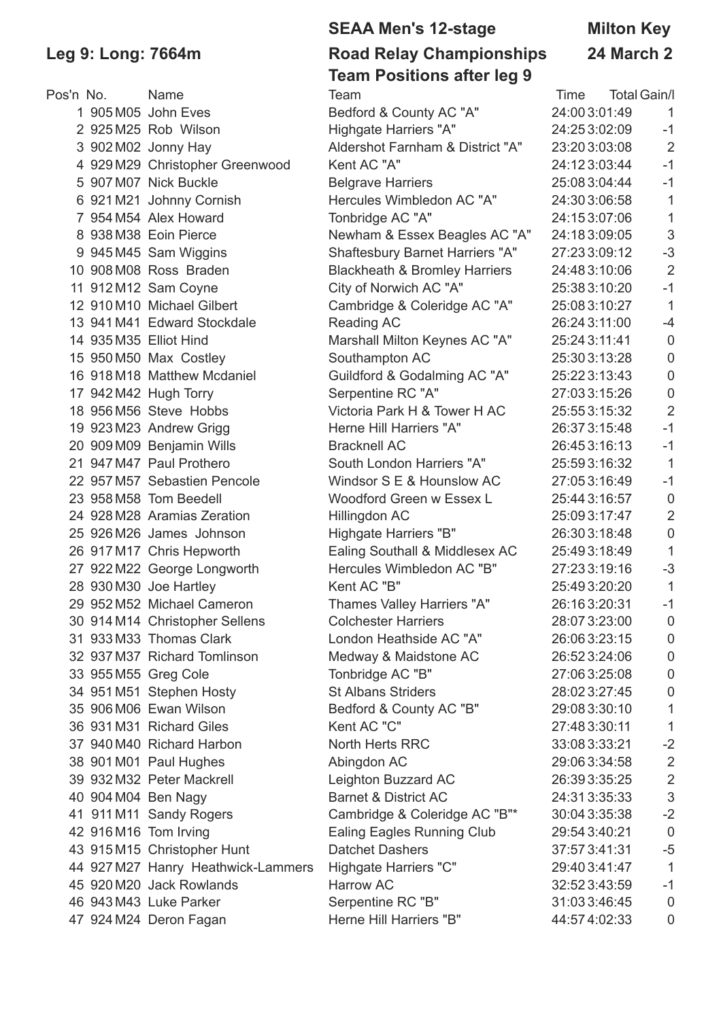### **SEAA Men's 12-stage Milton Key Leg 9: Long: 7664m Road Relay Championships 24 March 2 Team Positions after leg 9**

|           |                                    | ี่นี่  ขอออ นาเอ. .อฐ อ                  |                             |                           |
|-----------|------------------------------------|------------------------------------------|-----------------------------|---------------------------|
| Pos'n No. | <b>Name</b>                        | Team                                     | <b>Total Gain/I</b><br>Time |                           |
|           | 1 905 M05 John Eves                | Bedford & County AC "A"                  | 24:003:01:49                | 1                         |
|           | 2 925 M25 Rob Wilson               | Highgate Harriers "A"                    | 24:253:02:09                | $-1$                      |
|           | 3 902 M02 Jonny Hay                | Aldershot Farnham & District "A"         | 23:203:03:08                | $\overline{2}$            |
|           | 4 929 M29 Christopher Greenwood    | Kent AC "A"                              | 24:123:03:44                | $-1$                      |
|           | 5 907 M07 Nick Buckle              | <b>Belgrave Harriers</b>                 | 25:083:04:44                | $-1$                      |
|           | 6 921 M21 Johnny Cornish           | Hercules Wimbledon AC "A"                | 24:303:06:58                | 1                         |
|           | 7 954 M54 Alex Howard              | Tonbridge AC "A"                         | 24:153:07:06                | 1                         |
|           | 8 938 M38 Eoin Pierce              | Newham & Essex Beagles AC "A"            | 24:183:09:05                | $\sqrt{3}$                |
|           | 9 945 M45 Sam Wiggins              | Shaftesbury Barnet Harriers "A"          | 27:233:09:12                | $-3$                      |
|           | 10 908 M08 Ross Braden             | <b>Blackheath &amp; Bromley Harriers</b> | 24:483:10:06                | $\overline{2}$            |
|           | 11 912 M12 Sam Coyne               | City of Norwich AC "A"                   | 25:383:10:20                | $-1$                      |
|           | 12 910 M10 Michael Gilbert         | Cambridge & Coleridge AC "A"             | 25:083:10:27                | $\mathbf{1}$              |
|           | 13 941 M41 Edward Stockdale        | Reading AC                               | 26:24 3:11:00               | $-4$                      |
|           | 14 935 M35 Elliot Hind             | Marshall Milton Keynes AC "A"            | 25:24 3:11:41               | $\pmb{0}$                 |
|           | 15 950 M50 Max Costley             | Southampton AC                           | 25:303:13:28                | $\mathbf 0$               |
|           | 16 918 M18 Matthew Mcdaniel        | Guildford & Godalming AC "A"             | 25:223:13:43                | $\mathbf 0$               |
|           | 17 942 M42 Hugh Torry              | Serpentine RC "A"                        | 27:033:15:26                | 0                         |
|           | 18 956 M56 Steve Hobbs             | Victoria Park H & Tower H AC             | 25:553:15:32                | $\overline{2}$            |
|           | 19 923 M23 Andrew Grigg            | Herne Hill Harriers "A"                  | 26:373:15:48                | $-1$                      |
|           | 20 909 M09 Benjamin Wills          | <b>Bracknell AC</b>                      | 26:453:16:13                | $-1$                      |
|           | 21 947 M47 Paul Prothero           | South London Harriers "A"                | 25:593:16:32                | $\mathbf{1}$              |
|           | 22 957 M57 Sebastien Pencole       | Windsor S E & Hounslow AC                | 27:053:16:49                | $-1$                      |
|           | 23 958 M58 Tom Beedell             | Woodford Green w Essex L                 | 25:443:16:57                | $\mathbf 0$               |
|           | 24 928 M28 Aramias Zeration        | Hillingdon AC                            | 25:093:17:47                | $\overline{2}$            |
|           | 25 926 M26 James Johnson           | Highgate Harriers "B"                    | 26:303:18:48                | $\mathbf 0$               |
|           | 26 917 M17 Chris Hepworth          | Ealing Southall & Middlesex AC           | 25:493:18:49                | 1                         |
|           | 27 922 M22 George Longworth        | Hercules Wimbledon AC "B"                | 27:233:19:16                | $-3$                      |
|           | 28 930 M30 Joe Hartley             | Kent AC "B"                              | 25:493:20:20                | $\mathbf{1}$              |
|           | 29 952 M52 Michael Cameron         | Thames Valley Harriers "A"               | 26:163:20:31                | $-1$                      |
|           | 30 914 M14 Christopher Sellens     | <b>Colchester Harriers</b>               | 28:073:23:00                | $\overline{0}$            |
|           | 31 933 M33 Thomas Clark            | London Heathside AC "A"                  | 26:063:23:15                | 0                         |
|           | 32 937 M37 Richard Tomlinson       | Medway & Maidstone AC                    | 26:523:24:06                | 0                         |
|           | 33 955 M55 Greg Cole               | Tonbridge AC "B"                         | 27:063:25:08                | 0                         |
|           | 34 951 M51 Stephen Hosty           | <b>St Albans Striders</b>                | 28:023:27:45                | 0                         |
|           | 35 906 M06 Ewan Wilson             | Bedford & County AC "B"                  | 29:083:30:10                | 1                         |
|           | 36 931 M31 Richard Giles           | Kent AC "C"                              | 27:483:30:11                | 1                         |
|           | 37 940 M40 Richard Harbon          | North Herts RRC                          | 33:083:33:21                | $-2$                      |
|           | 38 901 M01 Paul Hughes             | Abingdon AC                              | 29:063:34:58                | 2                         |
|           | 39 932 M32 Peter Mackrell          | Leighton Buzzard AC                      | 26:393:35:25                | $\overline{2}$            |
|           | 40 904 M04 Ben Nagy                | <b>Barnet &amp; District AC</b>          | 24:313:35:33                | $\ensuremath{\mathsf{3}}$ |
|           | 41 911 M11 Sandy Rogers            | Cambridge & Coleridge AC "B"*            | 30:04 3:35:38               | $-2$                      |
|           | 42 916 M16 Tom Irving              | Ealing Eagles Running Club               | 29:54 3:40:21               | $\overline{0}$            |
|           | 43 915 M15 Christopher Hunt        | <b>Datchet Dashers</b>                   | 37:573:41:31                | $-5$                      |
|           | 44 927 M27 Hanry Heathwick-Lammers | Highgate Harriers "C"                    | 29:403:41:47                | $\mathbf{1}$              |
|           | 45 920 M20 Jack Rowlands           | Harrow AC                                | 32:523:43:59                | $-1$                      |
|           | 46 943 M43 Luke Parker             | Serpentine RC "B"                        | 31:033:46:45                | 0                         |
|           | 47 924 M24 Deron Fagan             | Herne Hill Harriers "B"                  | 44:574:02:33                | 0                         |
|           |                                    |                                          |                             |                           |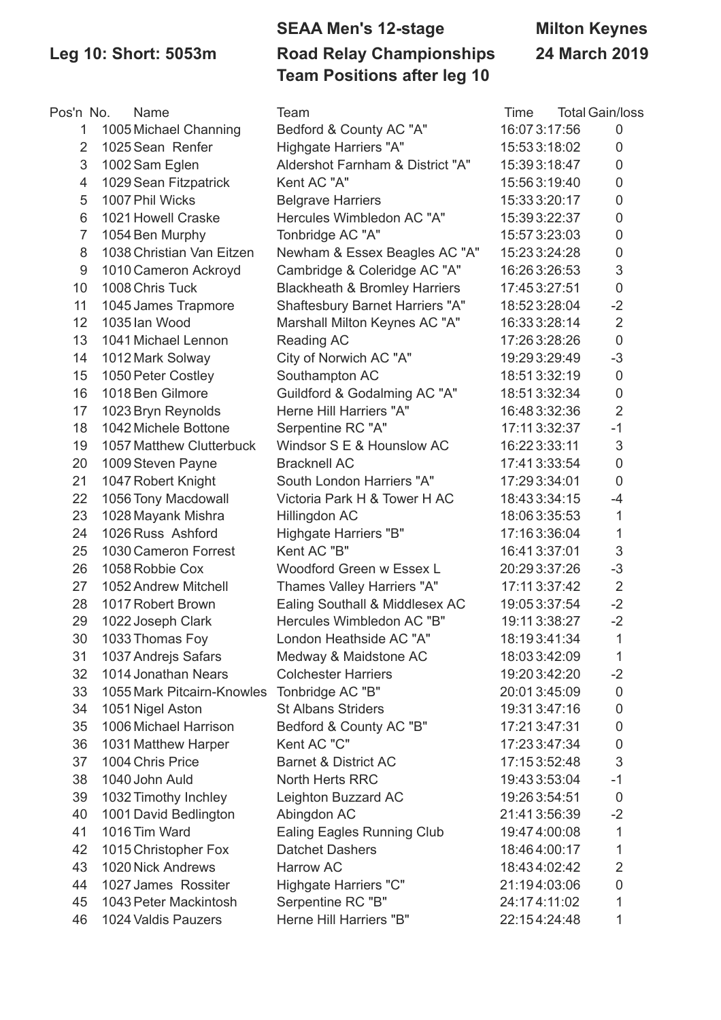## **SEAA Men's 12-stage Milton Keynes Leg 10: Short: 5053m Road Relay Championships 24 March 2019 Team Positions after leg 10**

| Pos'n No.      | Name                            | Team                                     | Time          | <b>Total Gain/loss</b> |
|----------------|---------------------------------|------------------------------------------|---------------|------------------------|
| 1              | 1005 Michael Channing           | Bedford & County AC "A"                  | 16:07 3:17:56 | $\mathbf 0$            |
| $\overline{2}$ | 1025 Sean Renfer                | Highgate Harriers "A"                    | 15:533:18:02  | 0                      |
| 3              | 1002 Sam Eglen                  | Aldershot Farnham & District "A"         | 15:393:18:47  | 0                      |
| 4              | 1029 Sean Fitzpatrick           | Kent AC "A"                              | 15:563:19:40  | 0                      |
| 5              | 1007 Phil Wicks                 | <b>Belgrave Harriers</b>                 | 15:333:20:17  | 0                      |
| 6              | 1021 Howell Craske              | Hercules Wimbledon AC "A"                | 15:393:22:37  | 0                      |
| $\overline{7}$ | 1054 Ben Murphy                 | Tonbridge AC "A"                         | 15:57 3:23:03 | 0                      |
| 8              | 1038 Christian Van Eitzen       | Newham & Essex Beagles AC "A"            | 15:233:24:28  | 0                      |
| 9              | 1010 Cameron Ackroyd            | Cambridge & Coleridge AC "A"             | 16:263:26:53  | 3                      |
| 10             | 1008 Chris Tuck                 | <b>Blackheath &amp; Bromley Harriers</b> | 17:453:27:51  | $\mathsf{O}\xspace$    |
| 11             | 1045 James Trapmore             | <b>Shaftesbury Barnet Harriers "A"</b>   | 18:523:28:04  | $-2$                   |
| 12             | 1035 lan Wood                   | Marshall Milton Keynes AC "A"            | 16:333:28:14  | $\overline{2}$         |
| 13             | 1041 Michael Lennon             | <b>Reading AC</b>                        | 17:263:28:26  | $\mathbf 0$            |
| 14             | 1012 Mark Solway                | City of Norwich AC "A"                   | 19:29 3:29:49 | $-3$                   |
| 15             | 1050 Peter Costley              | Southampton AC                           | 18:513:32:19  | 0                      |
| 16             | 1018 Ben Gilmore                | Guildford & Godalming AC "A"             | 18:513:32:34  | 0                      |
| 17             | 1023 Bryn Reynolds              | Herne Hill Harriers "A"                  | 16:483:32:36  | $\overline{2}$         |
| 18             | 1042 Michele Bottone            | Serpentine RC "A"                        | 17:11 3:32:37 | $-1$                   |
| 19             | <b>1057 Matthew Clutterbuck</b> | Windsor S E & Hounslow AC                | 16:223:33:11  | $\sqrt{3}$             |
| 20             | 1009 Steven Payne               | <b>Bracknell AC</b>                      | 17:413:33:54  | 0                      |
| 21             | 1047 Robert Knight              | South London Harriers "A"                | 17:293:34:01  | 0                      |
| 22             | 1056 Tony Macdowall             | Victoria Park H & Tower H AC             | 18:433:34:15  | $-4$                   |
| 23             | 1028 Mayank Mishra              | Hillingdon AC                            | 18:063:35:53  | 1                      |
| 24             | 1026 Russ Ashford               | <b>Highgate Harriers "B"</b>             | 17:163:36:04  | 1                      |
| 25             | 1030 Cameron Forrest            | Kent AC "B"                              | 16:413:37:01  | 3                      |
| 26             | 1058 Robbie Cox                 | Woodford Green w Essex L                 | 20:293:37:26  | $-3$                   |
| 27             | 1052 Andrew Mitchell            | Thames Valley Harriers "A"               | 17:11 3:37:42 | $\overline{2}$         |
| 28             | 1017 Robert Brown               | Ealing Southall & Middlesex AC           | 19:053:37:54  | $-2$                   |
| 29             | 1022 Joseph Clark               | Hercules Wimbledon AC "B"                | 19:11 3:38:27 | $-2$                   |
| 30             | 1033 Thomas Foy                 | London Heathside AC "A"                  | 18:193:41:34  | 1                      |
| 31             | 1037 Andrejs Safars             | Medway & Maidstone AC                    | 18:033:42:09  | 1                      |
| 32             | 1014 Jonathan Nears             | <b>Colchester Harriers</b>               | 19:20 3:42:20 | $-2$                   |
| 33             | 1055 Mark Pitcairn-Knowles      | Tonbridge AC "B"                         | 20:013:45:09  | 0                      |
| 34             | 1051 Nigel Aston                | <b>St Albans Striders</b>                | 19:313:47:16  | 0                      |
| 35             | 1006 Michael Harrison           | Bedford & County AC "B"                  | 17:213:47:31  | 0                      |
| 36             | 1031 Matthew Harper             | Kent AC "C"                              | 17:233:47:34  | 0                      |
| 37             | 1004 Chris Price                | <b>Barnet &amp; District AC</b>          | 17:153:52:48  | 3                      |
| 38             | 1040 John Auld                  | <b>North Herts RRC</b>                   | 19:433:53:04  | $-1$                   |
| 39             | 1032 Timothy Inchley            | Leighton Buzzard AC                      | 19:263:54:51  | 0                      |
| 40             | 1001 David Bedlington           | Abingdon AC                              | 21:413:56:39  | $-2$                   |
| 41             | 1016 Tim Ward                   | <b>Ealing Eagles Running Club</b>        | 19:474:00:08  | 1                      |
| 42             | 1015 Christopher Fox            | <b>Datchet Dashers</b>                   | 18:464:00:17  | 1                      |
| 43             | 1020 Nick Andrews               | <b>Harrow AC</b>                         | 18:434:02:42  | $\overline{2}$         |
| 44             | 1027 James Rossiter             | Highgate Harriers "C"                    | 21:194:03:06  | 0                      |
| 45             | 1043 Peter Mackintosh           | Serpentine RC "B"                        | 24:174:11:02  | 1                      |
| 46             | 1024 Valdis Pauzers             | Herne Hill Harriers "B"                  | 22:154:24:48  | 1                      |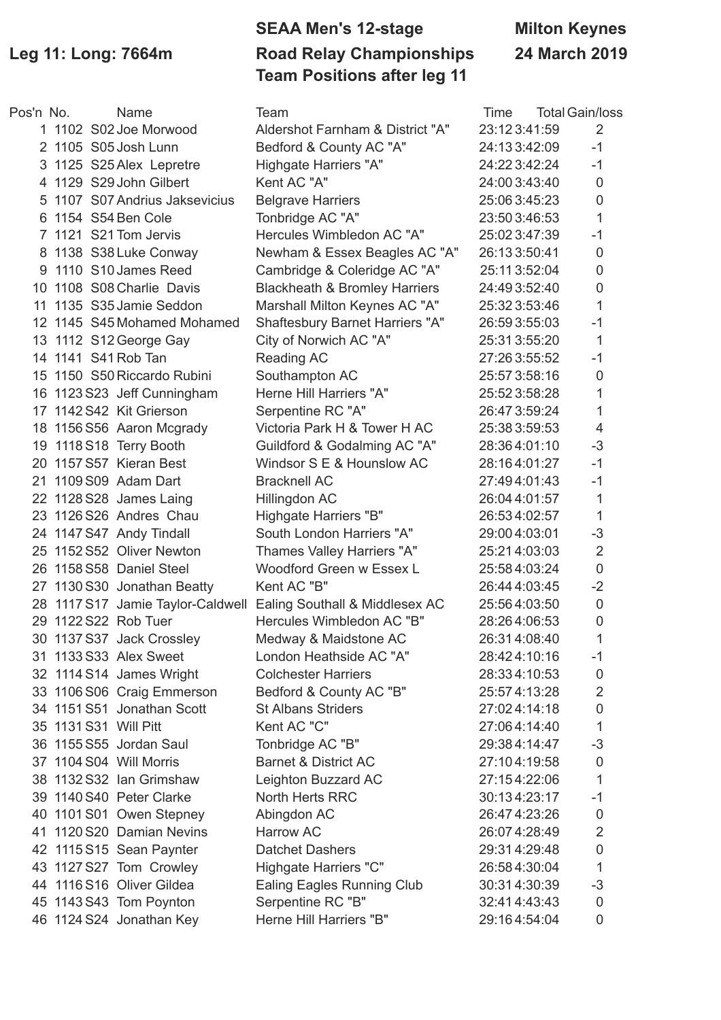## **SEAA Men's 12-stage Milton Keynes Leg 11: Long: 7664m Road Relay Championships 24 March 2019 Team Positions after leg 11**

| Pos'n No. | Name                           | Team                                                             | Time         | <b>Total Gain/loss</b> |
|-----------|--------------------------------|------------------------------------------------------------------|--------------|------------------------|
|           | 1 1102 S02 Joe Morwood         | Aldershot Farnham & District "A"                                 | 23:123:41:59 | 2                      |
|           | 2 1105 S05 Josh Lunn           | Bedford & County AC "A"                                          | 24:133:42:09 | $-1$                   |
|           | 3 1125 S25 Alex Lepretre       | Highgate Harriers "A"                                            | 24:223:42:24 | $-1$                   |
|           | 4 1129 S29 John Gilbert        | Kent AC "A"                                                      | 24:003:43:40 | $\mathbf 0$            |
|           | 5 1107 S07 Andrius Jaksevicius | <b>Belgrave Harriers</b>                                         | 25:063:45:23 | $\mathbf 0$            |
|           | 6 1154 S54 Ben Cole            | Tonbridge AC "A"                                                 | 23:503:46:53 | $\mathbf{1}$           |
|           | 7 1121 S21 Tom Jervis          | Hercules Wimbledon AC "A"                                        | 25:023:47:39 | $-1$                   |
|           | 8 1138 S38 Luke Conway         | Newham & Essex Beagles AC "A"                                    | 26:133:50:41 | $\mathbf 0$            |
|           | 9 1110 S10 James Reed          | Cambridge & Coleridge AC "A"                                     | 25:113:52:04 | $\mathbf 0$            |
|           | 10 1108 S08 Charlie Davis      | <b>Blackheath &amp; Bromley Harriers</b>                         | 24:493:52:40 | $\mathbf 0$            |
|           | 11 1135 S35 Jamie Seddon       | Marshall Milton Keynes AC "A"                                    | 25:323:53:46 | 1                      |
|           | 12 1145 S45 Mohamed Mohamed    | <b>Shaftesbury Barnet Harriers "A"</b>                           | 26:593:55:03 | $-1$                   |
|           | 13 1112 S12 George Gay         | City of Norwich AC "A"                                           | 25:313:55:20 | $\mathbf{1}$           |
|           | 14 1141 S41 Rob Tan            | Reading AC                                                       | 27:263:55:52 | $-1$                   |
|           | 15 1150 S50 Riccardo Rubini    | Southampton AC                                                   | 25:573:58:16 | $\mathbf 0$            |
|           | 16 1123 S23 Jeff Cunningham    | Herne Hill Harriers "A"                                          | 25:523:58:28 | 1                      |
|           | 17 1142 S42 Kit Grierson       | Serpentine RC "A"                                                | 26:473:59:24 | 1                      |
|           | 18 1156 S56 Aaron Mcgrady      | Victoria Park H & Tower H AC                                     | 25:383:59:53 | $\overline{4}$         |
|           | 19 1118 S18 Terry Booth        | Guildford & Godalming AC "A"                                     | 28:364:01:10 | $-3$                   |
|           | 20 1157 S57 Kieran Best        | Windsor S E & Hounslow AC                                        | 28:164:01:27 | $-1$                   |
|           | 21 1109 S09 Adam Dart          | <b>Bracknell AC</b>                                              | 27:494:01:43 | $-1$                   |
|           | 22 1128 S28 James Laing        | Hillingdon AC                                                    | 26:044:01:57 | $\mathbf{1}$           |
|           | 23 1126 S26 Andres Chau        | Highgate Harriers "B"                                            | 26:534:02:57 | 1                      |
|           | 24 1147 S47 Andy Tindall       | South London Harriers "A"                                        | 29:004:03:01 | $-3$                   |
|           | 25 1152 S52 Oliver Newton      | Thames Valley Harriers "A"                                       | 25:214:03:03 | $\overline{2}$         |
|           | 26 1158 S58 Daniel Steel       | Woodford Green w Essex L                                         | 25:584:03:24 | $\mathbf 0$            |
|           | 27 1130 S30 Jonathan Beatty    | Kent AC "B"                                                      | 26:444:03:45 | $-2$                   |
|           |                                | 28 1117 S17 Jamie Taylor-Caldwell Ealing Southall & Middlesex AC | 25:564:03:50 | $\mathbf 0$            |
|           | 29 1122 S22 Rob Tuer           | Hercules Wimbledon AC "B"                                        | 28:264:06:53 | $\mathbf 0$            |
|           | 30 1137 S37 Jack Crossley      | Medway & Maidstone AC                                            | 26:314:08:40 | 1                      |
|           | 31 1133 S33 Alex Sweet         | London Heathside AC "A"                                          | 28:424:10:16 | $-1$                   |
|           | 32 1114 S14 James Wright       | <b>Colchester Harriers</b>                                       | 28:334:10:53 | $\mathbf 0$            |
|           | 33 1106 S06 Craig Emmerson     | Bedford & County AC "B"                                          | 25:574:13:28 | $\overline{2}$         |
|           | 34 1151 S51 Jonathan Scott     | <b>St Albans Striders</b>                                        | 27:024:14:18 | $\mathsf 0$            |
|           | 35 1131 S31 Will Pitt          | Kent AC "C"                                                      | 27:064:14:40 | 1                      |
|           | 36 1155 S55 Jordan Saul        | Tonbridge AC "B"                                                 | 29:384:14:47 | $-3$                   |
|           | 37 1104 S04 Will Morris        | <b>Barnet &amp; District AC</b>                                  | 27:104:19:58 | $\mathbf 0$            |
|           | 38 1132 S32 Ian Grimshaw       | Leighton Buzzard AC                                              | 27:154:22:06 | 1                      |
|           | 39 1140 S40 Peter Clarke       | North Herts RRC                                                  | 30:134:23:17 | $-1$                   |
|           | 40 1101 S01 Owen Stepney       | Abingdon AC                                                      | 26:474:23:26 | $\mathbf 0$            |
|           | 41 1120 S20 Damian Nevins      | Harrow AC                                                        | 26:074:28:49 | $\overline{2}$         |
|           | 42 1115 S15 Sean Paynter       | <b>Datchet Dashers</b>                                           | 29:314:29:48 | $\boldsymbol{0}$       |
|           | 43 1127 S27 Tom Crowley        | Highgate Harriers "C"                                            | 26:584:30:04 | $\mathbf{1}$           |
|           | 44 1116 S16 Oliver Gildea      | <b>Ealing Eagles Running Club</b>                                | 30:314:30:39 | $-3$                   |
|           | 45 1143 S43 Tom Poynton        | Serpentine RC "B"                                                | 32:414:43:43 | $\mathbf 0$            |
|           | 46 1124 S24 Jonathan Key       | Herne Hill Harriers "B"                                          | 29:164:54:04 | $\overline{0}$         |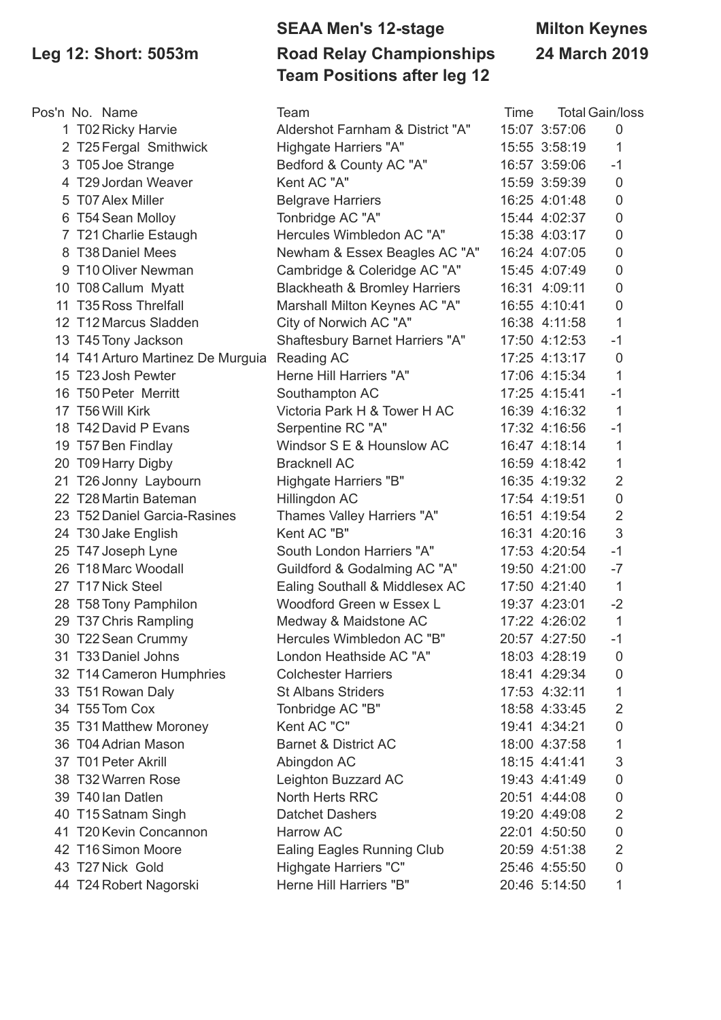# **SEAA Men's 12-stage Milton Keynes Leg 12: Short: 5053m Road Relay Championships 24 March 2019 Team Positions after leg 12**

| Pos'n No. Name                    | Team                                     | Time |               | <b>Total Gain/loss</b> |
|-----------------------------------|------------------------------------------|------|---------------|------------------------|
| 1 T02 Ricky Harvie                | Aldershot Farnham & District "A"         |      | 15:07 3:57:06 | 0                      |
| 2 T25 Fergal Smithwick            | Highgate Harriers "A"                    |      | 15:55 3:58:19 | 1                      |
| 3 T05 Joe Strange                 | Bedford & County AC "A"                  |      | 16:57 3:59:06 | $-1$                   |
| 4 T29 Jordan Weaver               | Kent AC "A"                              |      | 15:59 3:59:39 | $\overline{0}$         |
| 5 T07 Alex Miller                 | <b>Belgrave Harriers</b>                 |      | 16:25 4:01:48 | $\mathbf 0$            |
| 6 T54 Sean Molloy                 | Tonbridge AC "A"                         |      | 15:44 4:02:37 | $\mathbf 0$            |
| 7 T21 Charlie Estaugh             | Hercules Wimbledon AC "A"                |      | 15:38 4:03:17 | $\mathbf 0$            |
| 8 T38 Daniel Mees                 | Newham & Essex Beagles AC "A"            |      | 16:24 4:07:05 | $\mathbf 0$            |
| 9 T10 Oliver Newman               | Cambridge & Coleridge AC "A"             |      | 15:45 4:07:49 | $\mathbf 0$            |
| 10 T08 Callum Myatt               | <b>Blackheath &amp; Bromley Harriers</b> |      | 16:31 4:09:11 | 0                      |
| 11 T35 Ross Threlfall             | Marshall Milton Keynes AC "A"            |      | 16:55 4:10:41 | $\mathbf 0$            |
| 12 T12 Marcus Sladden             | City of Norwich AC "A"                   |      | 16:38 4:11:58 | 1                      |
| 13 T45 Tony Jackson               | Shaftesbury Barnet Harriers "A"          |      | 17:50 4:12:53 | $-1$                   |
| 14 T41 Arturo Martinez De Murguia | Reading AC                               |      | 17:25 4:13:17 | 0                      |
| 15 T23 Josh Pewter                | Herne Hill Harriers "A"                  |      | 17:06 4:15:34 | 1                      |
| 16 T50 Peter Merritt              | Southampton AC                           |      | 17:25 4:15:41 | $-1$                   |
| 17 T56 Will Kirk                  | Victoria Park H & Tower H AC             |      | 16:39 4:16:32 | 1                      |
| 18 T42 David P Evans              | Serpentine RC "A"                        |      | 17:32 4:16:56 | $-1$                   |
| 19 T57 Ben Findlay                | Windsor S E & Hounslow AC                |      | 16:47 4:18:14 | 1                      |
| 20 T09 Harry Digby                | <b>Bracknell AC</b>                      |      | 16:59 4:18:42 | 1                      |
| 21 T26 Jonny Laybourn             | Highgate Harriers "B"                    |      | 16:35 4:19:32 | $\overline{2}$         |
| 22 T28 Martin Bateman             | Hillingdon AC                            |      | 17:54 4:19:51 | $\mathsf{O}\xspace$    |
| 23 T52 Daniel Garcia-Rasines      | Thames Valley Harriers "A"               |      | 16:51 4:19:54 | $\overline{2}$         |
| 24 T30 Jake English               | Kent AC "B"                              |      | 16:31 4:20:16 | 3                      |
| 25 T47 Joseph Lyne                | South London Harriers "A"                |      | 17:53 4:20:54 | $-1$                   |
| 26 T18 Marc Woodall               | Guildford & Godalming AC "A"             |      | 19:50 4:21:00 | $-7$                   |
| 27 T17 Nick Steel                 | Ealing Southall & Middlesex AC           |      | 17:50 4:21:40 | $\mathbf{1}$           |
| 28 T58 Tony Pamphilon             | Woodford Green w Essex L                 |      | 19:37 4:23:01 | $-2$                   |
| 29 T37 Chris Rampling             | Medway & Maidstone AC                    |      | 17:22 4:26:02 | $\mathbf{1}$           |
| 30 T22 Sean Crummy                | Hercules Wimbledon AC "B"                |      | 20:57 4:27:50 | $-1$                   |
| 31 T33 Daniel Johns               | London Heathside AC "A"                  |      | 18:03 4:28:19 | 0                      |
| 32 T14 Cameron Humphries          | <b>Colchester Harriers</b>               |      | 18:41 4:29:34 | 0                      |
| 33 T51 Rowan Daly                 | <b>St Albans Striders</b>                |      | 17:53 4:32:11 | 1                      |
| 34 T55 Tom Cox                    | Tonbridge AC "B"                         |      | 18:58 4:33:45 | $\overline{2}$         |
| 35 T31 Matthew Moroney            | Kent AC "C"                              |      | 19:41 4:34:21 | 0                      |
| 36 T04 Adrian Mason               | <b>Barnet &amp; District AC</b>          |      | 18:00 4:37:58 | 1                      |
| 37 T01 Peter Akrill               | Abingdon AC                              |      | 18:15 4:41:41 | 3                      |
| 38 T32 Warren Rose                | Leighton Buzzard AC                      |      | 19:43 4:41:49 | 0                      |
| 39 T40 lan Datlen                 | North Herts RRC                          |      | 20:51 4:44:08 | 0                      |
| 40 T15 Satnam Singh               | <b>Datchet Dashers</b>                   |      | 19:20 4:49:08 | $\overline{2}$         |
| 41 T20 Kevin Concannon            | Harrow AC                                |      | 22:01 4:50:50 | 0                      |
| 42 T16 Simon Moore                | <b>Ealing Eagles Running Club</b>        |      | 20:59 4:51:38 | $\overline{2}$         |
| 43 T27 Nick Gold                  | Highgate Harriers "C"                    |      | 25:46 4:55:50 | $\mathbf 0$            |
| 44 T24 Robert Nagorski            | Herne Hill Harriers "B"                  |      | 20:46 5:14:50 | 1                      |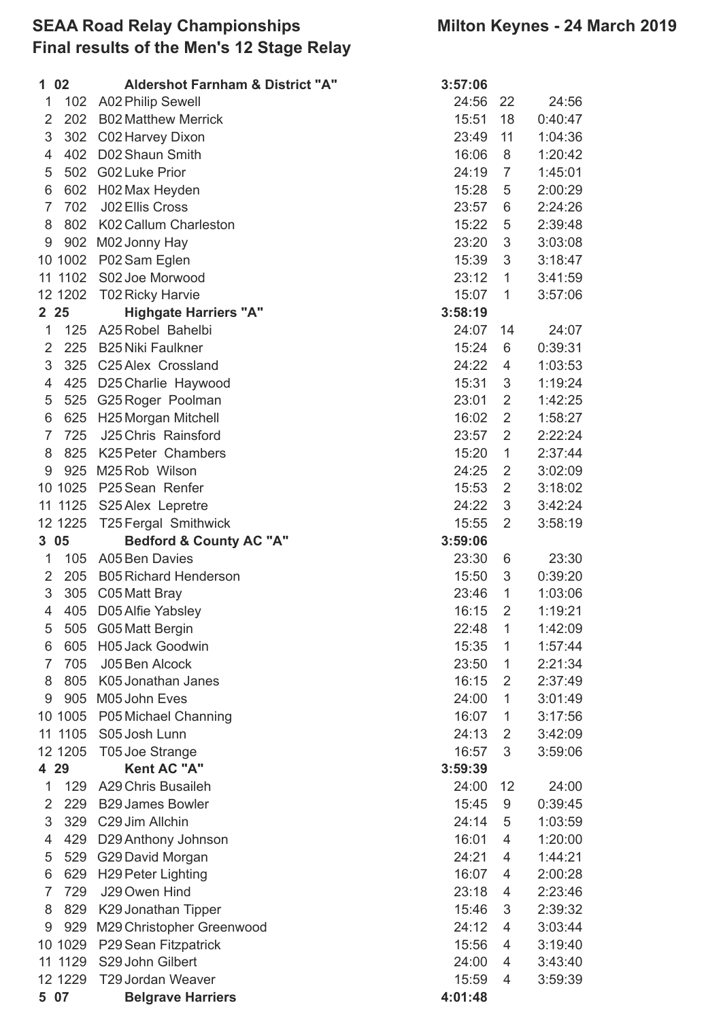### **SEAA Road Relay Championships Milton Keynes - 24 March 2019 Final results of the Men's 12 Stage Relay**

|                | 1 02     | <b>Aldershot Farnham &amp; District "A"</b> | 3:57:06 |                |         |
|----------------|----------|---------------------------------------------|---------|----------------|---------|
| 1              | 102      | <b>A02 Philip Sewell</b>                    | 24:56   | 22             | 24:56   |
| $\overline{2}$ | 202      | <b>B02 Matthew Merrick</b>                  | 15:51   | 18             | 0:40:47 |
| 3              | 302      | C02 Harvey Dixon                            | 23:49   | 11             | 1:04:36 |
| 4              | 402      | D02 Shaun Smith                             | 16:06   | 8              | 1:20:42 |
| 5              | 502      | <b>G02 Luke Prior</b>                       | 24:19   | 7              | 1:45:01 |
| 6              | 602      | H02 Max Heyden                              | 15:28   | 5              | 2:00:29 |
| 7              | 702      | J02 Ellis Cross                             | 23:57   | 6              | 2:24:26 |
| 8              |          | 802 K02 Callum Charleston                   | 15:22   | 5              | 2:39:48 |
| 9              | 902      | M02 Jonny Hay                               | 23:20   | 3              | 3:03:08 |
|                | 10 1002  | P02 Sam Eglen                               | 15:39   | 3              | 3:18:47 |
|                | 11 1102  | S02 Joe Morwood                             | 23:12   | $\mathbf{1}$   | 3:41:59 |
|                | 12 1202  | <b>T02 Ricky Harvie</b>                     | 15:07   | 1              | 3:57:06 |
|                | 2 25     | <b>Highgate Harriers "A"</b>                | 3:58:19 |                |         |
| 1              | 125      | A25 Robel Bahelbi                           | 24:07   | 14             | 24:07   |
| $\overline{2}$ | 225      | <b>B25 Niki Faulkner</b>                    | 15:24   | 6              | 0:39:31 |
| 3              | 325      | C25 Alex Crossland                          | 24:22   | 4              | 1:03:53 |
| 4              | 425      | D25 Charlie Haywood                         | 15:31   | 3              | 1:19:24 |
| 5              | 525      | G25 Roger Poolman                           | 23:01   | $\overline{2}$ | 1:42:25 |
| 6              | 625      | H25 Morgan Mitchell                         | 16:02   | $\overline{2}$ | 1:58:27 |
| $\overline{7}$ | 725      | J25 Chris Rainsford                         | 23:57   | $\overline{2}$ | 2:22:24 |
| 8              | 825      | K25 Peter Chambers                          | 15:20   | $\mathbf{1}$   | 2:37:44 |
| 9              |          | 925 M25 Rob Wilson                          | 24:25   | $\overline{2}$ | 3:02:09 |
|                | 10 1025  | P25 Sean Renfer                             | 15:53   | $\overline{2}$ | 3:18:02 |
|                | 11 11 25 | S25 Alex Lepretre                           | 24:22   | 3              | 3:42:24 |
|                | 12 1225  | <b>T25 Fergal Smithwick</b>                 | 15:55   | $\overline{2}$ | 3:58:19 |
|                | 305      | <b>Bedford &amp; County AC "A"</b>          | 3:59:06 |                |         |
| 1              | 105      | <b>A05 Ben Davies</b>                       | 23:30   | 6              | 23:30   |
| $\overline{2}$ | 205      | <b>B05 Richard Henderson</b>                | 15:50   | 3              | 0:39:20 |
| 3              | 305      | C05 Matt Bray                               | 23:46   | 1              | 1:03:06 |
| 4              |          | 405 D05 Alfie Yabsley                       | 16:15   | $\overline{2}$ | 1:19:21 |
| 5              | 505      | G05 Matt Bergin                             | 22:48   | 1              | 1:42:09 |
| 6              | 605      | <b>H05 Jack Goodwin</b>                     | 15:35   | 1              | 1:57:44 |
| 7              | 705      | J05 Ben Alcock                              | 23:50   | 1              | 2:21:34 |
| 8              | 805      | K05 Jonathan Janes                          | 16:15   | 2              | 2:37:49 |
| 9              |          | 905 M05 John Eves                           | 24:00   | $\mathbf{1}$   | 3:01:49 |
|                | 10 1005  | P05 Michael Channing                        | 16:07   | 1              | 3:17:56 |
|                | 11 1105  | S05 Josh Lunn                               | 24:13   | 2              | 3:42:09 |
|                | 12 1205  | T05 Joe Strange                             | 16:57   | 3              | 3:59:06 |
|                | 4 29     | Kent AC "A"                                 | 3:59:39 |                |         |
| 1              | 129      | A29 Chris Busaileh                          | 24:00   | 12             | 24:00   |
| $\overline{2}$ | 229      | <b>B29 James Bowler</b>                     | 15:45   | 9              | 0:39:45 |
| 3              | 329      | C29 Jim Allchin                             | 24:14   | 5              | 1:03:59 |
| 4              | 429      | D29 Anthony Johnson                         | 16:01   | 4              | 1:20:00 |
| 5              | 529      | G29 David Morgan                            | 24:21   | 4              | 1:44:21 |
| 6              | 629      | <b>H29 Peter Lighting</b>                   | 16:07   | 4              | 2:00:28 |
| 7              | 729      | J29 Owen Hind                               | 23:18   | 4              | 2:23:46 |
| 8              | 829      | K29 Jonathan Tipper                         | 15:46   | 3              | 2:39:32 |
| 9              | 929      | M29 Christopher Greenwood                   | 24:12   | 4              | 3:03:44 |
|                | 10 1029  | P29 Sean Fitzpatrick                        | 15:56   | 4              | 3:19:40 |
|                | 11 11 29 | S29 John Gilbert                            | 24:00   | 4              | 3:43:40 |
|                | 12 1229  | T29 Jordan Weaver                           | 15:59   | 4              | 3:59:39 |
|                | 5 07     | <b>Belgrave Harriers</b>                    | 4:01:48 |                |         |
|                |          |                                             |         |                |         |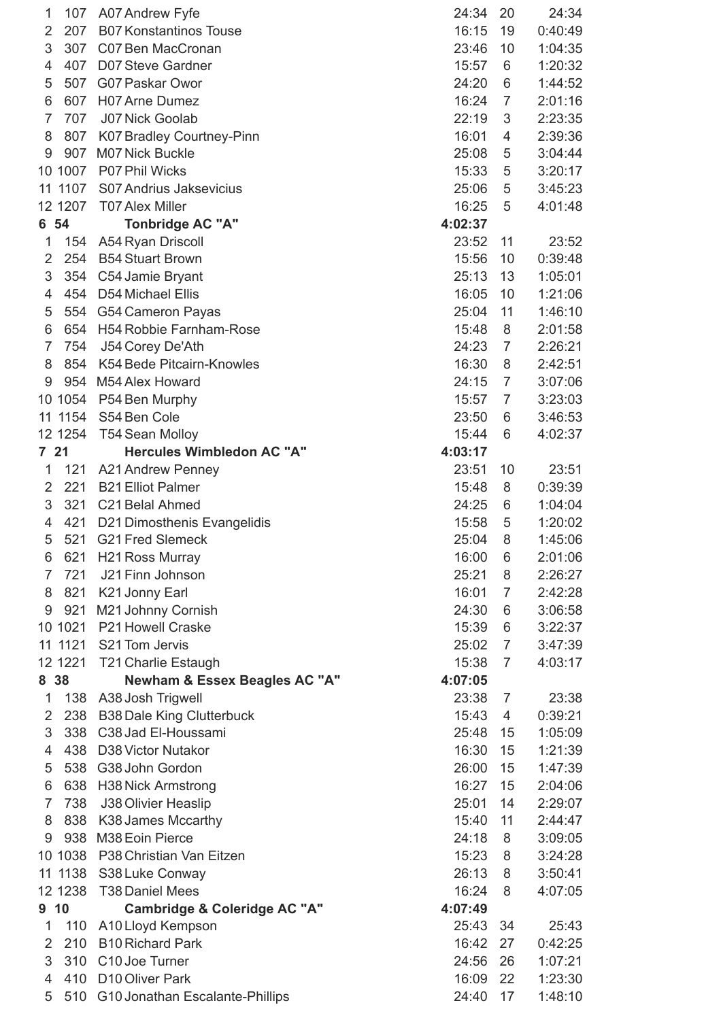| 1               | 107      | A07 Andrew Fyfe                          | 24:34   | 20             | 24:34   |
|-----------------|----------|------------------------------------------|---------|----------------|---------|
| 2               | 207      | <b>B07 Konstantinos Touse</b>            | 16:15   | 19             | 0:40:49 |
| 3               | 307      | C07 Ben MacCronan                        | 23:46   | 10             | 1:04:35 |
| 4               | 407      | D07 Steve Gardner                        | 15:57   | 6              | 1:20:32 |
| 5               | 507      | G07 Paskar Owor                          | 24:20   | 6              | 1:44:52 |
| 6               | 607      | H07 Arne Dumez                           | 16:24   | 7              | 2:01:16 |
| 7               | 707      | <b>J07 Nick Goolab</b>                   | 22:19   | 3              | 2:23:35 |
| 8               | 807      | <b>K07 Bradley Courtney-Pinn</b>         | 16:01   | 4              | 2:39:36 |
| 9               | 907      | <b>M07 Nick Buckle</b>                   | 25:08   | 5              | 3:04:44 |
| 10              | 1007     | P07 Phil Wicks                           | 15:33   | 5              | 3:20:17 |
| 11              | 1107     | S07 Andrius Jaksevicius                  | 25:06   | 5              | 3:45:23 |
|                 | 12 1207  | <b>T07 Alex Miller</b>                   | 16:25   | 5              | 4:01:48 |
| 6               | 54       | <b>Tonbridge AC "A"</b>                  | 4:02:37 |                |         |
| 1               | 154      | A54 Ryan Driscoll                        | 23:52   | 11             | 23:52   |
| 2               | 254      | <b>B54 Stuart Brown</b>                  | 15:56   | 10             | 0:39:48 |
| 3               | 354      | C54 Jamie Bryant                         | 25:13   | 13             | 1:05:01 |
| 4               | 454      | D54 Michael Ellis                        | 16:05   | 10             | 1:21:06 |
| 5               | 554      | <b>G54 Cameron Payas</b>                 | 25:04   | 11             | 1:46:10 |
| 6               | 654      | H54 Robbie Farnham-Rose                  | 15:48   | 8              | 2:01:58 |
| 7               | 754      | J54 Corey De'Ath                         | 24:23   | $\overline{7}$ | 2:26:21 |
| 8               | 854      | K54 Bede Pitcairn-Knowles                | 16:30   | 8              | 2:42:51 |
| 9               | 954      | M54 Alex Howard                          | 24:15   | $\overline{7}$ | 3:07:06 |
|                 | 10 1054  |                                          | 15:57   | 7              |         |
|                 | 1154     | P54 Ben Murphy<br>S54 Ben Cole           |         |                | 3:23:03 |
| 11              |          |                                          | 23:50   | 6              | 3:46:53 |
|                 | 12 12 54 | <b>T54 Sean Molloy</b>                   | 15:44   | 6              | 4:02:37 |
| 7 21            |          | <b>Hercules Wimbledon AC "A"</b>         | 4:03:17 |                |         |
| 1               | 121      | A21 Andrew Penney                        | 23:51   | 10             | 23:51   |
| 2               | 221      | <b>B21 Elliot Palmer</b>                 | 15:48   | 8              | 0:39:39 |
| 3               | 321      | C21 Belal Ahmed                          | 24:25   | 6              | 1:04:04 |
| 4               | 421      | D21 Dimosthenis Evangelidis              | 15:58   | 5              | 1:20:02 |
| 5               | 521      | <b>G21 Fred Slemeck</b>                  | 25:04   | 8              | 1:45:06 |
| 6               | 621      | H21 Ross Murray                          | 16:00   | 6              | 2:01:06 |
| 7               | 721      | J21 Finn Johnson                         | 25:21   | 8              | 2:26:27 |
| 8               | 821      | K21 Jonny Earl                           | 16:01   | 7              | 2:42:28 |
| 9               | 921      | M21 Johnny Cornish                       | 24:30   | 6              | 3:06:58 |
|                 | 10 1021  | P21 Howell Craske                        | 15:39   | 6              | 3:22:37 |
|                 | 11 11 21 | S21 Tom Jervis                           | 25:02   | $\overline{7}$ | 3:47:39 |
|                 | 12 1221  | <b>T21 Charlie Estaugh</b>               | 15:38   | $\overline{7}$ | 4:03:17 |
| 8 38            |          | <b>Newham &amp; Essex Beagles AC "A"</b> | 4:07:05 |                |         |
| 1               | 138      | A38 Josh Trigwell                        | 23:38   | 7              | 23:38   |
| $\overline{2}$  | 238      | <b>B38 Dale King Clutterbuck</b>         | 15:43   | 4              | 0:39:21 |
| 3               | 338      | C38 Jad El-Houssami                      | 25:48   | 15             | 1:05:09 |
| 4               | 438      | D38 Victor Nutakor                       | 16:30   | 15             | 1:21:39 |
| 5               | 538      | G38 John Gordon                          | 26:00   | 15             | 1:47:39 |
| 6               | 638      | <b>H38 Nick Armstrong</b>                | 16:27   | 15             | 2:04:06 |
| 7               | 738      | J38 Olivier Heaslip                      | 25:01   | 14             | 2:29:07 |
| 8               | 838      | K38 James Mccarthy                       | 15:40   | 11             | 2:44:47 |
| 9               | 938      | M38 Eoin Pierce                          | 24:18   | 8              | 3:09:05 |
|                 | 10 1038  | P38 Christian Van Eitzen                 | 15:23   | 8              | 3:24:28 |
|                 | 11 1138  | S38 Luke Conway                          | 26:13   | 8              | 3:50:41 |
|                 | 12 1238  | <b>T38 Daniel Mees</b>                   | 16:24   | 8              | 4:07:05 |
| 9 <sub>10</sub> |          | Cambridge & Coleridge AC "A"             | 4:07:49 |                |         |
| 1               | 110      | A10 Lloyd Kempson                        | 25:43   | 34             | 25:43   |
|                 |          |                                          |         |                |         |
| 2               | 210      | <b>B10 Richard Park</b>                  | 16:42   | 27             | 0:42:25 |
| 3               | 310      | C10 Joe Turner                           | 24:56   | 26             | 1:07:21 |
| 4               | 410      | D10 Oliver Park                          | 16:09   | 22             | 1:23:30 |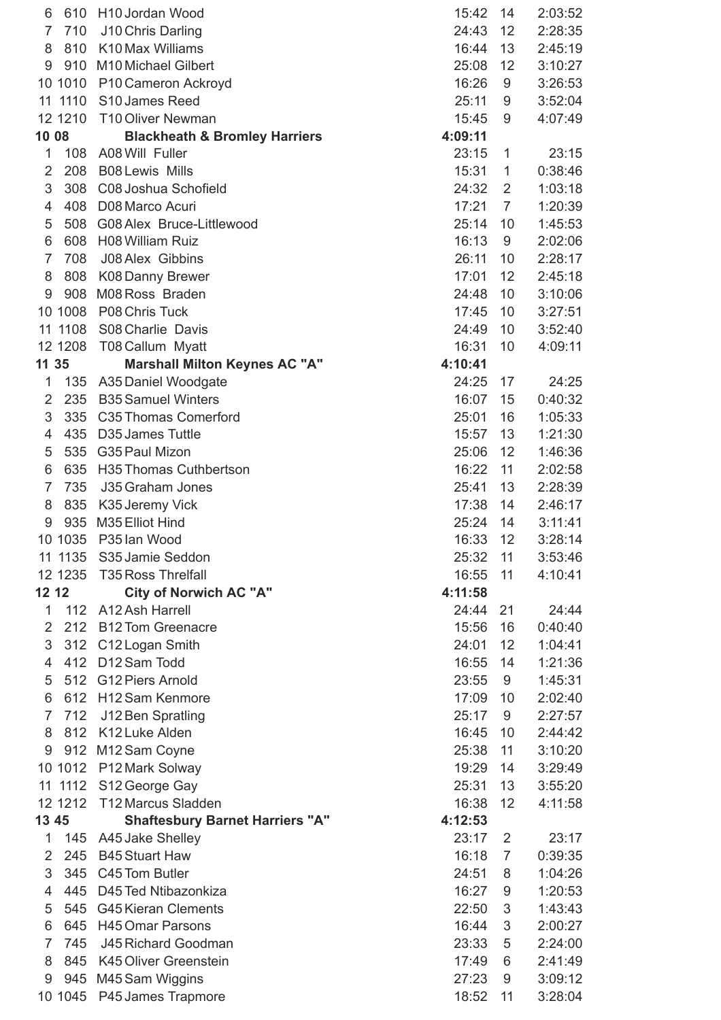| 6              | 610      | H10 Jordan Wood                          | 15:42   | 14             | 2:03:52 |
|----------------|----------|------------------------------------------|---------|----------------|---------|
| 7              | 710      | J10 Chris Darling                        | 24:43   | 12             | 2:28:35 |
| 8              | 810      | K10 Max Williams                         | 16:44   | 13             | 2:45:19 |
| 9              | 910      | M10 Michael Gilbert                      | 25:08   | 12             | 3:10:27 |
|                | 10 1010  | P10 Cameron Ackroyd                      | 16:26   | 9              | 3:26:53 |
|                |          | 11 1110 S10 James Reed                   | 25:11   | 9              | 3:52:04 |
|                | 12 1210  | T10 Oliver Newman                        | 15:45   | 9              | 4:07:49 |
| 10 08          |          | <b>Blackheath &amp; Bromley Harriers</b> | 4:09:11 |                |         |
| 1              | 108      | A08 Will Fuller                          | 23:15   | 1              | 23:15   |
| $\overline{2}$ | 208      | <b>B08 Lewis Mills</b>                   | 15:31   | 1              | 0:38:46 |
| 3              | 308      | C08 Joshua Schofield                     | 24:32   | $\overline{2}$ | 1:03:18 |
| 4              | 408      | D08 Marco Acuri                          | 17:21   | $\overline{7}$ | 1:20:39 |
| 5              | 508      | G08 Alex Bruce-Littlewood                | 25:14   | 10             | 1:45:53 |
| 6              | 608      | H08 William Ruiz                         | 16:13   | 9              | 2:02:06 |
| $\overline{7}$ | 708      | J08 Alex Gibbins                         | 26:11   | 10             | 2:28:17 |
| 8              | 808      | K08 Danny Brewer                         | 17:01   | 12             | 2:45:18 |
| 9              | 908      | M08 Ross Braden                          | 24:48   | 10             |         |
|                |          |                                          |         |                | 3:10:06 |
|                | 10 1008  | P08 Chris Tuck                           | 17:45   | 10             | 3:27:51 |
|                | 11 1108  | S08 Charlie Davis                        | 24:49   | 10             | 3:52:40 |
|                | 12 1208  | T08 Callum Myatt                         | 16:31   | 10             | 4:09:11 |
| 11 35          |          | <b>Marshall Milton Keynes AC "A"</b>     | 4:10:41 |                |         |
| 1              |          | 135 A35 Daniel Woodgate                  | 24:25   | 17             | 24:25   |
| $\overline{2}$ | 235      | <b>B35 Samuel Winters</b>                | 16:07   | 15             | 0:40:32 |
| 3              | 335      | C35 Thomas Comerford                     | 25:01   | 16             | 1:05:33 |
| 4              | 435      | D <sub>35</sub> James Tuttle             | 15:57   | 13             | 1:21:30 |
| 5              | 535      | G35 Paul Mizon                           | 25:06   | 12             | 1:46:36 |
| 6              | 635      | H35 Thomas Cuthbertson                   | 16:22   | 11             | 2:02:58 |
| $\overline{7}$ | 735      | J35 Graham Jones                         | 25:41   | 13             | 2:28:39 |
| 8              | 835      | K35 Jeremy Vick                          | 17:38   | 14             | 2:46:17 |
| 9              | 935      | M35 Elliot Hind                          | 25:24   | 14             | 3:11:41 |
|                | 10 1035  | P35 lan Wood                             | 16:33   | 12             | 3:28:14 |
| 11             |          | 1135 S35 Jamie Seddon                    | 25:32   | 11             | 3:53:46 |
|                | 12 12 35 | <b>T35 Ross Threlfall</b>                | 16:55   | 11             | 4:10:41 |
| 12 12          |          | <b>City of Norwich AC "A"</b>            | 4:11:58 |                |         |
| 1              | 112      | A12 Ash Harrell                          | 24:44   | 21             | 24:44   |
| $\overline{2}$ | 212      | <b>B12 Tom Greenacre</b>                 | 15:56   | 16             | 0:40:40 |
| 3              | 312      | C12 Logan Smith                          | 24:01   | 12             | 1:04:41 |
| 4              | 412      | D12 Sam Todd                             | 16:55   | 14             | 1:21:36 |
| 5              | 512      | G12 Piers Arnold                         | 23:55   | 9              | 1:45:31 |
| 6              | 612      | <b>H12 Sam Kenmore</b>                   | 17:09   | 10             | 2:02:40 |
| $\overline{7}$ | 712      | J12 Ben Spratling                        | 25:17   | 9              | 2:27:57 |
| 8              | 812      | K12 Luke Alden                           | 16:45   | 10             | 2:44:42 |
| 9              | 912      | M12 Sam Coyne                            | 25:38   | 11             | 3:10:20 |
|                |          | 10 1012 P12 Mark Solway                  | 19:29   | 14             | 3:29:49 |
|                |          | 11 1112 S12 George Gay                   | 25:31   | 13             | 3:55:20 |
|                | 12 1212  | T12 Marcus Sladden                       | 16:38   | 12             | 4:11:58 |
|                |          |                                          |         |                |         |
| 13 45          |          | <b>Shaftesbury Barnet Harriers "A"</b>   | 4:12:53 |                |         |
| 1              | 145      | A45 Jake Shelley                         | 23:17   | $\overline{2}$ | 23:17   |
| $\overline{2}$ | 245      | <b>B45 Stuart Haw</b>                    | 16:18   | $\overline{7}$ | 0:39:35 |
| 3              | 345      | C45 Tom Butler                           | 24:51   | 8              | 1:04:26 |
| 4              | 445      | D45 Ted Ntibazonkiza                     | 16:27   | 9              | 1:20:53 |
| 5              | 545      | <b>G45 Kieran Clements</b>               | 22:50   | 3              | 1:43:43 |
| 6              | 645      | <b>H45 Omar Parsons</b>                  | 16:44   | 3              | 2:00:27 |
| $\overline{7}$ | 745      | J45 Richard Goodman                      | 23:33   | 5              | 2:24:00 |
| 8              | 845      | K45 Oliver Greenstein                    | 17:49   | 6              | 2:41:49 |
| 9              | 945      | M45 Sam Wiggins                          | 27:23   | 9              | 3:09:12 |
|                | 10 1045  | P45 James Trapmore                       | 18:52   | 11             | 3:28:04 |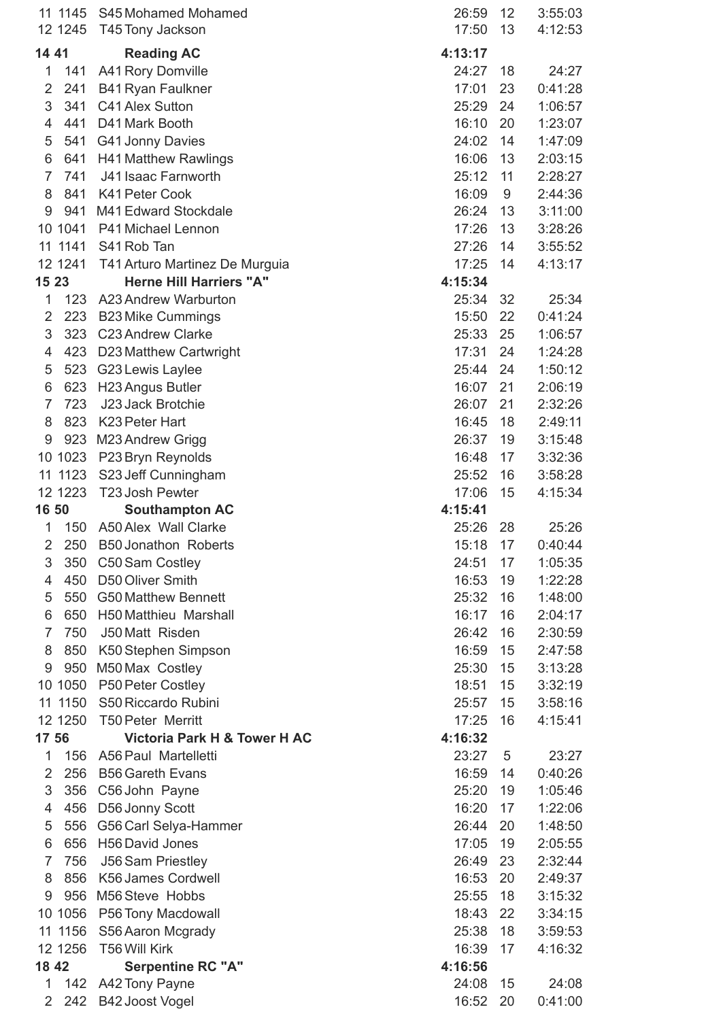| 11             | 1145<br>12 1245 | S45 Mohamed Mohamed<br>T45 Tony Jackson | 26:59<br>17:50 | 12<br>13 | 3:55:03<br>4:12:53 |
|----------------|-----------------|-----------------------------------------|----------------|----------|--------------------|
|                |                 |                                         |                |          |                    |
| 14 41          |                 | <b>Reading AC</b>                       | 4:13:17        |          |                    |
| 1              | 141             | A41 Rory Domville                       | 24:27          | 18       | 24:27              |
| 2              | 241             | <b>B41 Ryan Faulkner</b>                | 17:01          | 23       | 0:41:28            |
| 3              | 341             | C41 Alex Sutton                         | 25:29          | 24       | 1:06:57            |
| $\overline{4}$ | 441             | D41 Mark Booth                          | 16:10          | 20       | 1:23:07            |
| 5              | 541             | G41 Jonny Davies                        | 24:02          | 14       | 1:47:09            |
| 6              | 641             | <b>H41 Matthew Rawlings</b>             | 16:06          | 13       | 2:03:15            |
| $\overline{7}$ | 741             | J41 Isaac Farnworth                     | 25:12          | 11       | 2:28:27            |
| 8              | 841             | K41 Peter Cook                          | 16:09          | 9        | 2:44:36            |
| 9              | 941             | M41 Edward Stockdale                    | 26:24          | 13       | 3:11:00            |
|                | 10 1041         | P41 Michael Lennon                      | 17:26          | 13       | 3:28:26            |
|                | 11 1141         | S41 Rob Tan                             | 27:26          | 14       | 3:55:52            |
|                | 12 1241         | T41 Arturo Martinez De Murguia          | 17:25          | 14       | 4:13:17            |
| 15 23          |                 | <b>Herne Hill Harriers "A"</b>          | 4:15:34        |          |                    |
| 1              | 123             | A23 Andrew Warburton                    | 25:34          | 32       | 25:34              |
| 2              | 223             | <b>B23 Mike Cummings</b>                | 15:50          | 22       | 0:41:24            |
| 3              | 323             | <b>C23 Andrew Clarke</b>                | 25:33          | 25       | 1:06:57            |
| 4              | 423             | D23 Matthew Cartwright                  | 17:31          | 24       | 1:24:28            |
| 5              | 523             | G23 Lewis Laylee                        | 25:44          | 24       | 1:50:12            |
| 6              | 623             | H23 Angus Butler                        | 16:07          | 21       | 2:06:19            |
| $\overline{7}$ | 723             | J23 Jack Brotchie                       | 26:07          | 21       | 2:32:26            |
| 8              | 823             | K23 Peter Hart                          | 16:45          | 18       | 2:49:11            |
| 9              | 923             | M23 Andrew Grigg                        | 26:37          | 19       | 3:15:48            |
|                | 10 1023         | P23 Bryn Reynolds                       | 16:48          | 17       | 3:32:36            |
| 11             | 1123            | S23 Jeff Cunningham                     | 25:52          | 16       | 3:58:28            |
|                | 12 1223         | T23 Josh Pewter                         | 17:06          | 15       | 4:15:34            |
| 16 50          |                 | <b>Southampton AC</b>                   | 4:15:41        |          |                    |
| 1              | 150             | A50 Alex Wall Clarke                    | 25:26          | 28       | 25:26              |
| 2              | 250             | <b>B50 Jonathon Roberts</b>             | 15:18          | 17       | 0:40:44            |
| 3              | 350             | C50 Sam Costley                         | 24:51          | 17       | 1:05:35            |
| 4              | 450             | D50 Oliver Smith                        | 16:53          | 19       | 1:22:28            |
| 5              | 550             | <b>G50 Matthew Bennett</b>              | 25:32          | 16       | 1:48:00            |
| 6              | 650             | H50 Matthieu Marshall                   | 16:17          | 16       | 2:04:17            |
| 7              | 750             | J50 Matt Risden                         | 26:42          | 16       | 2:30:59            |
| 8              | 850             | K50 Stephen Simpson                     | 16:59          | 15       | 2:47:58            |
| 9              | 950             | M50 Max Costley                         | 25:30          | 15       | 3:13:28            |
|                | 10 1050         | P50 Peter Costley                       | 18:51          | 15       | 3:32:19            |
| 11             | 1150            | S50 Riccardo Rubini                     | 25:57          | 15       | 3:58:16            |
|                | 12 1250         | <b>T50 Peter Merritt</b>                | 17:25          | 16       | 4:15:41            |
| 17 56          |                 | Victoria Park H & Tower H AC            | 4:16:32        |          |                    |
| 1              | 156             | A56 Paul Martelletti                    | 23:27          | 5        | 23:27              |
| $\overline{2}$ | 256             | <b>B56 Gareth Evans</b>                 | 16:59          | 14       | 0:40:26            |
| 3              | 356             | C56 John Payne                          | 25:20          | 19       | 1:05:46            |
| 4              | 456             | D56 Jonny Scott                         | 16:20          | 17       | 1:22:06            |
| 5              | 556             | G56 Carl Selya-Hammer                   | 26:44          | 20       | 1:48:50            |
| 6              | 656             | H56 David Jones                         | 17:05          | 19       | 2:05:55            |
| 7              | 756             | <b>J56 Sam Priestley</b>                | 26:49          | 23       | 2:32:44            |
| 8              | 856             | K56 James Cordwell                      | 16:53          | 20       | 2:49:37            |
| 9              | 956             | M56 Steve Hobbs                         | 25:55          | 18       | 3:15:32            |
|                | 10 1056         |                                         | 18:43          | 22       | 3:34:15            |
| 11             | 1156            | P56 Tony Macdowall<br>S56 Aaron Mcgrady | 25:38          | 18       | 3:59:53            |
|                | 12 1256         | <b>T56 Will Kirk</b>                    | 16:39          | 17       | 4:16:32            |
| 18 42          |                 | <b>Serpentine RC "A"</b>                | 4:16:56        |          |                    |
| 1              | 142             | A42 Tony Payne                          | 24:08          | 15       | 24:08              |
| 2              |                 |                                         |                |          |                    |
|                | 242             | B42 Joost Vogel                         | 16:52          | 20       | 0:41:00            |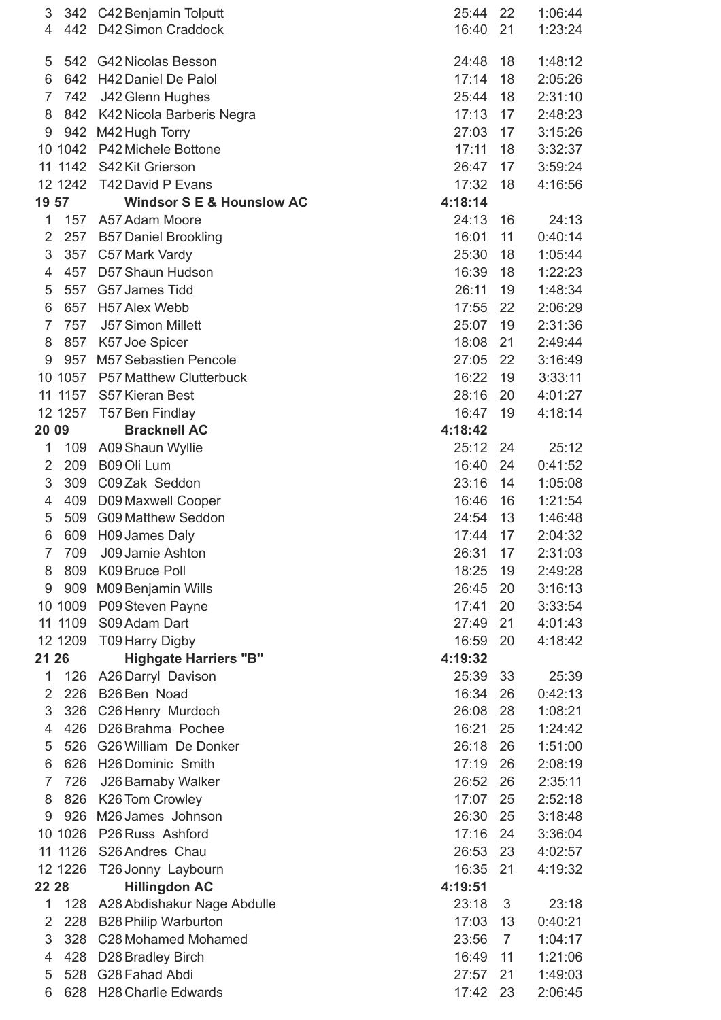| 3              | 342      | C42 Benjamin Tolputt                 | 25:44   | 22             | 1:06:44 |
|----------------|----------|--------------------------------------|---------|----------------|---------|
| $\overline{4}$ |          | 442 D42 Simon Craddock               | 16:40   | 21             | 1:23:24 |
|                |          |                                      |         |                |         |
| 5              | 542      | <b>G42 Nicolas Besson</b>            | 24:48   | 18             | 1:48:12 |
| 6              | 642      | <b>H42 Daniel De Palol</b>           | 17:14   | 18             | 2:05:26 |
| $\overline{7}$ | 742      | J42 Glenn Hughes                     | 25:44   | 18             | 2:31:10 |
| 8              | 842      | K42 Nicola Barberis Negra            | 17:13   | 17             | 2:48:23 |
| 9              |          | 942 M42 Hugh Torry                   | 27:03   | 17             | 3:15:26 |
|                | 10 1042  | P42 Michele Bottone                  | 17:11   | 18             | 3:32:37 |
| 11             | 1142     | S42 Kit Grierson                     | 26:47   | 17             | 3:59:24 |
|                | 12 1242  | T42 David P Evans                    | 17:32   | 18             | 4:16:56 |
| 19 57          |          | <b>Windsor S E &amp; Hounslow AC</b> | 4:18:14 |                |         |
| $\mathbf{1}$   | 157      | A57 Adam Moore                       | 24:13   | 16             | 24:13   |
| $\overline{2}$ | 257      | <b>B57 Daniel Brookling</b>          | 16:01   | 11             | 0:40:14 |
| 3              | 357      | C57 Mark Vardy                       | 25:30   | 18             | 1:05:44 |
| 4              | 457      | D57 Shaun Hudson                     | 16:39   | 18             | 1:22:23 |
| 5              | 557      | G57 James Tidd                       | 26:11   | 19             | 1:48:34 |
| 6              | 657      | H57 Alex Webb                        | 17:55   | 22             | 2:06:29 |
| $\overline{7}$ | 757      | <b>J57 Simon Millett</b>             | 25:07   | 19             | 2:31:36 |
| 8              | 857      | K57 Joe Spicer                       | 18:08   | 21             | 2:49:44 |
| 9              | 957      | <b>M57 Sebastien Pencole</b>         | 27:05   | 22             | 3:16:49 |
|                |          |                                      | 16:22   |                |         |
|                | 10 1057  | <b>P57 Matthew Clutterbuck</b>       |         | 19             | 3:33:11 |
|                | 11 1157  | S57 Kieran Best                      | 28:16   | 20             | 4:01:27 |
|                | 12 1257  | T57 Ben Findlay                      | 16:47   | 19             | 4:18:14 |
| 20 09          |          | <b>Bracknell AC</b>                  | 4:18:42 |                |         |
| 1              | 109      | A09 Shaun Wyllie                     | 25:12   | 24             | 25:12   |
| 2              | 209      | B09 Oli Lum                          | 16:40   | 24             | 0:41:52 |
| 3              | 309      | C09 Zak Seddon                       | 23:16   | 14             | 1:05:08 |
| 4              | 409      | D09 Maxwell Cooper                   | 16:46   | 16             | 1:21:54 |
| 5              | 509      | <b>G09 Matthew Seddon</b>            | 24:54   | 13             | 1:46:48 |
| 6              | 609      | H09 James Daly                       | 17:44   | 17             | 2:04:32 |
| $\overline{7}$ | 709      | J09 Jamie Ashton                     | 26:31   | 17             | 2:31:03 |
| 8              | 809      | K09 Bruce Poll                       | 18:25   | 19             | 2:49:28 |
| 9              | 909      | M09 Benjamin Wills                   | 26:45   | 20             | 3:16:13 |
|                | 10 1009  | P09 Steven Payne                     | 17:41   | 20             | 3:33:54 |
| 11             | 1109     | S09 Adam Dart                        | 27:49   | 21             | 4:01:43 |
|                | 12 1209  | <b>T09 Harry Digby</b>               | 16:59   | 20             | 4:18:42 |
| 21 26          |          | <b>Highgate Harriers "B"</b>         | 4:19:32 |                |         |
| 1              | 126      | A26 Darryl Davison                   | 25:39   | 33             | 25:39   |
| $\overline{2}$ | 226      | B26 Ben Noad                         | 16:34   | 26             | 0:42:13 |
| 3              | 326      | C26 Henry Murdoch                    | 26:08   | 28             | 1:08:21 |
| 4              | 426      | D26 Brahma Pochee                    | 16:21   | 25             | 1:24:42 |
| 5              | 526      | G26 William De Donker                | 26:18   | 26             | 1:51:00 |
| 6              | 626      | H26 Dominic Smith                    | 17:19   | 26             | 2:08:19 |
| 7              | 726      | J26 Barnaby Walker                   | 26:52   | 26             | 2:35:11 |
| 8              | 826      | K26 Tom Crowley                      | 17:07   | 25             | 2:52:18 |
| 9              | 926      | M26 James Johnson                    | 26:30   | 25             | 3:18:48 |
| 10             | 1026     | P26 Russ Ashford                     | 17:16   | 24             | 3:36:04 |
| 11             | 1126     | S26 Andres Chau                      | 26:53   | 23             | 4:02:57 |
|                | 12 12 26 | T26 Jonny Laybourn                   | 16:35   | 21             | 4:19:32 |
|                |          |                                      |         |                |         |
| 22 28          |          | <b>Hillingdon AC</b>                 | 4:19:51 |                |         |
| 1              | 128      | A28 Abdishakur Nage Abdulle          | 23:18   | 3              | 23:18   |
| 2              | 228      | <b>B28 Philip Warburton</b>          | 17:03   | 13             | 0:40:21 |
| 3              | 328      | C28 Mohamed Mohamed                  | 23:56   | $\overline{7}$ | 1:04:17 |
| 4              | 428      | D28 Bradley Birch                    | 16:49   | 11             | 1:21:06 |
| 5              | 528      | G28 Fahad Abdi                       | 27:57   | 21             | 1:49:03 |
| 6              | 628      | <b>H28 Charlie Edwards</b>           | 17:42   | 23             | 2:06:45 |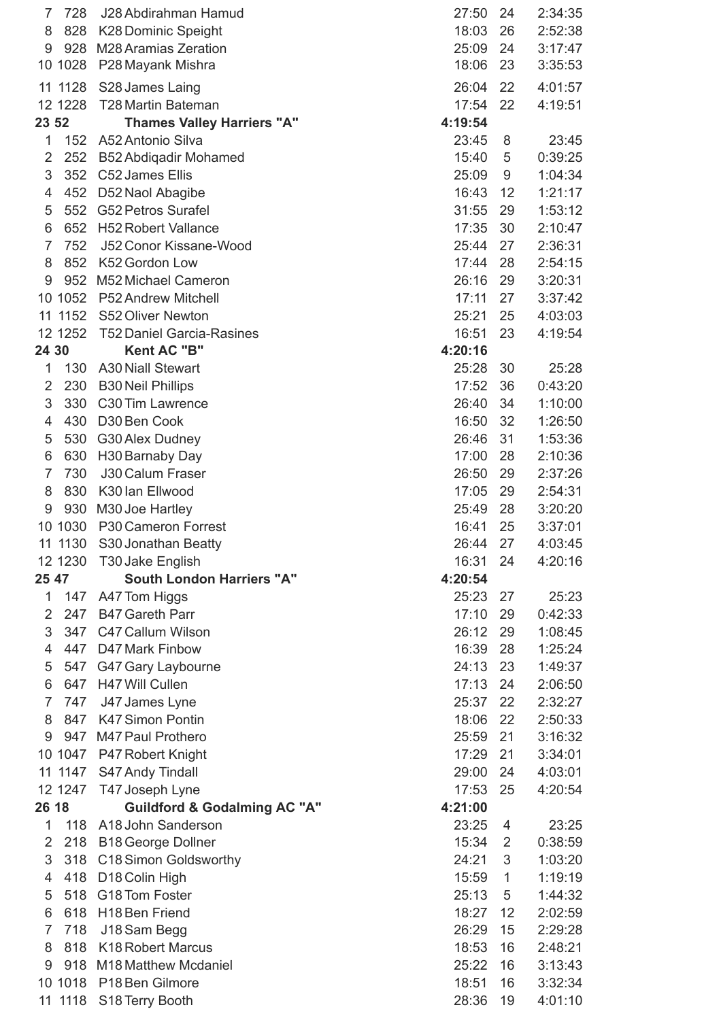| $\overline{7}$      | 728        | J28 Abdirahman Hamud                          | 27:50          | 24             | 2:34:35            |
|---------------------|------------|-----------------------------------------------|----------------|----------------|--------------------|
| 8                   | 828        | <b>K28 Dominic Speight</b>                    | 18:03          | 26             | 2:52:38            |
| 9                   |            | 928 M28 Aramias Zeration                      | 25:09          | 24             | 3:17:47            |
|                     | 10 1028    | P28 Mayank Mishra                             | 18:06          | 23             | 3:35:53            |
| 11                  | 1128       | S28 James Laing                               | 26:04          | 22             | 4:01:57            |
|                     | 12 1228    | <b>T28 Martin Bateman</b>                     | 17:54          | 22             | 4:19:51            |
| 23 52               |            | <b>Thames Valley Harriers "A"</b>             | 4:19:54        |                |                    |
| 1                   | 152        | A52 Antonio Silva                             | 23:45          | 8              | 23:45              |
| $\overline{2}$      | 252        | <b>B52 Abdiqadir Mohamed</b>                  | 15:40          | 5              | 0:39:25            |
| 3                   | 352        | C52 James Ellis                               | 25:09          | 9              | 1:04:34            |
| 4                   | 452        | D52 Naol Abagibe                              | 16:43          | 12             | 1:21:17            |
| 5                   | 552        | <b>G52 Petros Surafel</b>                     | 31:55          | 29             | 1:53:12            |
| 6                   | 652        | <b>H52 Robert Vallance</b>                    | 17:35          | 30             | 2:10:47            |
| $\overline{7}$      | 752        | J52 Conor Kissane-Wood                        | 25:44          | 27             | 2:36:31            |
| 8                   | 852        | K52 Gordon Low                                | 17:44          | 28             | 2:54:15            |
| 9                   | 952        | M52 Michael Cameron                           | 26:16          | 29             | 3:20:31            |
|                     | 10 1052    | <b>P52 Andrew Mitchell</b>                    | 17:11          | 27             | 3:37:42            |
|                     | 11 1152    | S52 Oliver Newton                             | 25:21          | 25             | 4:03:03            |
|                     | 12 1252    | <b>T52 Daniel Garcia-Rasines</b>              | 16:51          | 23             | 4:19:54            |
| 24 30               |            | <b>Kent AC "B"</b>                            | 4:20:16        |                |                    |
| 1                   | 130        | <b>A30 Niall Stewart</b>                      | 25:28          | 30             | 25:28              |
| 2                   | 230        | <b>B30 Neil Phillips</b>                      | 17:52          | 36             | 0:43:20            |
| 3                   | 330        | C30 Tim Lawrence                              | 26:40          | 34             | 1:10:00            |
| 4                   | 430        | D30 Ben Cook                                  | 16:50          | 32             | 1:26:50            |
| 5                   | 530        | G30 Alex Dudney                               | 26:46          | 31             | 1:53:36            |
| 6                   | 630        | H30 Barnaby Day                               | 17:00          | 28             | 2:10:36            |
| $\overline{7}$      | 730        | <b>J30 Calum Fraser</b>                       | 26:50          | 29             | 2:37:26            |
| 8                   | 830        | K30 Ian Ellwood                               | 17:05          | 29             | 2:54:31            |
| 9                   | 930        | M30 Joe Hartley                               | 25:49          | 28             | 3:20:20            |
|                     | 10 1030    | P30 Cameron Forrest                           | 16:41          | 25             | 3:37:01            |
|                     | 11 1130    | S30 Jonathan Beatty                           | 26:44          | 27             | 4:03:45            |
|                     | 12 1230    | T30 Jake English                              | 16:31          | 24             | 4:20:16            |
| 25 47               |            | <b>South London Harriers "A"</b>              | 4:20:54        |                |                    |
| 1                   | 147        | A47 Tom Higgs                                 | 25:23          | 27             | 25:23              |
| 2                   | 247        | <b>B47 Gareth Parr</b>                        | 17:10          | 29             | 0:42:33            |
| 3                   | 347        | C47 Callum Wilson                             | 26:12          | 29             | 1:08:45            |
| $\overline{4}$      | 447        | D47 Mark Finbow                               | 16:39          | 28             | 1:25:24            |
| 5                   | 547        | G47 Gary Laybourne                            | 24:13          | 23             | 1:49:37            |
| 6<br>$\overline{7}$ | 647        | H47 Will Cullen                               | 17:13          | 24             | 2:06:50            |
| 8                   | 747<br>847 | J47 James Lyne<br>K47 Simon Pontin            | 25:37<br>18:06 | 22<br>22       | 2:32:27            |
| 9                   | 947        | M47 Paul Prothero                             | 25:59          | 21             | 2:50:33<br>3:16:32 |
|                     |            |                                               | 17:29          | 21             | 3:34:01            |
|                     | 11 1147    | 10 1047 P47 Robert Knight<br>S47 Andy Tindall | 29:00          | 24             | 4:03:01            |
|                     | 12 1247    | T47 Joseph Lyne                               | 17:53          | 25             | 4:20:54            |
| 26 18               |            | <b>Guildford &amp; Godalming AC "A"</b>       | 4:21:00        |                |                    |
| 1                   | 118        | A18 John Sanderson                            | 23:25          | 4              | 23:25              |
| 2                   | 218        | <b>B18 George Dollner</b>                     | 15:34          | $\overline{2}$ | 0:38:59            |
| 3                   | 318        | C18 Simon Goldsworthy                         | 24:21          | 3              | 1:03:20            |
| 4                   | 418        | D18 Colin High                                | 15:59          | 1              | 1:19:19            |
| 5                   | 518        | G18 Tom Foster                                | 25:13          | 5              | 1:44:32            |
| 6                   | 618        | H <sub>18</sub> Ben Friend                    | 18:27          | 12             | 2:02:59            |
| $\overline{7}$      | 718        | J18 Sam Begg                                  | 26:29          | 15             | 2:29:28            |
| 8                   | 818        | <b>K18 Robert Marcus</b>                      | 18:53          | 16             | 2:48:21            |
| 9                   | 918        | M18 Matthew Mcdaniel                          | 25:22          | 16             | 3:13:43            |
|                     | 10 1018    | P18 Ben Gilmore                               | 18:51          | 16             | 3:32:34            |
|                     | 11 1118    | S18 Terry Booth                               | 28:36          | 19             | 4:01:10            |
|                     |            |                                               |                |                |                    |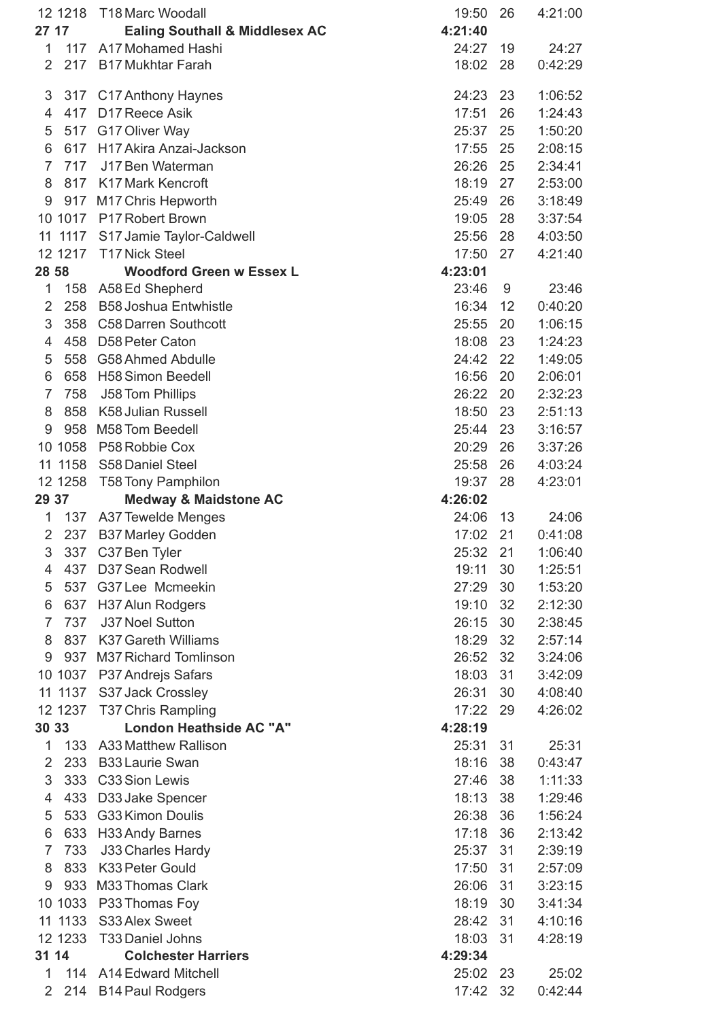|                | 12 12 18 | <b>T18 Marc Woodall</b>                   | 19:50   | 26 | 4:21:00 |
|----------------|----------|-------------------------------------------|---------|----|---------|
| 27 17          |          | <b>Ealing Southall &amp; Middlesex AC</b> | 4:21:40 |    |         |
| $\mathbf{1}$   |          | 117 A17 Mohamed Hashi                     | 24:27   | 19 | 24:27   |
| $\overline{2}$ |          | 217 B17 Mukhtar Farah                     | 18:02   | 28 | 0:42:29 |
| 3              | 317      | C17 Anthony Haynes                        | 24:23   | 23 | 1:06:52 |
| $\overline{4}$ | 417      | D17 Reece Asik                            | 17:51   | 26 | 1:24:43 |
| 5              |          | 517 G17 Oliver Way                        | 25:37   | 25 | 1:50:20 |
| 6              | 617      | H17 Akira Anzai-Jackson                   | 17:55   | 25 | 2:08:15 |
| $\overline{7}$ | 717      | J17 Ben Waterman                          | 26:26   | 25 | 2:34:41 |
| 8              | 817      | <b>K17 Mark Kencroft</b>                  | 18:19   | 27 | 2:53:00 |
| 9              |          | 917 M17 Chris Hepworth                    | 25:49   | 26 | 3:18:49 |
|                |          | 10 1017 P17 Robert Brown                  | 19:05   | 28 | 3:37:54 |
|                |          | 11 1117 S17 Jamie Taylor-Caldwell         | 25:56   | 28 | 4:03:50 |
|                | 12 12 17 | <b>T17 Nick Steel</b>                     | 17:50   | 27 | 4:21:40 |
| 28 58          |          | <b>Woodford Green w Essex L</b>           | 4:23:01 |    |         |
| $\mathbf{1}$   |          | 158 A58 Ed Shepherd                       | 23:46   | 9  | 23:46   |
| $\overline{2}$ | 258      | <b>B58 Joshua Entwhistle</b>              | 16:34   | 12 | 0:40:20 |
| 3              | 358      | <b>C58 Darren Southcott</b>               | 25:55   | 20 | 1:06:15 |
| 4              | 458      | D58 Peter Caton                           | 18:08   | 23 | 1:24:23 |
| 5              | 558      | <b>G58 Ahmed Abdulle</b>                  | 24:42   | 22 | 1:49:05 |
| 6              | 658      | <b>H58 Simon Beedell</b>                  | 16:56   | 20 | 2:06:01 |
| $\overline{7}$ | 758      | J58 Tom Phillips                          | 26:22   | 20 | 2:32:23 |
| 8              | 858      | K58 Julian Russell                        | 18:50   | 23 | 2:51:13 |
| 9              | 958      | M58 Tom Beedell                           | 25:44   | 23 | 3:16:57 |
|                | 10 1058  | P58 Robbie Cox                            | 20:29   | 26 | 3:37:26 |
|                |          | 11 1158 S58 Daniel Steel                  | 25:58   | 26 | 4:03:24 |
|                | 12 1258  | <b>T58 Tony Pamphilon</b>                 | 19:37   | 28 | 4:23:01 |
| 29 37          |          | <b>Medway &amp; Maidstone AC</b>          | 4:26:02 |    |         |
| 1              | 137      | A37 Tewelde Menges                        | 24:06   | 13 | 24:06   |
| 2              |          | 237 B37 Marley Godden                     | 17:02   | 21 | 0:41:08 |
| 3              | 337      | C37 Ben Tyler                             | 25:32   | 21 | 1:06:40 |
|                | 437      |                                           | 19:11   |    | 1:25:51 |
| 4              |          | D37 Sean Rodwell                          |         | 30 |         |
| 5              | 537      | G37 Lee Mcmeekin                          | 27:29   | 30 | 1:53:20 |
| 6              | 637      | H37 Alun Rodgers                          | 19:10   | 32 | 2:12:30 |
| $\overline{7}$ | 737      | J37 Noel Sutton                           | 26:15   | 30 | 2:38:45 |
| 8              | 837      | <b>K37 Gareth Williams</b>                | 18:29   | 32 | 2:57:14 |
| 9              | 937      | <b>M37 Richard Tomlinson</b>              | 26:52   | 32 | 3:24:06 |
|                |          | 10 1037 P37 Andrejs Safars                | 18:03   | 31 | 3:42:09 |
|                | 11 1137  | S37 Jack Crossley                         | 26:31   | 30 | 4:08:40 |
|                |          | 12 1237 T37 Chris Rampling                | 17:22   | 29 | 4:26:02 |
| 30 33          |          | London Heathside AC "A"                   | 4:28:19 |    |         |
| $\mathbf{1}$   | 133      | A33 Matthew Rallison                      | 25:31   | 31 | 25:31   |
| 2              | 233      | <b>B33 Laurie Swan</b>                    | 18:16   | 38 | 0:43:47 |
| 3              | 333      | C33 Sion Lewis                            | 27:46   | 38 | 1:11:33 |
| 4              | 433      | D33 Jake Spencer                          | 18:13   | 38 | 1:29:46 |
| 5              | 533      | <b>G33 Kimon Doulis</b>                   | 26:38   | 36 | 1:56:24 |
| 6              | 633      | H33 Andy Barnes                           | 17:18   | 36 | 2:13:42 |
| $\overline{7}$ | 733      | J33 Charles Hardy                         | 25:37   | 31 | 2:39:19 |
| 8              | 833      | K33 Peter Gould                           | 17:50   | 31 | 2:57:09 |
| 9              | 933      | <b>M33 Thomas Clark</b>                   | 26:06   | 31 | 3:23:15 |
|                | 10 1033  | P33 Thomas Foy                            | 18:19   | 30 | 3:41:34 |
|                |          | 11 1133 S33 Alex Sweet                    | 28:42   | 31 | 4:10:16 |
|                | 12 1233  | <b>T33 Daniel Johns</b>                   | 18:03   | 31 | 4:28:19 |
| 31 14          |          | <b>Colchester Harriers</b>                | 4:29:34 |    |         |
| 1              |          | 114 A14 Edward Mitchell                   | 25:02   | 23 | 25:02   |
| 2              | 214      | <b>B14 Paul Rodgers</b>                   | 17:42   | 32 | 0:42:44 |
|                |          |                                           |         |    |         |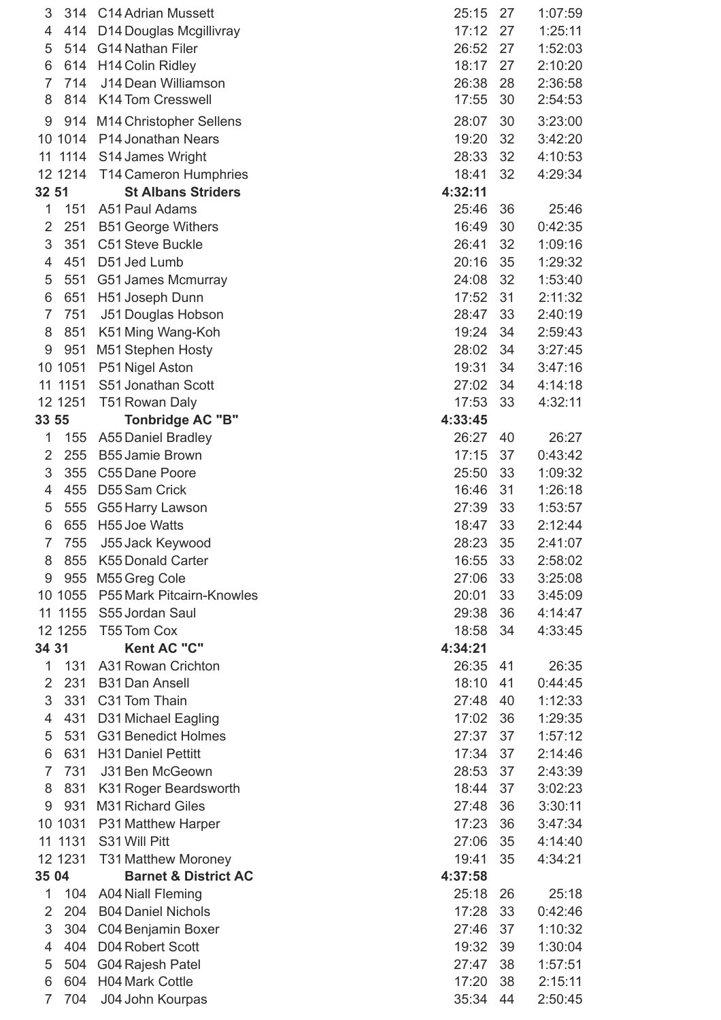| 3              | 314      | <b>C14 Adrian Mussett</b>       | 25:15   | 27 | 1:07:59 |
|----------------|----------|---------------------------------|---------|----|---------|
| 4              | 414      | D14 Douglas Mcgillivray         | 17:12   | 27 | 1:25:11 |
| 5              | 514      | G14 Nathan Filer                | 26:52   | 27 | 1:52:03 |
| 6              | 614      | <b>H14 Colin Ridley</b>         | 18:17   | 27 | 2:10:20 |
| $\overline{7}$ | 714      | J14 Dean Williamson             | 26:38   | 28 | 2:36:58 |
| 8              | 814      | <b>K14 Tom Cresswell</b>        | 17:55   | 30 | 2:54:53 |
| 9              |          | 914 M14 Christopher Sellens     | 28:07   | 30 | 3:23:00 |
|                |          | 10 1014 P14 Jonathan Nears      | 19:20   | 32 | 3:42:20 |
|                |          | 11 1114 S14 James Wright        | 28:33   | 32 | 4:10:53 |
|                |          | 12 1214 T14 Cameron Humphries   | 18:41   | 32 | 4:29:34 |
| 32 51          |          | <b>St Albans Striders</b>       | 4:32:11 |    |         |
| $\mathbf{1}$   | 151      | A51 Paul Adams                  | 25:46   | 36 | 25:46   |
| 2              | 251      | <b>B51 George Withers</b>       | 16:49   | 30 | 0:42:35 |
| 3              | 351      | C51 Steve Buckle                | 26:41   | 32 | 1:09:16 |
| $\overline{4}$ | 451      | D51 Jed Lumb                    | 20:16   | 35 | 1:29:32 |
| 5              | 551      | G51 James Mcmurray              | 24:08   | 32 | 1:53:40 |
| 6              | 651      | H51 Joseph Dunn                 | 17:52   | 31 | 2:11:32 |
| $\overline{7}$ | 751      | J51 Douglas Hobson              | 28:47   | 33 | 2:40:19 |
| 8              | 851      | K51 Ming Wang-Koh               | 19:24   | 34 | 2:59:43 |
| 9              | 951      | M51 Stephen Hosty               | 28:02   | 34 | 3:27:45 |
|                | 10 1051  | P51 Nigel Aston                 | 19:31   | 34 | 3:47:16 |
|                | 11 1151  | S51 Jonathan Scott              | 27:02   | 34 | 4:14:18 |
|                | 12 1251  | T51 Rowan Daly                  | 17:53   | 33 | 4:32:11 |
| 33 55          |          | <b>Tonbridge AC "B"</b>         | 4:33:45 |    |         |
| 1              | 155      | <b>A55 Daniel Bradley</b>       | 26:27   | 40 | 26:27   |
| $\overline{2}$ | 255      | <b>B55 Jamie Brown</b>          | 17:15   | 37 | 0:43:42 |
| 3              | 355      | C55 Dane Poore                  | 25:50   | 33 | 1:09:32 |
| 4              | 455      | D55 Sam Crick                   | 16:46   | 31 | 1:26:18 |
| 5              | 555      | G55 Harry Lawson                | 27:39   | 33 | 1:53:57 |
| 6              | 655      | H55 Joe Watts                   | 18:47   | 33 | 2:12:44 |
| $\overline{7}$ | 755      | J55 Jack Keywood                | 28:23   | 35 | 2:41:07 |
| 8              | 855      | <b>K55 Donald Carter</b>        | 16:55   | 33 | 2:58:02 |
| 9              | 955      | M55 Greg Cole                   | 27:06   | 33 | 3:25:08 |
|                | 10 1055  | P55 Mark Pitcairn-Knowles       | 20:01   | 33 | 3:45:09 |
|                | 11 11 55 | S55 Jordan Saul                 | 29:38   | 36 | 4:14:47 |
|                | 12 12 55 | T55 Tom Cox                     | 18:58   | 34 | 4:33:45 |
| 34 31          |          | Kent AC "C"                     | 4:34:21 |    |         |
| $\mathbf{1}$   | 131      | A31 Rowan Crichton              | 26:35   | 41 | 26:35   |
| $\overline{2}$ | 231      | <b>B31 Dan Ansell</b>           | 18:10   | 41 | 0:44:45 |
| 3              | 331      | C31 Tom Thain                   | 27:48   | 40 | 1:12:33 |
| 4              | 431      | D31 Michael Eagling             | 17:02   | 36 | 1:29:35 |
| 5              | 531      | <b>G31 Benedict Holmes</b>      | 27:37   | 37 | 1:57:12 |
| 6              | 631      | <b>H31 Daniel Pettitt</b>       | 17:34   | 37 | 2:14:46 |
| $\overline{7}$ | 731      | J31 Ben McGeown                 | 28:53   | 37 | 2:43:39 |
| 8              | 831      | K31 Roger Beardsworth           | 18:44   | 37 | 3:02:23 |
| 9              | 931      | <b>M31 Richard Giles</b>        | 27:48   | 36 | 3:30:11 |
|                | 10 1031  | <b>P31 Matthew Harper</b>       | 17:23   | 36 | 3:47:34 |
|                |          | 11 1131 S31 Will Pitt           | 27:06   | 35 | 4:14:40 |
|                | 12 1231  | <b>T31 Matthew Moroney</b>      | 19:41   | 35 | 4:34:21 |
| 35 04          |          | <b>Barnet &amp; District AC</b> | 4:37:58 |    |         |
| $\mathbf{1}$   | 104      | <b>A04 Niall Fleming</b>        | 25:18   | 26 | 25:18   |
| 2              | 204      | <b>B04 Daniel Nichols</b>       | 17:28   | 33 | 0:42:46 |
| 3              | 304      | C04 Benjamin Boxer              | 27:46   | 37 | 1:10:32 |
| 4              | 404      | D04 Robert Scott                | 19:32   | 39 | 1:30:04 |
| 5              | 504      | G04 Rajesh Patel                | 27:47   | 38 | 1:57:51 |
| 6              | 604      | <b>H04 Mark Cottle</b>          | 17:20   | 38 | 2:15:11 |
| $\overline{7}$ | 704      | J04 John Kourpas                | 35:34   | 44 | 2:50:45 |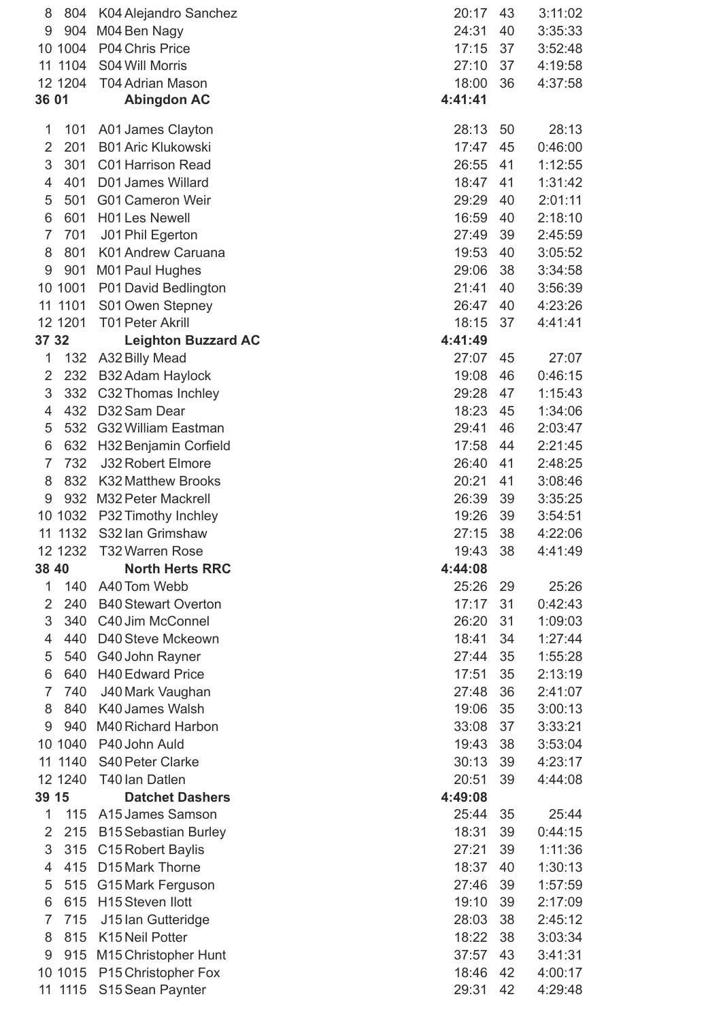| 8              | 804     | K04 Alejandro Sanchez        | 20:17          | 43 | 3:11:02 |
|----------------|---------|------------------------------|----------------|----|---------|
| 9              | 904     | M04 Ben Nagy                 | 24:31          | 40 | 3:35:33 |
|                | 10 1004 | P04 Chris Price              | 17:15          | 37 | 3:52:48 |
|                | 11 1104 | S04 Will Morris              | 27:10          | 37 | 4:19:58 |
|                | 12 1204 | <b>T04 Adrian Mason</b>      | 18:00          | 36 | 4:37:58 |
| 36 01          |         | <b>Abingdon AC</b>           | 4:41:41        |    |         |
| 1              | 101     | A01 James Clayton            | 28:13          | 50 | 28:13   |
| $\overline{2}$ | 201     | <b>B01 Aric Klukowski</b>    | 17:47          | 45 | 0:46:00 |
| 3              | 301     | <b>C01 Harrison Read</b>     | 26:55          | 41 | 1:12:55 |
| 4              | 401     | D01 James Willard            | 18:47          | 41 | 1:31:42 |
| 5              | 501     | <b>G01 Cameron Weir</b>      | 29:29          | 40 | 2:01:11 |
| 6              | 601     | <b>H01 Les Newell</b>        | 16:59          | 40 | 2:18:10 |
| $\overline{7}$ | 701     | J01 Phil Egerton             | 27:49          | 39 | 2:45:59 |
| 8              | 801     | K01 Andrew Caruana           | 19:53          | 40 | 3:05:52 |
| 9              | 901     | M01 Paul Hughes              | 29:06          | 38 | 3:34:58 |
|                | 10 1001 | P01 David Bedlington         | 21:41          | 40 | 3:56:39 |
|                | 11 1101 | S01 Owen Stepney             | 26:47          | 40 | 4:23:26 |
|                | 12 1201 | <b>T01 Peter Akrill</b>      | 18:15          | 37 | 4:41:41 |
| 37 32          |         | <b>Leighton Buzzard AC</b>   | 4:41:49        |    |         |
| 1              | 132     | A32 Billy Mead               | 27:07          | 45 | 27:07   |
| $\overline{2}$ | 232     | B32 Adam Haylock             | 19:08          | 46 | 0:46:15 |
| 3              | 332     | C32 Thomas Inchley           | 29:28          | 47 | 1:15:43 |
| 4              | 432     | D32 Sam Dear                 | 18:23          | 45 | 1:34:06 |
| 5              | 532     | <b>G32 William Eastman</b>   | 29:41          | 46 | 2:03:47 |
| 6              | 632     | H32 Benjamin Corfield        | 17:58          | 44 | 2:21:45 |
| $\overline{7}$ | 732     | <b>J32 Robert Elmore</b>     | 26:40          | 41 | 2:48:25 |
| 8              | 832     | <b>K32 Matthew Brooks</b>    | 20:21          | 41 | 3:08:46 |
| 9              | 932     | M32 Peter Mackrell           | 26:39          | 39 | 3:35:25 |
|                | 10 1032 | P32 Timothy Inchley          | 19:26          | 39 | 3:54:51 |
|                | 11 1132 | S32 Ian Grimshaw             | 27:15          | 38 | 4:22:06 |
|                | 12 1232 | T32 Warren Rose              | 19:43          | 38 | 4:41:49 |
| 38 40          |         | <b>North Herts RRC</b>       | 4:44:08        |    |         |
| 1              | 140     | A40 Tom Webb                 | 25:26          | 29 | 25:26   |
| $\overline{2}$ | 240     | <b>B40 Stewart Overton</b>   | 17:17          | 31 | 0:42:43 |
| 3              | 340     | C40 Jim McConnel             | 26:20          | 31 | 1:09:03 |
| 4              | 440     | D40 Steve Mckeown            | 18:41          | 34 | 1:27:44 |
| 5              | 540     | G40 John Rayner              | 27:44          | 35 | 1:55:28 |
| 6              | 640     | <b>H40 Edward Price</b>      | 17:51          | 35 | 2:13:19 |
| $\overline{7}$ | 740     | J40 Mark Vaughan             | 27:48          | 36 | 2:41:07 |
| 8              | 840     | K40 James Walsh              | 19:06          | 35 | 3:00:13 |
| 9              | 940     | M40 Richard Harbon           | 33:08          | 37 | 3:33:21 |
|                | 10 1040 | P40 John Auld                | 19:43          | 38 | 3:53:04 |
|                | 11 1140 | <b>S40 Peter Clarke</b>      | 30:13          | 39 | 4:23:17 |
|                | 12 1240 | T40 Ian Datlen               | 20:51          | 39 | 4:44:08 |
| 39 15          |         | <b>Datchet Dashers</b>       | 4:49:08        |    |         |
| 1              | 115     | A15 James Samson             | 25:44          | 35 | 25:44   |
| $\overline{2}$ | 215     |                              | 18:31          | 39 | 0:44:15 |
| 3              |         | <b>B15 Sebastian Burley</b>  | 27:21          | 39 |         |
| $\overline{4}$ | 315     | C15 Robert Baylis            |                |    | 1:11:36 |
|                | 415     | D15 Mark Thorne              | 18:37          | 40 | 1:30:13 |
| 5              | 515     | G15 Mark Ferguson            | 27:46          | 39 | 1:57:59 |
| 6              | 615     | H <sub>15</sub> Steven Ilott | 19:10          | 39 | 2:17:09 |
| $\overline{7}$ | 715     | J15 Ian Gutteridge           | 28:03          | 38 | 2:45:12 |
| 8              | 815     | K15 Neil Potter              | 18:22<br>37:57 | 38 | 3:03:34 |
| 9              | 915     | M15 Christopher Hunt         |                | 43 | 3:41:31 |
|                | 10 1015 | P15 Christopher Fox          | 18:46          | 42 | 4:00:17 |
|                | 11 1115 | S15 Sean Paynter             | 29:31          | 42 | 4:29:48 |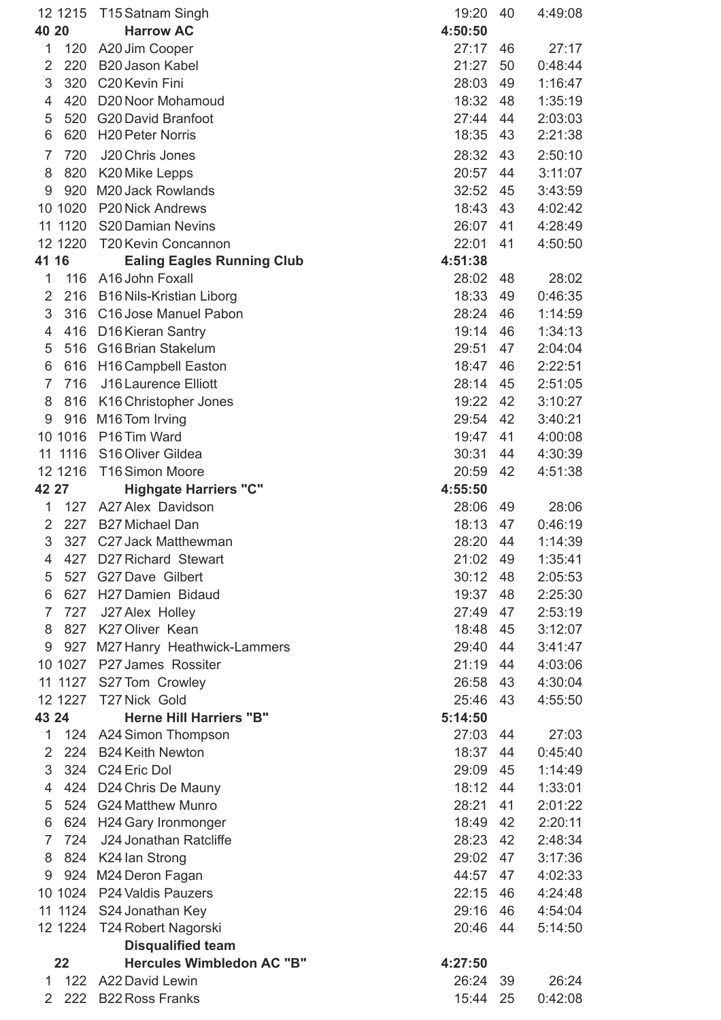| 40 20          | 12 12 15 | T15 Satnam Singh<br><b>Harrow AC</b>                  | 19:20<br>4:50:50 | 40 | 4:49:08 |
|----------------|----------|-------------------------------------------------------|------------------|----|---------|
| 1              | 120      | A20 Jim Cooper                                        | 27:17            | 46 | 27:17   |
| $\overline{2}$ | 220      | <b>B20 Jason Kabel</b>                                | 21:27            | 50 | 0:48:44 |
| 3              | 320      | C <sub>20</sub> Kevin Fini                            | 28:03            | 49 | 1:16:47 |
| 4              | 420      | D20 Noor Mohamoud                                     | 18:32            | 48 | 1:35:19 |
| 5              | 520      | <b>G20 David Branfoot</b>                             | 27:44            | 44 | 2:03:03 |
| 6              | 620      | <b>H20 Peter Norris</b>                               | 18:35            | 43 | 2:21:38 |
| $\overline{7}$ | 720      | J20 Chris Jones                                       | 28:32            | 43 | 2:50:10 |
| 8              | 820      | K20 Mike Lepps                                        | 20:57            | 44 | 3:11:07 |
| 9              | 920      | M20 Jack Rowlands                                     | 32:52            | 45 | 3:43:59 |
|                | 10 10 20 | <b>P20 Nick Andrews</b>                               | 18:43            | 43 | 4:02:42 |
| 11             | 1120     | S20 Damian Nevins                                     | 26:07            | 41 | 4:28:49 |
|                | 12 12 20 | T20 Kevin Concannon                                   | 22:01            | 41 | 4:50:50 |
| 41             | 16       | <b>Ealing Eagles Running Club</b>                     | 4:51:38          |    |         |
| 1              | 116      | A16 John Foxall                                       | 28:02            | 48 | 28:02   |
| $\overline{2}$ | 216      | <b>B16 Nils-Kristian Liborg</b>                       | 18:33            | 49 | 0:46:35 |
| 3              | 316      | C16 Jose Manuel Pabon                                 | 28:24            | 46 | 1:14:59 |
| 4              | 416      | D16 Kieran Santry                                     | 19:14            | 46 | 1:34:13 |
| 5              | 516      | <b>G16 Brian Stakelum</b>                             | 29:51            | 47 | 2:04:04 |
| 6              | 616      | H16 Campbell Easton                                   | 18:47            | 46 | 2:22:51 |
| $\overline{7}$ | 716      | J16 Laurence Elliott                                  | 28:14            | 45 | 2:51:05 |
| 8              | 816      | K16 Christopher Jones                                 | 19:22            | 42 | 3:10:27 |
| 9              | 916      | M16 Tom Irving                                        | 29:54            | 42 | 3:40:21 |
|                | 10 10 16 | P <sub>16</sub> Tim Ward                              | 19:47            | 41 | 4:00:08 |
| 11             | 1116     | S16 Oliver Gildea                                     | 30:31            | 44 | 4:30:39 |
|                | 12 12 16 | <b>T16 Simon Moore</b>                                | 20:59            | 42 | 4:51:38 |
| 42 27          |          | <b>Highgate Harriers "C"</b>                          | 4:55:50          |    |         |
| 1              | 127      | A27 Alex Davidson                                     | 28:06            | 49 | 28:06   |
| 2              | 227      | <b>B27 Michael Dan</b>                                | 18:13            | 47 | 0:46:19 |
| 3              | 327      | C27 Jack Matthewman                                   | 28:20 44         |    | 1:14:39 |
| 4              | 427      | D27 Richard Stewart                                   | 21:02 49         |    | 1:35:41 |
| 5              | 527      | G27 Dave Gilbert                                      | 30:12            | 48 | 2:05:53 |
| 6              | 627      | H27 Damien Bidaud                                     | 19:37            | 48 | 2:25:30 |
| 7              | 727      | J27 Alex Holley                                       | 27:49            | 47 | 2:53:19 |
| 8              |          | 827 K27 Oliver Kean                                   | 18:48            | 45 | 3:12:07 |
| 9              |          |                                                       | 29:40            | 44 | 3:41:47 |
|                | 10 1027  | 927 M27 Hanry Heathwick-Lammers<br>P27 James Rossiter | 21:19            | 44 | 4:03:06 |
|                |          |                                                       | 26:58            | 43 |         |
|                | 12 1227  | 11 1127 S27 Tom Crowley<br>T27 Nick Gold              | 25:46            | 43 | 4:30:04 |
| 43 24          |          | <b>Herne Hill Harriers "B"</b>                        | 5:14:50          |    | 4:55:50 |
| 1              |          |                                                       | 27:03            | 44 | 27:03   |
| 2              | 224      | 124 A24 Simon Thompson<br><b>B24 Keith Newton</b>     | 18:37            | 44 | 0:45:40 |
| 3              |          | 324 C24 Eric Dol                                      | 29:09            | 45 | 1:14:49 |
|                |          |                                                       | 18:12            |    |         |
| 4              | 424      | D24 Chris De Mauny                                    |                  | 44 | 1:33:01 |
| 5              |          | 524 G24 Matthew Munro                                 | 28:21            | 41 | 2:01:22 |
| 6              | 624      | H24 Gary Ironmonger                                   | 18:49            | 42 | 2:20:11 |
| $\overline{7}$ | 724      | J24 Jonathan Ratcliffe                                | 28:23            | 42 | 2:48:34 |
| 8              |          | 824 K24 lan Strong                                    | 29:02            | 47 | 3:17:36 |
| 9              |          | 924 M24 Deron Fagan                                   | 44:57            | 47 | 4:02:33 |
|                |          | 10 1024 P24 Valdis Pauzers                            | 22:15            | 46 | 4:24:48 |
|                |          | 11 1124 S24 Jonathan Key                              | 29:16            | 46 | 4:54:04 |
|                |          | 12 1224 T24 Robert Nagorski                           | 20:46            | 44 | 5:14:50 |
|                |          | <b>Disqualified team</b>                              |                  |    |         |
|                | 22       | <b>Hercules Wimbledon AC "B"</b>                      | 4:27:50          |    |         |
| $\mathbf{1}$   | 122      | A22 David Lewin                                       | 26:24            | 39 | 26:24   |
| $\overline{2}$ | 222      | <b>B22 Ross Franks</b>                                | 15:44            | 25 | 0:42:08 |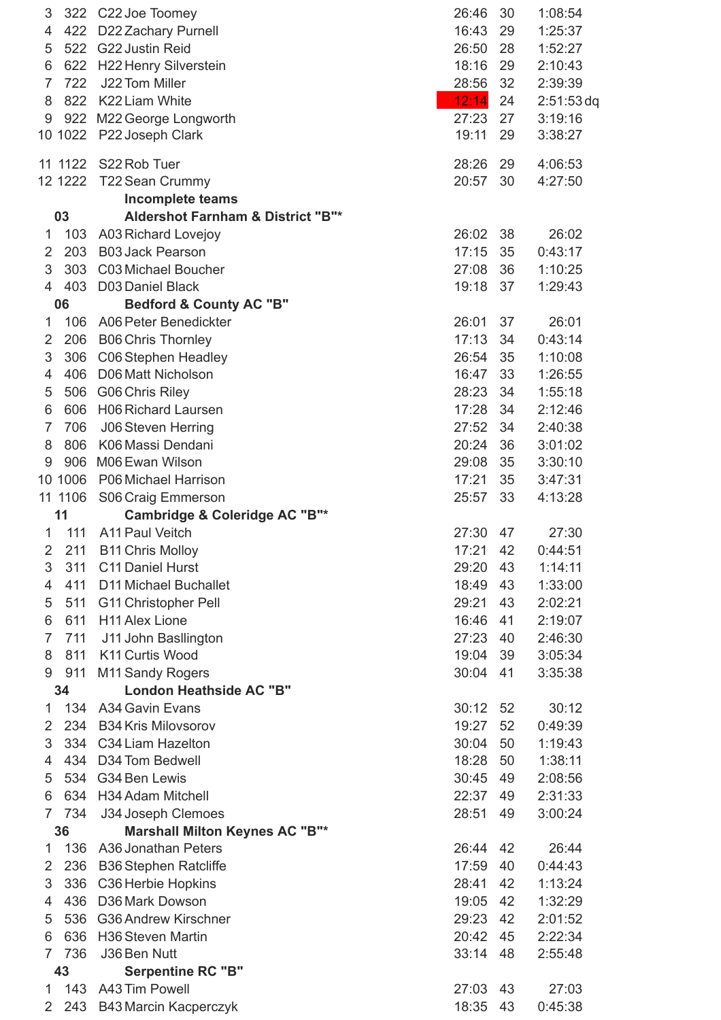| 3<br>4<br>5<br>6<br>$\overline{7}$<br>8<br>9 | 422<br>522<br>622<br>722<br>822<br>922 | 322 C22 Joe Toomey<br>D22 Zachary Purnell<br><b>G22 Justin Reid</b><br><b>H22 Henry Silverstein</b><br>J22 Tom Miller<br>K22 Liam White<br>M22 George Longworth | 26:46<br>16:43<br>26:50<br>18:16<br>28:56<br>12:14<br>27:23<br>19:11 | 30<br>29<br>28<br>29<br>32<br>24<br>27 | 1:08:54<br>1:25:37<br>1:52:27<br>2:10:43<br>2:39:39<br>$2:51:53$ dq<br>3:19:16 |
|----------------------------------------------|----------------------------------------|-----------------------------------------------------------------------------------------------------------------------------------------------------------------|----------------------------------------------------------------------|----------------------------------------|--------------------------------------------------------------------------------|
|                                              | 10 1022                                | P22 Joseph Clark                                                                                                                                                |                                                                      | 29                                     | 3:38:27                                                                        |
|                                              | 11 11 22                               | S22 Rob Tuer<br>12 1222 T22 Sean Crummy                                                                                                                         | 28:26<br>20:57                                                       | 29<br>30                               | 4:06:53<br>4:27:50                                                             |
|                                              |                                        | <b>Incomplete teams</b>                                                                                                                                         |                                                                      |                                        |                                                                                |
|                                              | 03                                     | <b>Aldershot Farnham &amp; District "B"*</b>                                                                                                                    |                                                                      |                                        |                                                                                |
| 1                                            | 103                                    | <b>A03 Richard Lovejoy</b>                                                                                                                                      | 26:02                                                                | 38                                     | 26:02                                                                          |
| 2                                            | 203                                    | <b>B03 Jack Pearson</b>                                                                                                                                         | 17:15                                                                | 35                                     | 0:43:17                                                                        |
| 3                                            | 303                                    | C03 Michael Boucher                                                                                                                                             | 27:08                                                                | 36                                     | 1:10:25                                                                        |
| 4                                            | 403                                    | <b>D03 Daniel Black</b>                                                                                                                                         | 19:18                                                                | 37                                     | 1:29:43                                                                        |
|                                              | 06                                     | <b>Bedford &amp; County AC "B"</b>                                                                                                                              |                                                                      |                                        |                                                                                |
| 1                                            | 106                                    | A06 Peter Benedickter                                                                                                                                           | 26:01                                                                | 37                                     | 26:01                                                                          |
| 2                                            | 206                                    | <b>B06 Chris Thornley</b>                                                                                                                                       | 17:13                                                                | 34                                     | 0:43:14                                                                        |
| 3                                            | 306                                    | C06 Stephen Headley                                                                                                                                             | 26:54                                                                | 35                                     | 1:10:08                                                                        |
| 4                                            | 406                                    | D06 Matt Nicholson                                                                                                                                              | 16:47                                                                | 33                                     | 1:26:55                                                                        |
| 5                                            | 506                                    | G06 Chris Riley                                                                                                                                                 | 28:23                                                                | 34                                     | 1:55:18                                                                        |
| 6                                            | 606                                    | <b>H06 Richard Laursen</b>                                                                                                                                      | 17:28                                                                | 34                                     | 2:12:46                                                                        |
| $\overline{7}$                               | 706                                    | <b>J06 Steven Herring</b>                                                                                                                                       | 27:52                                                                | 34                                     | 2:40:38                                                                        |
| 8                                            | 806                                    | K06 Massi Dendani                                                                                                                                               | 20:24                                                                | 36                                     | 3:01:02                                                                        |
| 9                                            | 906                                    | M06 Ewan Wilson                                                                                                                                                 | 29:08                                                                | 35                                     | 3:30:10                                                                        |
|                                              | 10 1006                                | P06 Michael Harrison                                                                                                                                            | 17:21                                                                | 35                                     | 3:47:31                                                                        |
|                                              | 11 1106                                | S06 Craig Emmerson                                                                                                                                              | 25:57                                                                | 33                                     | 4:13:28                                                                        |
|                                              | 11                                     | Cambridge & Coleridge AC "B"*<br>A11 Paul Veitch                                                                                                                |                                                                      |                                        |                                                                                |
| 1<br>$\overline{2}$                          | 111<br>211                             |                                                                                                                                                                 | 27:30<br>17:21                                                       | 47<br>42                               | 27:30<br>0:44:51                                                               |
| 3                                            | 311                                    | <b>B11 Chris Molloy</b><br>C11 Daniel Hurst                                                                                                                     | 29:20                                                                | 43                                     | 1:14:11                                                                        |
| 4                                            | 411                                    | <b>D11 Michael Buchallet</b>                                                                                                                                    | 18:49                                                                | 43                                     | 1:33:00                                                                        |
| 5                                            | 511                                    | <b>G11 Christopher Pell</b>                                                                                                                                     | 29:21                                                                | 43                                     | 2:02:21                                                                        |
| 6                                            | 611                                    | <b>H11 Alex Lione</b>                                                                                                                                           | 16:46                                                                | 41                                     | 2:19:07                                                                        |
| $\overline{7}$                               | 711                                    | J11 John Basllington                                                                                                                                            | 27:23                                                                | 40                                     | 2:46:30                                                                        |
| 8                                            | 811                                    | K11 Curtis Wood                                                                                                                                                 | 19:04                                                                | 39                                     | 3:05:34                                                                        |
| 9                                            | 911                                    | M11 Sandy Rogers                                                                                                                                                | 30:04                                                                | 41                                     | 3:35:38                                                                        |
|                                              | 34                                     | <b>London Heathside AC "B"</b>                                                                                                                                  |                                                                      |                                        |                                                                                |
| 1                                            | 134                                    | <b>A34 Gavin Evans</b>                                                                                                                                          | 30:12                                                                | 52                                     | 30:12                                                                          |
| $\mathbf{2}$                                 | 234                                    | <b>B34 Kris Milovsorov</b>                                                                                                                                      | 19:27                                                                | 52                                     | 0:49:39                                                                        |
| 3                                            | 334                                    | C34 Liam Hazelton                                                                                                                                               | 30:04                                                                | 50                                     | 1:19:43                                                                        |
| 4                                            | 434                                    | D34 Tom Bedwell                                                                                                                                                 | 18:28                                                                | 50                                     | 1:38:11                                                                        |
| 5                                            | 534                                    | G34 Ben Lewis                                                                                                                                                   | 30:45                                                                | 49                                     | 2:08:56                                                                        |
| 6                                            | 634                                    | H34 Adam Mitchell                                                                                                                                               | 22:37                                                                | 49                                     | 2:31:33                                                                        |
| $\overline{7}$                               | 734                                    | J34 Joseph Clemoes                                                                                                                                              | 28:51                                                                | 49                                     | 3:00:24                                                                        |
|                                              | 36                                     | <b>Marshall Milton Keynes AC "B"*</b>                                                                                                                           |                                                                      |                                        |                                                                                |
| 1                                            | 136                                    | A36 Jonathan Peters                                                                                                                                             | 26:44                                                                | 42                                     | 26:44                                                                          |
| 2                                            | 236                                    | <b>B36 Stephen Ratcliffe</b>                                                                                                                                    | 17:59                                                                | 40                                     | 0:44:43                                                                        |
| 3                                            | 336                                    | C36 Herbie Hopkins                                                                                                                                              | 28:41                                                                | 42                                     | 1:13:24                                                                        |
| 4                                            | 436                                    | D36 Mark Dowson                                                                                                                                                 | 19:05                                                                | 42                                     | 1:32:29                                                                        |
| 5                                            | 536                                    | <b>G36 Andrew Kirschner</b>                                                                                                                                     | 29:23                                                                | 42                                     | 2:01:52                                                                        |
| 6                                            | 636                                    | <b>H36 Steven Martin</b>                                                                                                                                        | 20:42                                                                | 45                                     | 2:22:34                                                                        |
| 7                                            | 736                                    | J36 Ben Nutt                                                                                                                                                    | 33:14                                                                | 48                                     | 2:55:48                                                                        |
|                                              | 43                                     | <b>Serpentine RC "B"</b>                                                                                                                                        |                                                                      |                                        |                                                                                |
| 1                                            | 143                                    | A43 Tim Powell                                                                                                                                                  | 27:03                                                                | 43                                     | 27:03                                                                          |
| $\mathbf{2}^{\mathsf{I}}$                    | 243                                    | <b>B43 Marcin Kacperczyk</b>                                                                                                                                    | 18:35                                                                | 43                                     | 0:45:38                                                                        |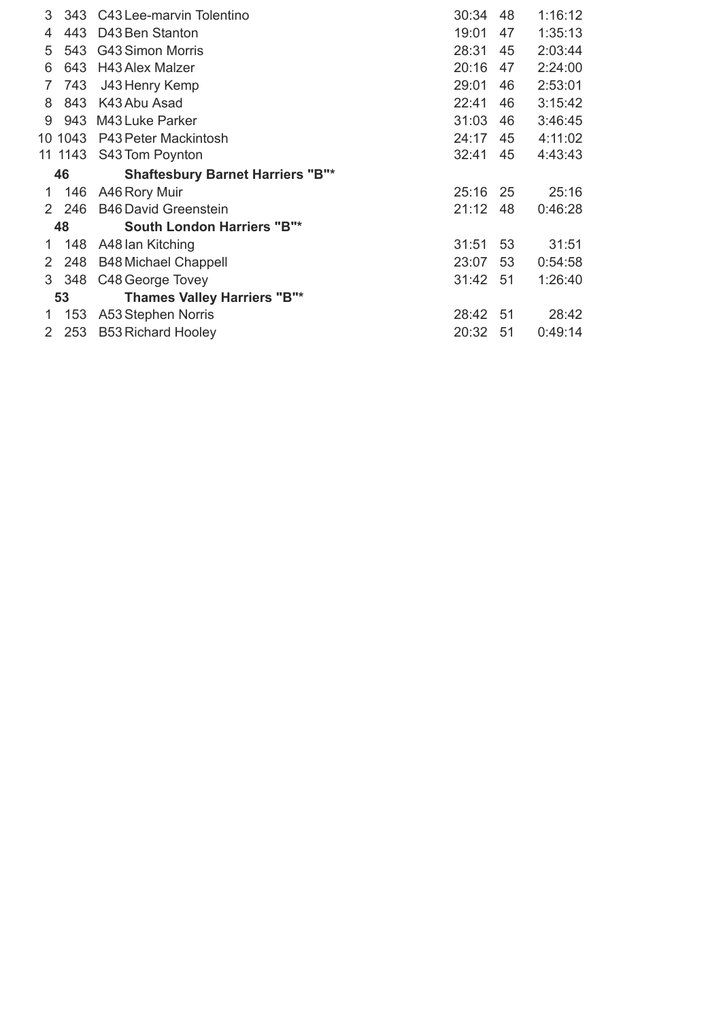| 3  | 343     | C43 Lee-marvin Tolentino                | 30:34 | 48  | 1:16:12 |
|----|---------|-----------------------------------------|-------|-----|---------|
| 4  | 443     | D43 Ben Stanton                         | 19:01 | 47  | 1:35:13 |
| 5  | 543     | <b>G43 Simon Morris</b>                 | 28:31 | 45  | 2:03:44 |
| 6  | 643     | <b>H43 Alex Malzer</b>                  | 20:16 | 47  | 2:24:00 |
| 7  | 743     | J43 Henry Kemp                          | 29:01 | 46  | 2:53:01 |
| 8  | 843     | K43 Abu Asad                            | 22:41 | 46  | 3:15:42 |
| 9  | 943     | M43 Luke Parker                         | 31:03 | 46  | 3:46:45 |
|    | 10 1043 | P43 Peter Mackintosh                    | 24:17 | 45  | 4:11:02 |
|    | 11 1143 | S43 Tom Poynton                         | 32:41 | 45  | 4:43:43 |
|    | 46      | <b>Shaftesbury Barnet Harriers "B"*</b> |       |     |         |
| 1. | 146     | A46 Rory Muir                           | 25:16 | 25  | 25:16   |
| 2. | 246     | <b>B46 David Greenstein</b>             | 21:12 | 48  | 0:46:28 |
|    | 48      | <b>South London Harriers "B"*</b>       |       |     |         |
| 1  | 148     | A48 lan Kitching                        | 31:51 | 53  | 31:51   |
| 2  | 248     | <b>B48 Michael Chappell</b>             | 23:07 | 53  | 0:54:58 |
| 3  | 348     | C48 George Tovey                        | 31:42 | -51 | 1:26:40 |
|    | 53      | <b>Thames Valley Harriers "B"*</b>      |       |     |         |
| 1. | 153     | A53 Stephen Norris                      | 28:42 | 51  | 28:42   |
| 2  | 253     | <b>B53 Richard Hooley</b>               | 20:32 | 51  | 0:49:14 |
|    |         |                                         |       |     |         |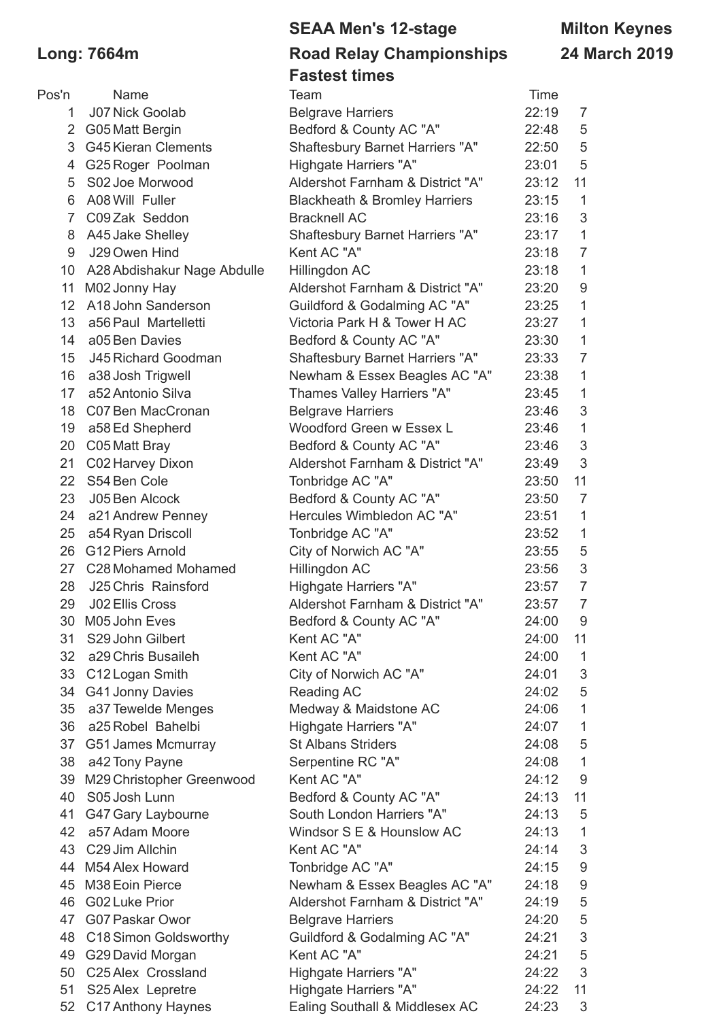### **SEAA Men's 12-stage Milton Keynes Long: 7664m Road Relay Championships 24 March 2019 Fastest times**

| Pos'n          | Name                        | Team                                     | Time  |                |
|----------------|-----------------------------|------------------------------------------|-------|----------------|
| 1              | <b>J07 Nick Goolab</b>      | <b>Belgrave Harriers</b>                 | 22:19 | $\overline{7}$ |
| $\overline{2}$ | G05 Matt Bergin             | Bedford & County AC "A"                  | 22:48 | 5              |
| 3              | <b>G45 Kieran Clements</b>  | <b>Shaftesbury Barnet Harriers "A"</b>   | 22:50 | 5              |
| 4              | G25 Roger Poolman           | Highgate Harriers "A"                    | 23:01 | 5              |
| 5              | S02 Joe Morwood             | Aldershot Farnham & District "A"         | 23:12 | 11             |
| 6              | A08 Will Fuller             | <b>Blackheath &amp; Bromley Harriers</b> | 23:15 | $\mathbf 1$    |
| $\overline{7}$ | C09 Zak Seddon              | <b>Bracknell AC</b>                      | 23:16 | 3              |
| 8              | A45 Jake Shelley            | <b>Shaftesbury Barnet Harriers "A"</b>   | 23:17 | 1              |
| $9\,$          | J29 Owen Hind               | Kent AC "A"                              | 23:18 | $\overline{7}$ |
| 10             | A28 Abdishakur Nage Abdulle | Hillingdon AC                            | 23:18 | $\mathbf 1$    |
| 11             | M02 Jonny Hay               | Aldershot Farnham & District "A"         | 23:20 | 9              |
| 12             | A18 John Sanderson          | Guildford & Godalming AC "A"             | 23:25 | 1              |
| 13             | a56 Paul Martelletti        | Victoria Park H & Tower H AC             | 23:27 | $\mathbf 1$    |
| 14             | a05 Ben Davies              | Bedford & County AC "A"                  | 23:30 | $\mathbf 1$    |
| 15             | J45 Richard Goodman         | <b>Shaftesbury Barnet Harriers "A"</b>   | 23:33 | $\overline{7}$ |
| 16             | a38 Josh Trigwell           | Newham & Essex Beagles AC "A"            | 23:38 | $\mathbf 1$    |
| 17             | a52 Antonio Silva           | Thames Valley Harriers "A"               | 23:45 | $\mathbf 1$    |
| 18             | C07 Ben MacCronan           | <b>Belgrave Harriers</b>                 | 23:46 | 3              |
| 19             | a58 Ed Shepherd             | Woodford Green w Essex L                 | 23:46 | $\mathbf 1$    |
| 20             | C05 Matt Bray               | Bedford & County AC "A"                  | 23:46 | 3              |
| 21             | C02 Harvey Dixon            | Aldershot Farnham & District "A"         | 23:49 | 3              |
| 22             | S54 Ben Cole                | Tonbridge AC "A"                         | 23:50 | 11             |
| 23             | J05 Ben Alcock              | Bedford & County AC "A"                  | 23:50 | $\overline{7}$ |
| 24             | a21 Andrew Penney           | Hercules Wimbledon AC "A"                | 23:51 | $\mathbf 1$    |
| 25             | a54 Ryan Driscoll           | Tonbridge AC "A"                         | 23:52 | $\mathbf 1$    |
| 26             | G12 Piers Arnold            | City of Norwich AC "A"                   | 23:55 | 5              |
|                | 27 C28 Mohamed Mohamed      | Hillingdon AC                            | 23:56 | 3              |
| 28             | J25 Chris Rainsford         | Highgate Harriers "A"                    | 23:57 | $\overline{7}$ |
| 29             | J02 Ellis Cross             | Aldershot Farnham & District "A"         | 23:57 | $\overline{7}$ |
| 30             | M05 John Eves               | Bedford & County AC "A"                  | 24:00 | 9              |
| 31             | S29 John Gilbert            | Kent AC "A"                              | 24:00 | 11             |
| 32             | a29 Chris Busaileh          | Kent AC "A"                              | 24:00 | $\mathbf 1$    |
| 33             | C12 Logan Smith             | City of Norwich AC "A"                   | 24:01 | 3              |
| 34             | G41 Jonny Davies            | Reading AC                               | 24:02 | 5              |
| 35             | a37 Tewelde Menges          | Medway & Maidstone AC                    | 24:06 | $\mathbf 1$    |
| 36             | a25 Robel Bahelbi           | Highgate Harriers "A"                    | 24:07 | $\mathbf 1$    |
|                | 37 G51 James Mcmurray       | <b>St Albans Striders</b>                | 24:08 | 5              |
| 38             | a42 Tony Payne              | Serpentine RC "A"                        | 24:08 | 1              |
| 39             | M29 Christopher Greenwood   | Kent AC "A"                              | 24:12 | 9              |
| 40             | S05 Josh Lunn               | Bedford & County AC "A"                  | 24:13 | 11             |
| 41             | G47 Gary Laybourne          | South London Harriers "A"                | 24:13 | 5              |
| 42             | a57 Adam Moore              | Windsor S E & Hounslow AC                | 24:13 | $\mathbf 1$    |
|                | 43 C29 Jim Allchin          | Kent AC "A"                              | 24:14 | 3              |
|                | 44 M54 Alex Howard          | Tonbridge AC "A"                         | 24:15 | 9              |
| 45             | M38 Eoin Pierce             | Newham & Essex Beagles AC "A"            | 24:18 | 9              |
| 46             | <b>G02 Luke Prior</b>       | Aldershot Farnham & District "A"         | 24:19 | 5              |
|                | 47 G07 Paskar Owor          | <b>Belgrave Harriers</b>                 | 24:20 | 5              |
| 48             | C18 Simon Goldsworthy       | Guildford & Godalming AC "A"             | 24:21 | 3              |
|                | 49 G29 David Morgan         | Kent AC "A"                              | 24:21 | 5              |
|                | 50 C25 Alex Crossland       | Highgate Harriers "A"                    | 24:22 | 3              |
|                |                             |                                          |       |                |

 S25Alex Lepretre Highgate Harriers "A" 24:22 11 C17Anthony Haynes Ealing Southall & Middlesex AC 24:23 3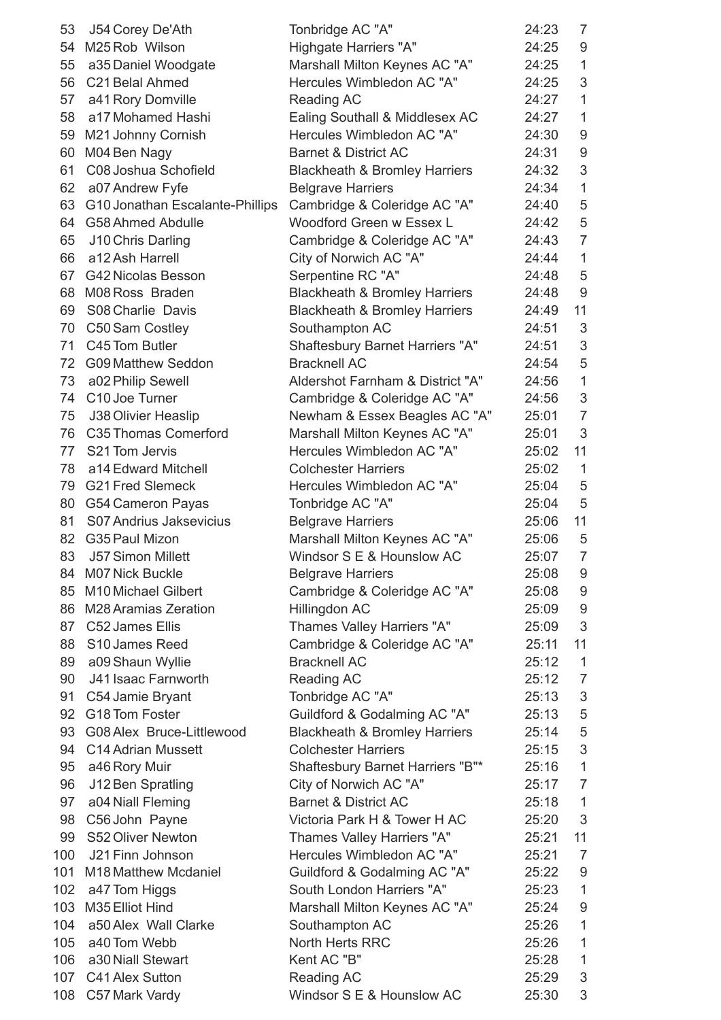| 53  | J54 Corey De'Ath                | Tonbridge AC "A"                         | 24:23 | $\overline{7}$ |
|-----|---------------------------------|------------------------------------------|-------|----------------|
| 54  | M25 Rob Wilson                  | Highgate Harriers "A"                    | 24:25 | 9              |
| 55  | a35 Daniel Woodgate             | Marshall Milton Keynes AC "A"            | 24:25 | $\mathbf 1$    |
| 56  | C21 Belal Ahmed                 | Hercules Wimbledon AC "A"                | 24:25 | 3              |
| 57  | a41 Rory Domville               | Reading AC                               | 24:27 | $\mathbf{1}$   |
| 58  | a17 Mohamed Hashi               | Ealing Southall & Middlesex AC           | 24:27 | $\mathbf 1$    |
| 59  | M21 Johnny Cornish              | Hercules Wimbledon AC "A"                | 24:30 | 9              |
| 60  | M04 Ben Nagy                    | <b>Barnet &amp; District AC</b>          | 24:31 | 9              |
| 61  | C08 Joshua Schofield            | <b>Blackheath &amp; Bromley Harriers</b> | 24:32 | 3              |
| 62  | a07 Andrew Fyfe                 | <b>Belgrave Harriers</b>                 | 24:34 | $\mathbf{1}$   |
| 63  | G10 Jonathan Escalante-Phillips | Cambridge & Coleridge AC "A"             | 24:40 | 5              |
| 64  | G58 Ahmed Abdulle               | Woodford Green w Essex L                 | 24:42 | 5              |
| 65  | J10 Chris Darling               | Cambridge & Coleridge AC "A"             | 24:43 | $\overline{7}$ |
| 66  | a12 Ash Harrell                 | City of Norwich AC "A"                   | 24:44 | $\mathbf{1}$   |
| 67  | <b>G42 Nicolas Besson</b>       | Serpentine RC "A"                        | 24:48 | 5              |
|     | 68 M08 Ross Braden              | <b>Blackheath &amp; Bromley Harriers</b> | 24:48 | 9              |
| 69  | S08 Charlie Davis               | <b>Blackheath &amp; Bromley Harriers</b> | 24:49 | 11             |
| 70  | C50 Sam Costley                 | Southampton AC                           | 24:51 | 3              |
| 71  | C45 Tom Butler                  | <b>Shaftesbury Barnet Harriers "A"</b>   | 24:51 | 3              |
| 72  | <b>G09 Matthew Seddon</b>       | <b>Bracknell AC</b>                      | 24:54 | 5              |
| 73  | a02 Philip Sewell               | Aldershot Farnham & District "A"         | 24:56 | $\mathbf 1$    |
| 74  | C10 Joe Turner                  |                                          | 24:56 | 3              |
|     |                                 | Cambridge & Coleridge AC "A"             |       | $\overline{7}$ |
| 75  | J38 Olivier Heaslip             | Newham & Essex Beagles AC "A"            | 25:01 |                |
| 76  | C35 Thomas Comerford            | Marshall Milton Keynes AC "A"            | 25:01 | 3              |
| 77  | S21 Tom Jervis                  | Hercules Wimbledon AC "A"                | 25:02 | 11             |
| 78  | a14 Edward Mitchell             | <b>Colchester Harriers</b>               | 25:02 | $\mathbf 1$    |
| 79  | <b>G21 Fred Slemeck</b>         | Hercules Wimbledon AC "A"                | 25:04 | 5              |
| 80  | G54 Cameron Payas               | Tonbridge AC "A"                         | 25:04 | 5              |
| 81  | S07 Andrius Jaksevicius         | <b>Belgrave Harriers</b>                 | 25:06 | 11             |
| 82  | G35 Paul Mizon                  | Marshall Milton Keynes AC "A"            | 25:06 | 5              |
| 83  | <b>J57 Simon Millett</b>        | Windsor S E & Hounslow AC                | 25:07 | $\overline{7}$ |
| 84  | <b>M07 Nick Buckle</b>          | <b>Belgrave Harriers</b>                 | 25:08 | 9              |
| 85  | M10 Michael Gilbert             | Cambridge & Coleridge AC "A"             | 25:08 | 9              |
| 86  | M28 Aramias Zeration            | Hillingdon AC                            | 25:09 | 9              |
| 87  | C52 James Ellis                 | Thames Valley Harriers "A"               | 25:09 | 3              |
| 88  | S10 James Reed                  | Cambridge & Coleridge AC "A"             | 25:11 | 11             |
| 89  | a09 Shaun Wyllie                | <b>Bracknell AC</b>                      | 25:12 | $\mathbf 1$    |
| 90  | J41 Isaac Farnworth             | Reading AC                               | 25:12 | $\overline{7}$ |
| 91  | C54 Jamie Bryant                | Tonbridge AC "A"                         | 25:13 | 3              |
| 92  | G18 Tom Foster                  | Guildford & Godalming AC "A"             | 25:13 | 5              |
| 93  | G08 Alex Bruce-Littlewood       | <b>Blackheath &amp; Bromley Harriers</b> | 25:14 | 5              |
| 94  | C14 Adrian Mussett              | <b>Colchester Harriers</b>               | 25:15 | 3              |
| 95  | a46 Rory Muir                   | Shaftesbury Barnet Harriers "B"*         | 25:16 | $\mathbf 1$    |
| 96  | J12 Ben Spratling               | City of Norwich AC "A"                   | 25:17 | $\overline{7}$ |
| 97  | a04 Niall Fleming               | <b>Barnet &amp; District AC</b>          | 25:18 | $\mathbf 1$    |
| 98  | C56 John Payne                  | Victoria Park H & Tower H AC             | 25:20 | 3              |
| 99  | S52 Oliver Newton               | Thames Valley Harriers "A"               | 25:21 | 11             |
| 100 | J21 Finn Johnson                | Hercules Wimbledon AC "A"                | 25:21 | $\overline{7}$ |
| 101 | M18 Matthew Mcdaniel            | Guildford & Godalming AC "A"             | 25:22 | 9              |
| 102 | a47 Tom Higgs                   | South London Harriers "A"                | 25:23 | $\mathbf 1$    |
| 103 | M35 Elliot Hind                 | Marshall Milton Keynes AC "A"            | 25:24 | 9              |
| 104 | a50 Alex Wall Clarke            | Southampton AC                           | 25:26 | $\mathbf 1$    |
| 105 | a40 Tom Webb                    | North Herts RRC                          | 25:26 | $\mathbf 1$    |
| 106 | a30 Niall Stewart               | Kent AC "B"                              | 25:28 | $\mathbf 1$    |
| 107 | C41 Alex Sutton                 | Reading AC                               | 25:29 | 3              |
| 108 | C57 Mark Vardy                  | Windsor S E & Hounslow AC                | 25:30 | 3              |
|     |                                 |                                          |       |                |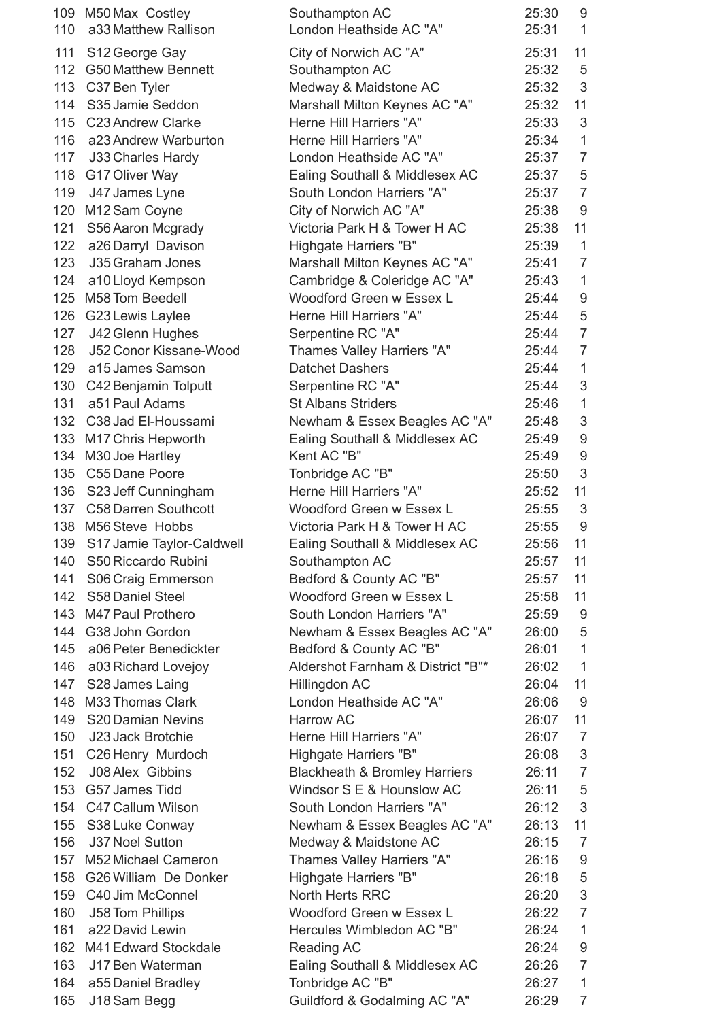|            | 109 M50 Max Costley<br>110 a33 Matthew Rallison | Southampton AC<br>London Heathside AC "A"              | 25:30<br>25:31 | 9<br>$\mathbf{1}$ |
|------------|-------------------------------------------------|--------------------------------------------------------|----------------|-------------------|
|            |                                                 |                                                        |                | 11                |
| 111        | S12 George Gay                                  | City of Norwich AC "A"                                 | 25:31          |                   |
| 112<br>113 | <b>G50 Matthew Bennett</b><br>C37 Ben Tyler     | Southampton AC                                         | 25:32<br>25:32 | 5<br>3            |
| 114        | S35 Jamie Seddon                                | Medway & Maidstone AC<br>Marshall Milton Keynes AC "A" | 25:32          | 11                |
| 115        | C23 Andrew Clarke                               | Herne Hill Harriers "A"                                | 25:33          | 3                 |
| 116        | a23 Andrew Warburton                            | Herne Hill Harriers "A"                                | 25:34          | 1                 |
| 117        |                                                 | London Heathside AC "A"                                | 25:37          | $\overline{7}$    |
| 118        | J33 Charles Hardy<br>G17 Oliver Way             | Ealing Southall & Middlesex AC                         | 25:37          | 5                 |
| 119        | J47 James Lyne                                  | South London Harriers "A"                              | 25:37          | $\overline{7}$    |
| 120        | M12 Sam Coyne                                   | City of Norwich AC "A"                                 | 25:38          | 9                 |
| 121        | S56 Aaron Mcgrady                               | Victoria Park H & Tower H AC                           | 25:38          | 11                |
| 122        | a26 Darryl Davison                              | Highgate Harriers "B"                                  | 25:39          | 1                 |
| 123        | J35 Graham Jones                                | Marshall Milton Keynes AC "A"                          | 25:41          | $\overline{7}$    |
| 124        | a10 Lloyd Kempson                               | Cambridge & Coleridge AC "A"                           | 25:43          | 1                 |
| 125        | M58 Tom Beedell                                 | Woodford Green w Essex L                               | 25:44          | 9                 |
| 126        | G23 Lewis Laylee                                | Herne Hill Harriers "A"                                | 25:44          | 5                 |
| 127        | J42 Glenn Hughes                                | Serpentine RC "A"                                      | 25:44          | $\overline{7}$    |
| 128        | J52 Conor Kissane-Wood                          | Thames Valley Harriers "A"                             | 25:44          | $\overline{7}$    |
| 129        | a15 James Samson                                | <b>Datchet Dashers</b>                                 | 25:44          | $\mathbf 1$       |
| 130        | C42 Benjamin Tolputt                            | Serpentine RC "A"                                      | 25:44          | 3                 |
| 131        | a51 Paul Adams                                  | <b>St Albans Striders</b>                              | 25:46          | 1                 |
|            | 132 C38 Jad El-Houssami                         | Newham & Essex Beagles AC "A"                          | 25:48          | 3                 |
| 133        | M17 Chris Hepworth                              | Ealing Southall & Middlesex AC                         | 25:49          | 9                 |
| 134        | M30 Joe Hartley                                 | Kent AC "B"                                            | 25:49          | 9                 |
| 135        | C55 Dane Poore                                  | Tonbridge AC "B"                                       | 25:50          | 3                 |
| 136        | S23 Jeff Cunningham                             | Herne Hill Harriers "A"                                | 25:52          | 11                |
|            | 137 C58 Darren Southcott                        | Woodford Green w Essex L                               | 25:55          | 3                 |
| 138        | M56 Steve Hobbs                                 | Victoria Park H & Tower H AC                           | 25:55          | 9                 |
| 139        | S17 Jamie Taylor-Caldwell                       | Ealing Southall & Middlesex AC                         | 25:56          | 11                |
| 140        | S50 Riccardo Rubini                             | Southampton AC                                         | 25:57          | 11                |
| 141        | S06 Craig Emmerson                              | Bedford & County AC "B"                                | 25:57          | 11                |
| 142        | S58 Daniel Steel                                | Woodford Green w Essex L                               | 25:58          | 11                |
| 143        | M47 Paul Prothero                               | South London Harriers "A"                              | 25:59          | 9                 |
| 144        | G38 John Gordon                                 | Newham & Essex Beagles AC "A"                          | 26:00          | 5                 |
| 145        | a06 Peter Benedickter                           | Bedford & County AC "B"                                | 26:01          | 1                 |
| 146        | a03 Richard Lovejoy                             | Aldershot Farnham & District "B"*                      | 26:02          | $\mathbf{1}$      |
| 147        | S28 James Laing                                 | Hillingdon AC                                          | 26:04          | 11                |
| 148        | M33 Thomas Clark                                | London Heathside AC "A"                                | 26:06          | 9                 |
| 149        | S20 Damian Nevins                               | <b>Harrow AC</b>                                       | 26:07          | 11                |
| 150        | J23 Jack Brotchie                               | Herne Hill Harriers "A"                                | 26:07          | $\overline{7}$    |
| 151        | C26 Henry Murdoch                               | Highgate Harriers "B"                                  | 26:08          | $\mathfrak{S}$    |
| 152        | J08 Alex Gibbins                                | <b>Blackheath &amp; Bromley Harriers</b>               | 26:11          | $\overline{7}$    |
| 153        | G57 James Tidd                                  | Windsor S E & Hounslow AC                              | 26:11          | 5                 |
| 154        | C47 Callum Wilson                               | South London Harriers "A"                              | 26:12          | 3                 |
| 155        | S38 Luke Conway                                 | Newham & Essex Beagles AC "A"                          | 26:13          | 11                |
| 156        | J37 Noel Sutton                                 | Medway & Maidstone AC                                  | 26:15          | $\overline{7}$    |
| 157        | M52 Michael Cameron                             | Thames Valley Harriers "A"                             | 26:16          | 9                 |
| 158        | G26 William De Donker                           | Highgate Harriers "B"                                  | 26:18          | 5                 |
| 159        | C40 Jim McConnel                                | North Herts RRC                                        | 26:20          | 3                 |
| 160        | J58 Tom Phillips                                | Woodford Green w Essex L                               | 26:22          | $\overline{7}$    |
| 161        | a22 David Lewin                                 | Hercules Wimbledon AC "B"                              | 26:24          | 1                 |
| 162        | M41 Edward Stockdale                            | <b>Reading AC</b>                                      | 26:24          | 9                 |
| 163        | J17 Ben Waterman                                | Ealing Southall & Middlesex AC                         | 26:26          | $\overline{7}$    |
| 164        | a55 Daniel Bradley                              | Tonbridge AC "B"                                       | 26:27          | 1                 |
| 165        | J18 Sam Begg                                    | Guildford & Godalming AC "A"                           | 26:29          | 7                 |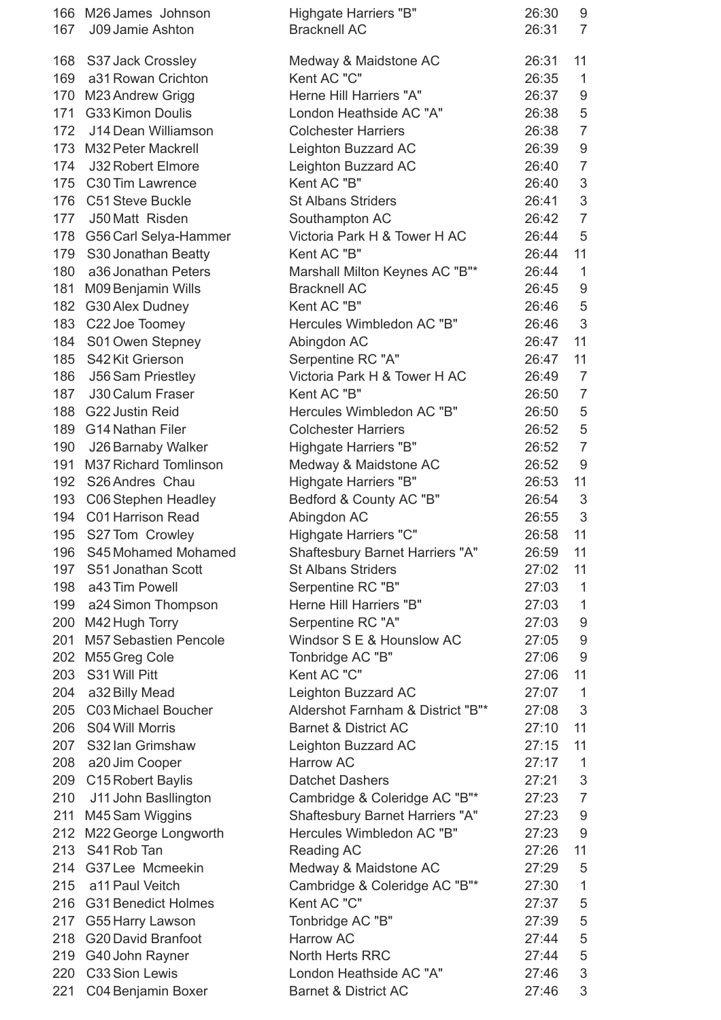| 167 | 166 M26 James Johnson<br>J09 Jamie Ashton  | Highgate Harriers "B"<br><b>Bracknell AC</b>                 | 26:30<br>26:31 | 9<br>$\overline{7}$       |
|-----|--------------------------------------------|--------------------------------------------------------------|----------------|---------------------------|
|     |                                            |                                                              |                |                           |
|     | 168 S37 Jack Crossley                      | Medway & Maidstone AC                                        | 26:31          | 11                        |
|     | 169 a31 Rowan Crichton                     | Kent AC "C"                                                  | 26:35          | $\mathbf{1}$              |
| 170 | M23 Andrew Grigg                           | Herne Hill Harriers "A"                                      | 26:37          | $\boldsymbol{9}$          |
|     | 171 G33 Kimon Doulis                       | London Heathside AC "A"                                      | 26:38          | 5                         |
|     | 172 J14 Dean Williamson                    | <b>Colchester Harriers</b>                                   | 26:38          | $\overline{7}$            |
|     | 173 M32 Peter Mackrell                     | Leighton Buzzard AC                                          | 26:39          | $\boldsymbol{9}$          |
| 174 | <b>J32 Robert Elmore</b>                   | Leighton Buzzard AC                                          | 26:40          | $\overline{7}$            |
| 175 | C30 Tim Lawrence                           | Kent AC "B"                                                  | 26:40          | $\sqrt{3}$                |
|     | 176 C51 Steve Buckle                       | <b>St Albans Striders</b>                                    | 26:41          | $\sqrt{3}$                |
|     | 177 J50 Matt Risden                        | Southampton AC                                               | 26:42          | $\overline{7}$            |
|     | 178 G56 Carl Selya-Hammer                  | Victoria Park H & Tower H AC                                 | 26:44          | 5                         |
| 179 | S30 Jonathan Beatty                        | Kent AC "B"                                                  | 26:44          | 11                        |
| 180 | a36 Jonathan Peters                        | Marshall Milton Keynes AC "B"*                               | 26:44          | $\mathbf{1}$              |
| 181 | M09 Benjamin Wills                         | <b>Bracknell AC</b>                                          | 26:45          | $9\,$                     |
| 182 | G30 Alex Dudney                            | Kent AC "B"                                                  | 26:46          | 5                         |
|     | 183 C22 Joe Toomey                         | Hercules Wimbledon AC "B"                                    | 26:46          | $\mathfrak{S}$            |
| 184 | S01 Owen Stepney                           | Abingdon AC                                                  | 26:47          | 11                        |
| 185 | S42 Kit Grierson                           | Serpentine RC "A"                                            | 26:47          | 11                        |
| 186 | <b>J56 Sam Priestley</b>                   | Victoria Park H & Tower H AC                                 | 26:49          | $\overline{7}$            |
| 187 | <b>J30 Calum Fraser</b>                    | Kent AC "B"                                                  | 26:50          | $\overline{7}$            |
| 188 | G22 Justin Reid                            | Hercules Wimbledon AC "B"                                    | 26:50          | 5                         |
| 189 | <b>G14 Nathan Filer</b>                    | <b>Colchester Harriers</b>                                   | 26:52          | 5                         |
| 190 | J26 Barnaby Walker                         | Highgate Harriers "B"                                        | 26:52          | $\overline{7}$            |
| 191 | M37 Richard Tomlinson                      | Medway & Maidstone AC                                        | 26:52          | $\boldsymbol{9}$          |
|     | 192 S26 Andres Chau                        |                                                              | 26:53          | 11                        |
|     | 193 C06 Stephen Headley                    | Highgate Harriers "B"<br>Bedford & County AC "B"             | 26:54          | 3                         |
|     | 194 C01 Harrison Read                      |                                                              | 26:55          | 3                         |
|     |                                            | Abingdon AC                                                  |                | 11                        |
| 196 | 195 S27 Tom Crowley<br>S45 Mohamed Mohamed | Highgate Harriers "C"                                        | 26:58<br>26:59 | 11                        |
| 197 |                                            | Shaftesbury Barnet Harriers "A"<br><b>St Albans Striders</b> | 27:02          |                           |
|     | S51 Jonathan Scott<br>a43 Tim Powell       |                                                              | 27:03          | 11<br>$\mathbf{1}$        |
| 198 |                                            | Serpentine RC "B"                                            |                | $\mathbf{1}$              |
|     | 199 a24 Simon Thompson                     | Herne Hill Harriers "B"                                      | 27:03          |                           |
| 200 | M42 Hugh Torry                             | Serpentine RC "A"                                            | 27:03          | $9\,$                     |
| 201 | <b>M57 Sebastien Pencole</b>               | Windsor S E & Hounslow AC                                    | 27:05          | $\boldsymbol{9}$          |
| 202 | M55 Greg Cole                              | Tonbridge AC "B"                                             | 27:06          | $9$                       |
| 203 | S31 Will Pitt                              | Kent AC "C"                                                  | 27:06          | 11                        |
| 204 | a32 Billy Mead                             | Leighton Buzzard AC                                          | 27:07          | $\overline{1}$            |
| 205 | C03 Michael Boucher                        | Aldershot Farnham & District "B"*                            | 27:08          | 3                         |
| 206 | S04 Will Morris                            | <b>Barnet &amp; District AC</b>                              | 27:10          | 11                        |
| 207 | S32 Ian Grimshaw                           | Leighton Buzzard AC                                          | 27:15          | 11                        |
| 208 | a20 Jim Cooper                             | Harrow AC                                                    | 27:17          | $\mathbf{1}$              |
|     | 209 C15 Robert Baylis                      | <b>Datchet Dashers</b>                                       | 27:21          | $\ensuremath{\mathsf{3}}$ |
| 210 | J11 John Basllington                       | Cambridge & Coleridge AC "B"*                                | 27:23          | $\overline{7}$            |
| 211 | M45 Sam Wiggins                            | Shaftesbury Barnet Harriers "A"                              | 27:23          | $9\,$                     |
| 212 | M22 George Longworth                       | Hercules Wimbledon AC "B"                                    | 27:23          | $\overline{9}$            |
| 213 | S41 Rob Tan                                | Reading AC                                                   | 27:26          | 11                        |
|     | 214 G37 Lee Mcmeekin                       | Medway & Maidstone AC                                        | 27:29          | 5                         |
| 215 | a11 Paul Veitch                            | Cambridge & Coleridge AC "B"*                                | 27:30          | $\mathbf{1}$              |
| 216 | <b>G31 Benedict Holmes</b>                 | Kent AC "C"                                                  | 27:37          | 5                         |
| 217 | G55 Harry Lawson                           | Tonbridge AC "B"                                             | 27:39          | 5                         |
| 218 | <b>G20 David Branfoot</b>                  | <b>Harrow AC</b>                                             | 27:44          | 5                         |
| 219 | G40 John Rayner                            | North Herts RRC                                              | 27:44          | 5                         |
| 220 | C33 Sion Lewis                             | London Heathside AC "A"                                      | 27:46          | $\mathfrak{S}$            |
| 221 | C04 Benjamin Boxer                         | <b>Barnet &amp; District AC</b>                              | 27:46          | 3                         |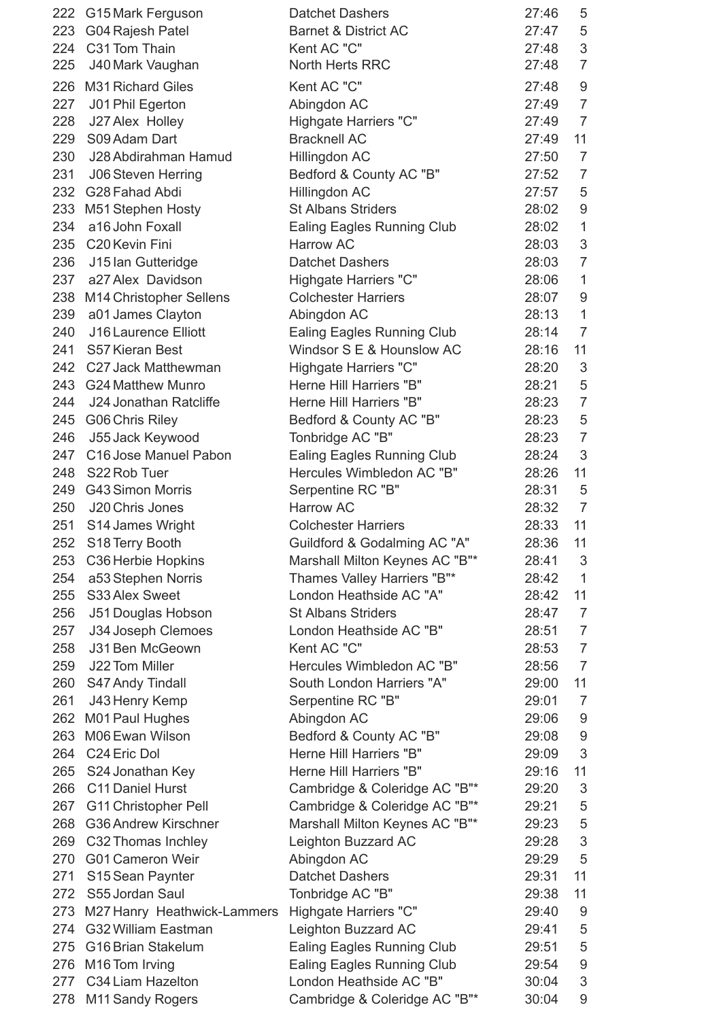|     | 222 G15 Mark Ferguson       | <b>Datchet Dashers</b>                                         | 27:46          | 5                                |
|-----|-----------------------------|----------------------------------------------------------------|----------------|----------------------------------|
|     | 223 G04 Rajesh Patel        | <b>Barnet &amp; District AC</b>                                | 27:47          | 5                                |
|     | 224 C31 Tom Thain           | Kent AC "C"                                                    | 27:48          | 3                                |
| 225 | J40 Mark Vaughan            | North Herts RRC                                                | 27:48          | $\overline{7}$                   |
|     | 226 M31 Richard Giles       | Kent AC "C"                                                    | 27:48          | 9                                |
| 227 | J01 Phil Egerton            | Abingdon AC                                                    | 27:49          | $\overline{7}$                   |
| 228 | J27 Alex Holley             | Highgate Harriers "C"                                          | 27:49          | $\overline{7}$                   |
| 229 | S09 Adam Dart               | <b>Bracknell AC</b>                                            | 27:49          | 11                               |
| 230 | J28 Abdirahman Hamud        | Hillingdon AC                                                  | 27:50          | $\overline{7}$                   |
| 231 | <b>J06 Steven Herring</b>   | Bedford & County AC "B"                                        | 27:52          | $\overline{7}$                   |
|     | 232 G28 Fahad Abdi          | Hillingdon AC                                                  | 27:57          | 5                                |
|     | 233 M51 Stephen Hosty       | <b>St Albans Striders</b>                                      | 28:02          | 9                                |
| 234 | a16 John Foxall             | <b>Ealing Eagles Running Club</b>                              | 28:02          | $\mathbf 1$                      |
|     | 235 C20 Kevin Fini          | <b>Harrow AC</b>                                               | 28:03          | 3                                |
| 236 | J15 Ian Gutteridge          | <b>Datchet Dashers</b>                                         | 28:03          | $\overline{7}$                   |
|     | 237 a27 Alex Davidson       | Highgate Harriers "C"                                          | 28:06          | 1                                |
|     | 238 M14 Christopher Sellens | <b>Colchester Harriers</b>                                     | 28:07          | $\overline{9}$                   |
| 239 | a01 James Clayton           | Abingdon AC                                                    | 28:13          | $\mathbf 1$                      |
| 240 | J16 Laurence Elliott        | <b>Ealing Eagles Running Club</b>                              | 28:14          | $\overline{7}$                   |
| 241 | S57 Kieran Best             | Windsor S E & Hounslow AC                                      | 28:16          | 11                               |
|     | 242 C27 Jack Matthewman     | Highgate Harriers "C"                                          | 28:20          | 3                                |
|     | 243 G24 Matthew Munro       | Herne Hill Harriers "B"                                        | 28:21          | 5                                |
| 244 | J24 Jonathan Ratcliffe      | Herne Hill Harriers "B"                                        | 28:23          | $\overline{7}$                   |
|     | 245 G06 Chris Riley         | Bedford & County AC "B"                                        | 28:23          | 5                                |
| 246 | J55 Jack Keywood            | Tonbridge AC "B"                                               | 28:23          | $\overline{7}$                   |
| 247 | C16 Jose Manuel Pabon       |                                                                | 28:24          | 3                                |
| 248 | S22 Rob Tuer                | <b>Ealing Eagles Running Club</b><br>Hercules Wimbledon AC "B" |                | 11                               |
|     | <b>G43 Simon Morris</b>     |                                                                | 28:26          |                                  |
| 249 |                             | Serpentine RC "B"                                              | 28:31          | 5                                |
| 250 | J20 Chris Jones             | Harrow AC                                                      | 28:32          | $\overline{7}$                   |
| 251 | S14 James Wright            | <b>Colchester Harriers</b>                                     | 28:33          | 11                               |
| 252 | S18 Terry Booth             | Guildford & Godalming AC "A"                                   | 28:36          | 11                               |
| 253 | C36 Herbie Hopkins          | Marshall Milton Keynes AC "B"*                                 | 28:41<br>28:42 | 3                                |
| 254 | a53 Stephen Norris          | Thames Valley Harriers "B"*<br>London Heathside AC "A"         |                | $\mathbf{1}$                     |
| 255 | S33 Alex Sweet              | <b>St Albans Striders</b>                                      | 28:42          | 11                               |
| 256 | J51 Douglas Hobson          |                                                                | 28:47          | $\overline{7}$<br>$\overline{7}$ |
| 257 | J34 Joseph Clemoes          | London Heathside AC "B"                                        | 28:51          |                                  |
| 258 | J31 Ben McGeown             | Kent AC "C"                                                    | 28:53          | $\overline{7}$                   |
| 259 | J22 Tom Miller              | Hercules Wimbledon AC "B"                                      | 28:56          | $\overline{7}$                   |
| 260 | S47 Andy Tindall            | South London Harriers "A"                                      | 29:00          | 11                               |
| 261 | J43 Henry Kemp              | Serpentine RC "B"                                              | 29:01          | $\overline{7}$                   |
| 262 | M01 Paul Hughes             | Abingdon AC                                                    | 29:06          | 9                                |
| 263 | M06 Ewan Wilson             | Bedford & County AC "B"                                        | 29:08          | 9                                |
|     | 264 C24 Eric Dol            | Herne Hill Harriers "B"                                        | 29:09          | 3                                |
| 265 | S24 Jonathan Key            | Herne Hill Harriers "B"                                        | 29:16          | 11                               |
| 266 | C11 Daniel Hurst            | Cambridge & Coleridge AC "B"*                                  | 29:20          | 3                                |
| 267 | <b>G11 Christopher Pell</b> | Cambridge & Coleridge AC "B"*                                  | 29:21          | 5                                |
|     | 268 G36 Andrew Kirschner    | Marshall Milton Keynes AC "B"*                                 | 29:23          | 5                                |
|     | 269 C32 Thomas Inchley      | Leighton Buzzard AC                                            | 29:28          | 3                                |
| 270 | <b>G01 Cameron Weir</b>     | Abingdon AC                                                    | 29:29          | 5                                |
| 271 | S15 Sean Paynter            | <b>Datchet Dashers</b>                                         | 29:31          | 11                               |
| 272 | S55 Jordan Saul             | Tonbridge AC "B"                                               | 29:38          | 11                               |
| 273 | M27 Hanry Heathwick-Lammers | Highgate Harriers "C"                                          | 29:40          | 9                                |
| 274 | <b>G32 William Eastman</b>  | Leighton Buzzard AC                                            | 29:41          | 5                                |
| 275 | G16 Brian Stakelum          | <b>Ealing Eagles Running Club</b>                              | 29:51          | 5                                |
|     | 276 M16 Tom Irving          | <b>Ealing Eagles Running Club</b>                              | 29:54          | 9                                |
|     | 277 C34 Liam Hazelton       | London Heathside AC "B"                                        | 30:04          | 3                                |
|     | 278 M11 Sandy Rogers        | Cambridge & Coleridge AC "B"*                                  | 30:04          | 9                                |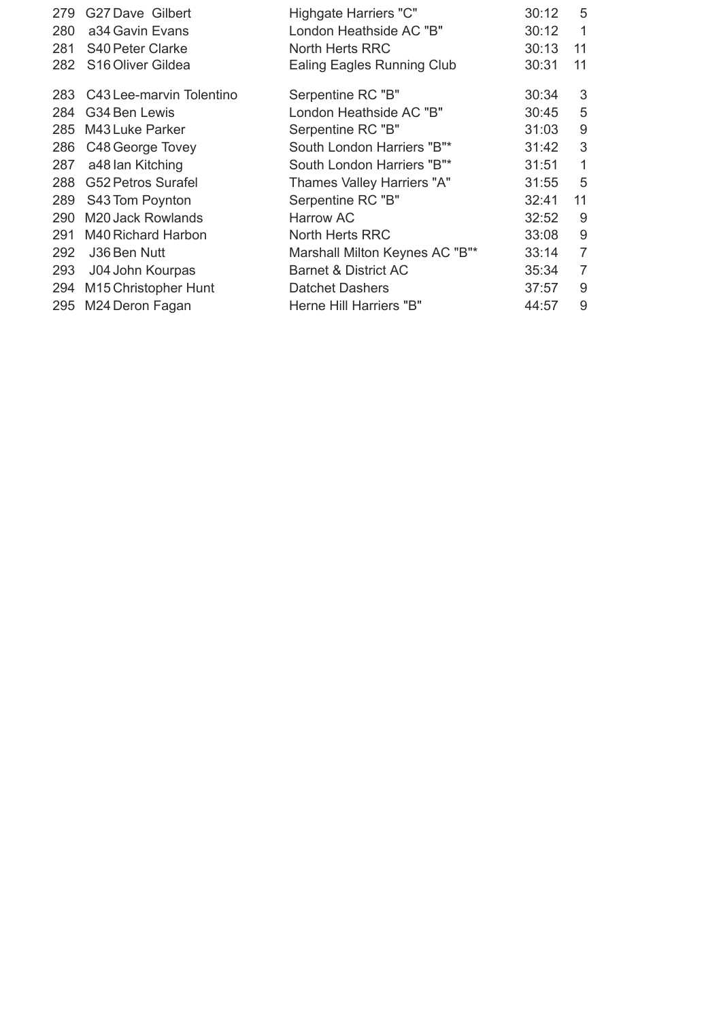| 279 | G27 Dave Gilbert                 | Highgate Harriers "C"           | 30:12 | 5              |
|-----|----------------------------------|---------------------------------|-------|----------------|
| 280 | a34 Gavin Evans                  | London Heathside AC "B"         | 30:12 | $\mathbf{1}$   |
| 281 | <b>S40 Peter Clarke</b>          | North Herts RRC                 | 30:13 | 11             |
| 282 | S <sub>16</sub> Oliver Gildea    | Ealing Eagles Running Club      | 30:31 | 11             |
| 283 | C43 Lee-marvin Tolentino         | Serpentine RC "B"               | 30:34 | 3              |
| 284 | G34 Ben Lewis                    | London Heathside AC "B"         | 30:45 | 5              |
| 285 | M43 Luke Parker                  | Serpentine RC "B"               | 31:03 | $\overline{9}$ |
| 286 | C48 George Tovey                 | South London Harriers "B"*      | 31:42 | 3              |
| 287 | a48 lan Kitching                 | South London Harriers "B"*      | 31:51 | $\mathbf{1}$   |
| 288 | <b>G52 Petros Surafel</b>        | Thames Valley Harriers "A"      | 31:55 | 5              |
| 289 | S43 Tom Poynton                  | Serpentine RC "B"               | 32:41 | 11             |
| 290 | M20 Jack Rowlands                | <b>Harrow AC</b>                | 32:52 | 9              |
| 291 | M40 Richard Harbon               | North Herts RRC                 | 33:08 | 9              |
| 292 | J36 Ben Nutt                     | Marshall Milton Keynes AC "B"*  | 33:14 | $\overline{7}$ |
| 293 | J04 John Kourpas                 | <b>Barnet &amp; District AC</b> | 35:34 | 7              |
| 294 | M <sub>15</sub> Christopher Hunt | <b>Datchet Dashers</b>          | 37:57 | 9              |
| 295 | M24 Deron Fagan                  | Herne Hill Harriers "B"         | 44:57 | 9              |
|     |                                  |                                 |       |                |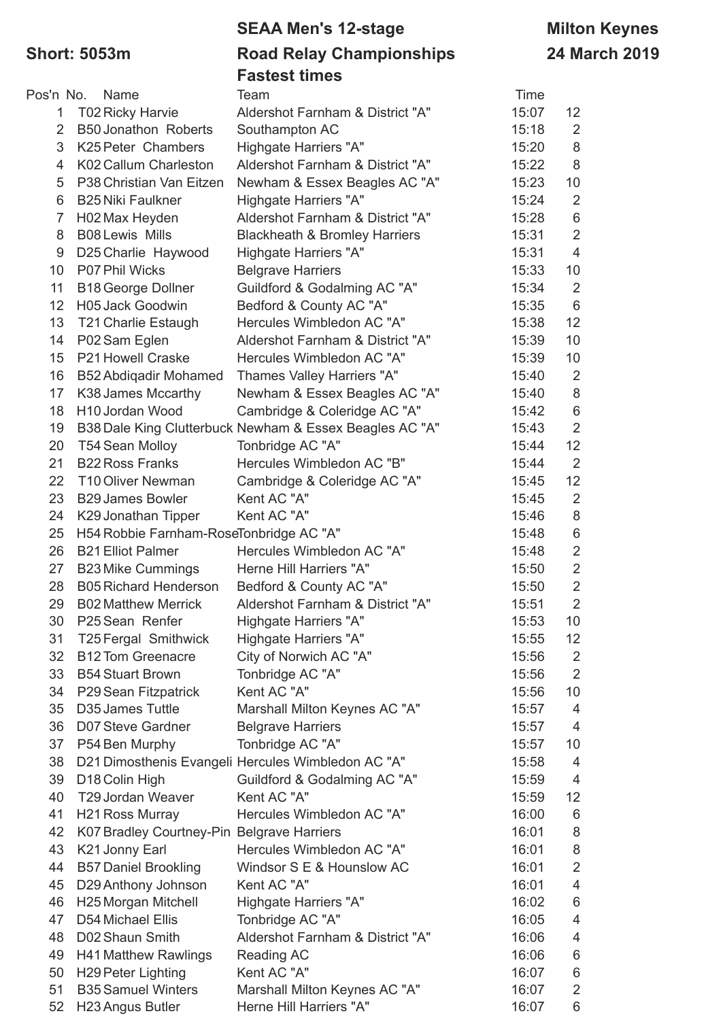# **SEAA Men's 12-stage Milton Keynes Short: 5053m Road Relay Championships 24 March 2019 Fastest times**

|                |                                            | asical milios                                           |       |                 |
|----------------|--------------------------------------------|---------------------------------------------------------|-------|-----------------|
| Pos'n No.      | Name                                       | Team                                                    | Time  |                 |
| $\mathbf 1$    | <b>T02 Ricky Harvie</b>                    | Aldershot Farnham & District "A"                        | 15:07 | 12 <sup>2</sup> |
| $\overline{2}$ | <b>B50 Jonathon Roberts</b>                | Southampton AC                                          | 15:18 | 2               |
| 3              | K25 Peter Chambers                         | Highgate Harriers "A"                                   | 15:20 | 8               |
| 4              | K02 Callum Charleston                      | Aldershot Farnham & District "A"                        | 15:22 | 8               |
| 5              | P38 Christian Van Eitzen                   | Newham & Essex Beagles AC "A"                           | 15:23 | 10              |
| 6              | <b>B25 Niki Faulkner</b>                   | Highgate Harriers "A"                                   | 15:24 | $\overline{2}$  |
| $\overline{7}$ | H02 Max Heyden                             | Aldershot Farnham & District "A"                        | 15:28 | 6               |
| 8              | <b>B08 Lewis Mills</b>                     | <b>Blackheath &amp; Bromley Harriers</b>                | 15:31 | $\sqrt{2}$      |
| 9              | D25 Charlie Haywood                        | Highgate Harriers "A"                                   | 15:31 | $\overline{4}$  |
| 10             | P07 Phil Wicks                             | <b>Belgrave Harriers</b>                                | 15:33 | 10              |
| 11             | <b>B18 George Dollner</b>                  | Guildford & Godalming AC "A"                            | 15:34 | 2               |
| 12             | H05 Jack Goodwin                           | Bedford & County AC "A"                                 | 15:35 | 6               |
| 13             | <b>T21 Charlie Estaugh</b>                 | Hercules Wimbledon AC "A"                               | 15:38 | 12              |
| 14             | P02 Sam Eglen                              | Aldershot Farnham & District "A"                        | 15:39 | 10              |
| 15             | P21 Howell Craske                          | Hercules Wimbledon AC "A"                               | 15:39 | 10              |
| 16             | <b>B52 Abdigadir Mohamed</b>               | Thames Valley Harriers "A"                              | 15:40 | 2               |
| 17             | K38 James Mccarthy                         | Newham & Essex Beagles AC "A"                           | 15:40 | 8               |
| 18             | H <sub>10</sub> Jordan Wood                | Cambridge & Coleridge AC "A"                            | 15:42 | $6\,$           |
| 19             |                                            | B38 Dale King Clutterbuck Newham & Essex Beagles AC "A" | 15:43 | $\overline{2}$  |
| 20             | T54 Sean Molloy                            | Tonbridge AC "A"                                        | 15:44 | 12              |
| 21             | <b>B22 Ross Franks</b>                     | Hercules Wimbledon AC "B"                               | 15:44 | 2               |
| 22             | T10 Oliver Newman                          | Cambridge & Coleridge AC "A"                            | 15:45 | 12              |
| 23             | <b>B29 James Bowler</b>                    | Kent AC "A"                                             | 15:45 | $\overline{2}$  |
| 24             | K29 Jonathan Tipper                        | Kent AC "A"                                             | 15:46 | 8               |
| 25             | H54 Robbie Farnham-RoseTonbridge AC "A"    |                                                         | 15:48 | 6               |
| 26             | <b>B21 Elliot Palmer</b>                   | Hercules Wimbledon AC "A"                               | 15:48 | $\overline{2}$  |
| 27             | <b>B23 Mike Cummings</b>                   | Herne Hill Harriers "A"                                 | 15:50 | $\overline{2}$  |
| 28             | <b>B05 Richard Henderson</b>               | Bedford & County AC "A"                                 | 15:50 | $\overline{2}$  |
| 29             | <b>B02 Matthew Merrick</b>                 | Aldershot Farnham & District "A"                        | 15:51 | $\overline{2}$  |
| 30             | P25 Sean Renfer                            | Highgate Harriers "A"                                   | 15:53 | 10 <sup>1</sup> |
| 31             | T25 Fergal Smithwick                       | Highgate Harriers "A"                                   | 15:55 | 12 <sup>°</sup> |
| 32             | <b>B12 Tom Greenacre</b>                   | City of Norwich AC "A"                                  | 15:56 | $\overline{2}$  |
| 33             | <b>B54 Stuart Brown</b>                    | Tonbridge AC "A"                                        | 15:56 | $\overline{2}$  |
| 34             | P29 Sean Fitzpatrick                       | Kent AC "A"                                             | 15:56 | 10              |
| 35             | D35 James Tuttle                           | Marshall Milton Keynes AC "A"                           | 15:57 | $\overline{4}$  |
| 36             | D07 Steve Gardner                          | <b>Belgrave Harriers</b>                                | 15:57 | 4               |
| 37             | P54 Ben Murphy                             | Tonbridge AC "A"                                        | 15:57 | 10              |
| 38             |                                            | D21 Dimosthenis Evangeli Hercules Wimbledon AC "A"      | 15:58 | 4               |
| 39             | D18 Colin High                             | Guildford & Godalming AC "A"                            | 15:59 | 4               |
| 40             | T29 Jordan Weaver                          | Kent AC "A"                                             | 15:59 | 12              |
| 41             | H21 Ross Murray                            | Hercules Wimbledon AC "A"                               | 16:00 | 6               |
| 42             | K07 Bradley Courtney-Pin Belgrave Harriers |                                                         | 16:01 | 8               |
| 43             | K21 Jonny Earl                             | Hercules Wimbledon AC "A"                               | 16:01 | 8               |
| 44             | <b>B57 Daniel Brookling</b>                | Windsor S E & Hounslow AC                               | 16:01 | $\overline{2}$  |
| 45             | D29 Anthony Johnson                        | Kent AC "A"                                             | 16:01 | $\overline{4}$  |
| 46             | H25 Morgan Mitchell                        | Highgate Harriers "A"                                   | 16:02 | 6               |
| 47             | D54 Michael Ellis                          | Tonbridge AC "A"                                        | 16:05 | 4               |
| 48             | D02 Shaun Smith                            | Aldershot Farnham & District "A"                        | 16:06 | 4               |
| 49             | <b>H41 Matthew Rawlings</b>                | <b>Reading AC</b>                                       | 16:06 | 6               |
| 50             | <b>H29 Peter Lighting</b>                  | Kent AC "A"                                             | 16:07 | 6               |
| 51             | <b>B35 Samuel Winters</b>                  | Marshall Milton Keynes AC "A"                           | 16:07 | $\overline{2}$  |
| 52             | H23 Angus Butler                           | Herne Hill Harriers "A"                                 | 16:07 | 6               |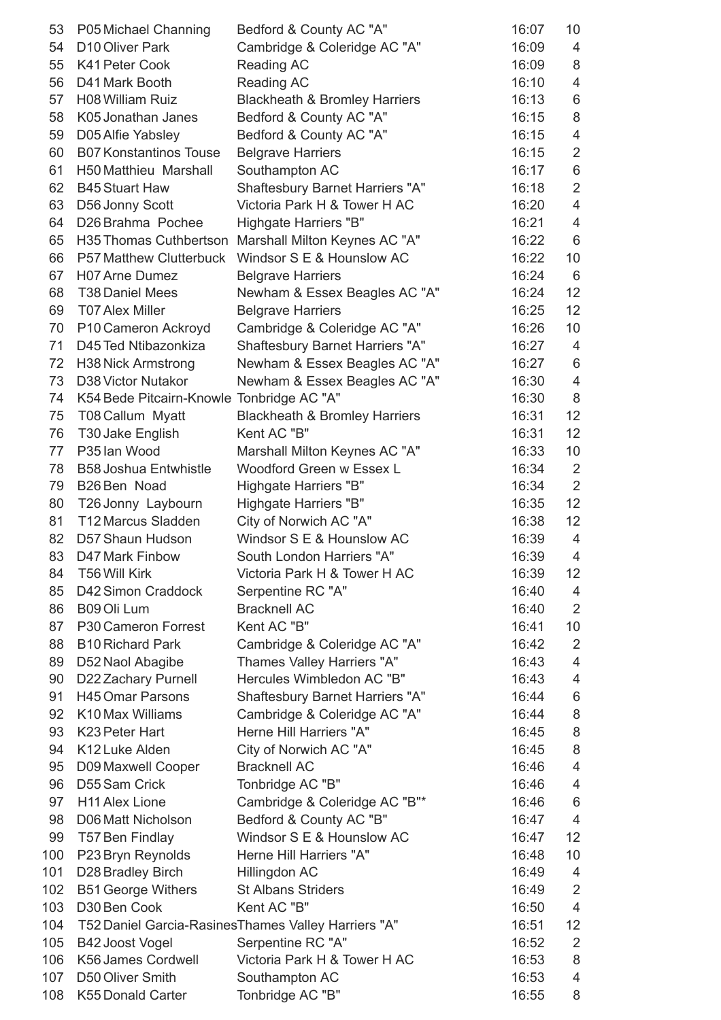| 53  | P05 Michael Channing                      | Bedford & County AC "A"                              | 16:07 | 10              |
|-----|-------------------------------------------|------------------------------------------------------|-------|-----------------|
| 54  | D10 Oliver Park                           | Cambridge & Coleridge AC "A"                         | 16:09 | 4               |
| 55  | K41 Peter Cook                            | Reading AC                                           | 16:09 | 8               |
| 56  | D41 Mark Booth                            | Reading AC                                           | 16:10 | $\overline{4}$  |
| 57  | H08 William Ruiz                          | <b>Blackheath &amp; Bromley Harriers</b>             | 16:13 | 6               |
| 58  | K05 Jonathan Janes                        | Bedford & County AC "A"                              | 16:15 | 8               |
| 59  | D05 Alfie Yabsley                         | Bedford & County AC "A"                              | 16:15 | $\overline{4}$  |
| 60  | <b>B07 Konstantinos Touse</b>             | <b>Belgrave Harriers</b>                             | 16:15 | $\overline{2}$  |
| 61  | H50 Matthieu Marshall                     | Southampton AC                                       | 16:17 | 6               |
| 62  | <b>B45 Stuart Haw</b>                     | Shaftesbury Barnet Harriers "A"                      | 16:18 | $\overline{2}$  |
| 63  | D56 Jonny Scott                           | Victoria Park H & Tower H AC                         | 16:20 | $\overline{4}$  |
| 64  | D26 Brahma Pochee                         | Highgate Harriers "B"                                | 16:21 | $\overline{4}$  |
| 65  | H35 Thomas Cuthbertson                    | Marshall Milton Keynes AC "A"                        | 16:22 | $6\phantom{1}$  |
| 66  | <b>P57 Matthew Clutterbuck</b>            | Windsor S E & Hounslow AC                            | 16:22 | 10              |
| 67  | H07 Arne Dumez                            | <b>Belgrave Harriers</b>                             | 16:24 | $6\phantom{1}6$ |
| 68  | <b>T38 Daniel Mees</b>                    | Newham & Essex Beagles AC "A"                        | 16:24 | 12              |
| 69  | <b>T07 Alex Miller</b>                    | <b>Belgrave Harriers</b>                             | 16:25 | 12              |
| 70  | P10 Cameron Ackroyd                       | Cambridge & Coleridge AC "A"                         | 16:26 | 10              |
| 71  | D45 Ted Ntibazonkiza                      | <b>Shaftesbury Barnet Harriers "A"</b>               | 16:27 | $\overline{4}$  |
| 72  | <b>H38 Nick Armstrong</b>                 | Newham & Essex Beagles AC "A"                        | 16:27 | $6\phantom{1}$  |
| 73  | D38 Victor Nutakor                        | Newham & Essex Beagles AC "A"                        | 16:30 | $\overline{4}$  |
| 74  | K54 Bede Pitcairn-Knowle Tonbridge AC "A" |                                                      | 16:30 | 8               |
| 75  | T08 Callum Myatt                          | <b>Blackheath &amp; Bromley Harriers</b>             | 16:31 | 12              |
| 76  | T30 Jake English                          | Kent AC "B"                                          | 16:31 | 12              |
| 77  | P35 lan Wood                              | Marshall Milton Keynes AC "A"                        | 16:33 | 10              |
| 78  | <b>B58 Joshua Entwhistle</b>              | Woodford Green w Essex L                             | 16:34 | $\overline{2}$  |
| 79  | B26 Ben Noad                              | Highgate Harriers "B"                                | 16:34 | $\overline{2}$  |
| 80  | T26 Jonny Laybourn                        | Highgate Harriers "B"                                | 16:35 | 12              |
| 81  | T12 Marcus Sladden                        | City of Norwich AC "A"                               | 16:38 | 12 <sub>2</sub> |
| 82  | D57 Shaun Hudson                          | Windsor S E & Hounslow AC                            | 16:39 | $\overline{4}$  |
| 83  | D47 Mark Finbow                           | South London Harriers "A"                            | 16:39 | 4               |
| 84  | <b>T56 Will Kirk</b>                      | Victoria Park H & Tower H AC                         | 16:39 | 12              |
| 85  | D42 Simon Craddock                        | Serpentine RC "A"                                    | 16:40 | $\overline{4}$  |
| 86  | B09 Oli Lum                               | <b>Bracknell AC</b>                                  | 16:40 | 2               |
| 87  | P30 Cameron Forrest                       | Kent AC "B"                                          | 16:41 | 10              |
| 88  | <b>B10 Richard Park</b>                   | Cambridge & Coleridge AC "A"                         | 16:42 | $\overline{2}$  |
| 89  | D52 Naol Abagibe                          | Thames Valley Harriers "A"                           | 16:43 | $\overline{4}$  |
| 90  | D22 Zachary Purnell                       | Hercules Wimbledon AC "B"                            | 16:43 | $\overline{4}$  |
| 91  | <b>H45 Omar Parsons</b>                   | Shaftesbury Barnet Harriers "A"                      | 16:44 | $\,6$           |
| 92  | K10 Max Williams                          | Cambridge & Coleridge AC "A"                         | 16:44 | 8               |
| 93  | K23 Peter Hart                            | Herne Hill Harriers "A"                              | 16:45 | 8               |
| 94  | K12 Luke Alden                            |                                                      | 16:45 | $\,8\,$         |
| 95  |                                           | City of Norwich AC "A"<br><b>Bracknell AC</b>        | 16:46 | $\overline{4}$  |
|     | D09 Maxwell Cooper                        |                                                      |       |                 |
| 96  | D55 Sam Crick                             | Tonbridge AC "B"                                     | 16:46 | 4               |
| 97  | <b>H11 Alex Lione</b>                     | Cambridge & Coleridge AC "B"*                        | 16:46 | 6               |
| 98  | D06 Matt Nicholson                        | Bedford & County AC "B"                              | 16:47 | $\overline{4}$  |
| 99  | T57 Ben Findlay                           | Windsor S E & Hounslow AC                            | 16:47 | 12              |
| 100 | P23 Bryn Reynolds                         | Herne Hill Harriers "A"                              | 16:48 | 10              |
| 101 | D28 Bradley Birch                         | Hillingdon AC                                        | 16:49 | $\overline{4}$  |
| 102 | <b>B51 George Withers</b>                 | <b>St Albans Striders</b>                            | 16:49 | 2               |
| 103 | D30 Ben Cook                              | Kent AC "B"                                          | 16:50 | $\overline{4}$  |
| 104 |                                           | T52 Daniel Garcia-Rasines Thames Valley Harriers "A" | 16:51 | 12              |
| 105 | B42 Joost Vogel                           | Serpentine RC "A"                                    | 16:52 | $\overline{2}$  |
| 106 | K56 James Cordwell                        | Victoria Park H & Tower H AC                         | 16:53 | 8               |
| 107 | D50 Oliver Smith                          | Southampton AC                                       | 16:53 | 4               |
| 108 | K55 Donald Carter                         | Tonbridge AC "B"                                     | 16:55 | 8               |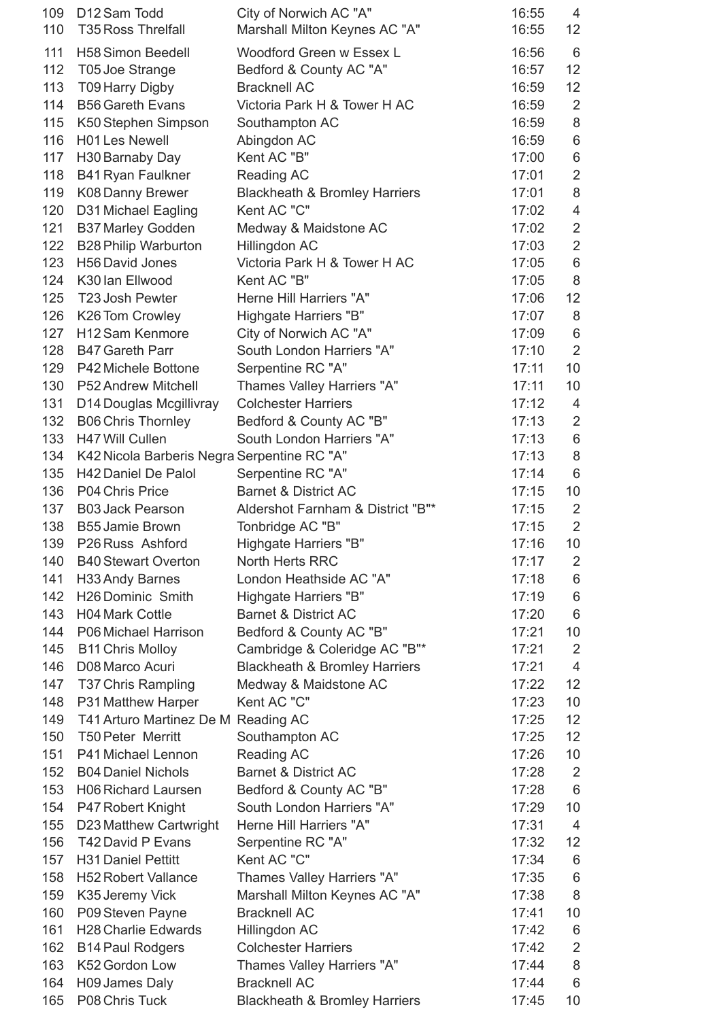| 109<br>110 | D12 Sam Todd<br><b>T35 Ross Threlfall</b>   | City of Norwich AC "A"<br>Marshall Milton Keynes AC "A" | 16:55<br>16:55 | $\overline{4}$<br>12 <sup>2</sup> |
|------------|---------------------------------------------|---------------------------------------------------------|----------------|-----------------------------------|
| 111        | <b>H58 Simon Beedell</b>                    | Woodford Green w Essex L                                | 16:56          | $6\phantom{1}6$                   |
| 112        | T05 Joe Strange                             | Bedford & County AC "A"                                 | 16:57          | 12                                |
| 113        | <b>T09 Harry Digby</b>                      | <b>Bracknell AC</b>                                     | 16:59          | 12                                |
| 114        | <b>B56 Gareth Evans</b>                     | Victoria Park H & Tower H AC                            | 16:59          | $\overline{2}$                    |
| 115        | K50 Stephen Simpson                         | Southampton AC                                          | 16:59          | $\,8\,$                           |
| 116        | <b>H01 Les Newell</b>                       | Abingdon AC                                             | 16:59          | $\,6$                             |
| 117        | H30 Barnaby Day                             | Kent AC "B"                                             | 17:00          | $\,6$                             |
| 118        | <b>B41 Ryan Faulkner</b>                    | Reading AC                                              | 17:01          | $\overline{2}$                    |
| 119        | K08 Danny Brewer                            | <b>Blackheath &amp; Bromley Harriers</b>                | 17:01          | 8                                 |
| 120        | D31 Michael Eagling                         | Kent AC "C"                                             | 17:02          | $\overline{\mathbf{4}}$           |
| 121        | <b>B37 Marley Godden</b>                    | Medway & Maidstone AC                                   | 17:02          | $\overline{2}$                    |
| 122        | <b>B28 Philip Warburton</b>                 | Hillingdon AC                                           | 17:03          | $\overline{2}$                    |
| 123        | H56 David Jones                             | Victoria Park H & Tower H AC                            | 17:05          | 6                                 |
| 124        | K30 Ian Ellwood                             | Kent AC "B"                                             | 17:05          | 8                                 |
| 125        | T23 Josh Pewter                             | Herne Hill Harriers "A"                                 | 17:06          | 12                                |
| 126        | K26 Tom Crowley                             | Highgate Harriers "B"                                   | 17:07          | 8                                 |
| 127        | H12 Sam Kenmore                             | City of Norwich AC "A"                                  | 17:09          | $6\,$                             |
| 128        | <b>B47 Gareth Parr</b>                      | South London Harriers "A"                               | 17:10          | $\overline{2}$                    |
| 129        | P42 Michele Bottone                         | Serpentine RC "A"                                       | 17:11          | 10                                |
| 130        | P52 Andrew Mitchell                         | Thames Valley Harriers "A"                              | 17:11          | 10                                |
| 131        | D14 Douglas Mcgillivray                     | <b>Colchester Harriers</b>                              | 17:12          | $\overline{4}$                    |
| 132        | <b>B06 Chris Thornley</b>                   | Bedford & County AC "B"                                 | 17:13          | $\overline{2}$                    |
| 133        | H47 Will Cullen                             | South London Harriers "A"                               | 17:13          | $\,6$                             |
| 134        | K42 Nicola Barberis Negra Serpentine RC "A" |                                                         | 17:13          | $\,8\,$                           |
| 135        | H42 Daniel De Palol                         | Serpentine RC "A"                                       | 17:14          | $6\phantom{1}$                    |
| 136        | P04 Chris Price                             | <b>Barnet &amp; District AC</b>                         | 17:15          | 10                                |
| 137        | <b>B03 Jack Pearson</b>                     | Aldershot Farnham & District "B"*                       | 17:15          | $\overline{2}$                    |
| 138        | <b>B55 Jamie Brown</b>                      | Tonbridge AC "B"                                        | 17:15          | 2                                 |
| 139        | P26 Russ Ashford                            | Highgate Harriers "B"                                   | 17:16          | 10                                |
| 140        | <b>B40 Stewart Overton</b>                  | North Herts RRC                                         | 17:17          | $\overline{2}$                    |
| 141        | H33 Andy Barnes                             | London Heathside AC "A"                                 | 17:18          | $\,6\,$                           |
| 142        | H26 Dominic Smith                           | Highgate Harriers "B"                                   | 17:19          | 6                                 |
| 143        | <b>H04 Mark Cottle</b>                      | <b>Barnet &amp; District AC</b>                         | 17:20          | $6\phantom{1}$                    |
| 144        | P06 Michael Harrison                        | Bedford & County AC "B"                                 | 17:21          | 10                                |
| 145        | <b>B11 Chris Molloy</b>                     | Cambridge & Coleridge AC "B"*                           | 17:21          | 2                                 |
| 146        | D08 Marco Acuri                             | <b>Blackheath &amp; Bromley Harriers</b>                | 17:21          | $\overline{4}$                    |
| 147        | <b>T37 Chris Rampling</b>                   | Medway & Maidstone AC                                   | 17:22          | 12                                |
| 148        | P31 Matthew Harper                          | Kent AC "C"                                             | 17:23          | 10                                |
| 149        | T41 Arturo Martinez De M Reading AC         |                                                         | 17:25          | 12                                |
| 150        | <b>T50 Peter Merritt</b>                    | Southampton AC                                          | 17:25          | 12                                |
| 151        | P41 Michael Lennon                          | Reading AC                                              | 17:26          | 10                                |
| 152        | <b>B04 Daniel Nichols</b>                   | <b>Barnet &amp; District AC</b>                         | 17:28          | $\overline{2}$                    |
| 153        | <b>H06 Richard Laursen</b>                  | Bedford & County AC "B"                                 | 17:28          | $6\phantom{1}$                    |
| 154        | P47 Robert Knight                           | South London Harriers "A"                               | 17:29          | 10                                |
| 155        | D23 Matthew Cartwright                      | Herne Hill Harriers "A"                                 | 17:31          | $\overline{4}$                    |
| 156        | T42 David P Evans                           | Serpentine RC "A"                                       | 17:32          | 12                                |
| 157        | <b>H31 Daniel Pettitt</b>                   | Kent AC "C"                                             | 17:34          | 6                                 |
| 158        | <b>H52 Robert Vallance</b>                  | Thames Valley Harriers "A"                              | 17:35          | $6\phantom{1}6$                   |
| 159        | K35 Jeremy Vick                             | Marshall Milton Keynes AC "A"                           | 17:38          | 8                                 |
| 160        | P09 Steven Payne                            | <b>Bracknell AC</b>                                     | 17:41          | 10                                |
| 161        | <b>H28 Charlie Edwards</b>                  | Hillingdon AC                                           | 17:42          | 6                                 |
| 162        | <b>B14 Paul Rodgers</b>                     | <b>Colchester Harriers</b>                              | 17:42          | $\overline{2}$                    |
| 163        | K52 Gordon Low                              | Thames Valley Harriers "A"                              | 17:44          | 8                                 |
| 164        | H09 James Daly                              | <b>Bracknell AC</b>                                     | 17:44          | 6                                 |
| 165        | P08 Chris Tuck                              | <b>Blackheath &amp; Bromley Harriers</b>                | 17:45          | 10                                |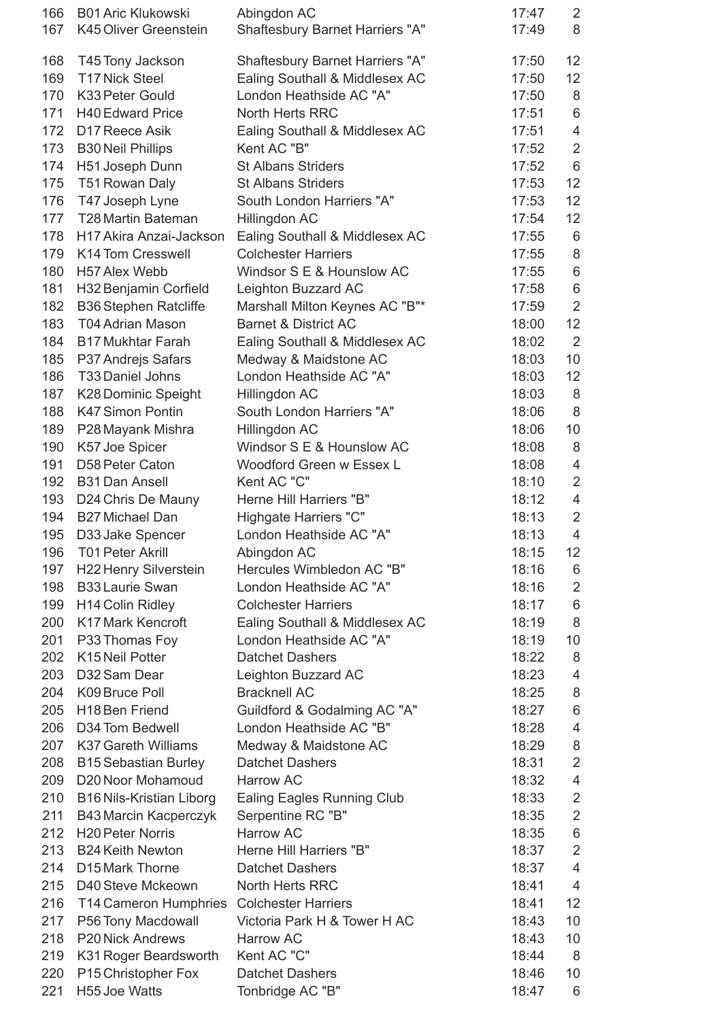| 166 | <b>B01 Aric Klukowski</b>                 | Abingdon AC                            | 17:47 | $\overline{2}$          |
|-----|-------------------------------------------|----------------------------------------|-------|-------------------------|
| 167 | K45 Oliver Greenstein                     | Shaftesbury Barnet Harriers "A"        | 17:49 | 8                       |
|     |                                           |                                        |       |                         |
| 168 | T45 Tony Jackson                          | <b>Shaftesbury Barnet Harriers "A"</b> | 17:50 | 12                      |
| 169 | <b>T17 Nick Steel</b>                     | Ealing Southall & Middlesex AC         | 17:50 | 12                      |
| 170 | K33 Peter Gould                           | London Heathside AC "A"                | 17:50 | $\,8\,$                 |
| 171 | <b>H40 Edward Price</b>                   | <b>North Herts RRC</b>                 | 17:51 | 6                       |
| 172 | D17 Reece Asik                            | Ealing Southall & Middlesex AC         | 17:51 | $\overline{\mathbf{4}}$ |
| 173 | <b>B30 Neil Phillips</b>                  | Kent AC "B"                            | 17:52 | $\overline{2}$          |
| 174 | H51 Joseph Dunn                           | <b>St Albans Striders</b>              | 17:52 | $6\,$                   |
| 175 | T51 Rowan Daly                            | <b>St Albans Striders</b>              | 17:53 | 12                      |
| 176 | T47 Joseph Lyne                           | South London Harriers "A"              | 17:53 | 12                      |
| 177 | <b>T28 Martin Bateman</b>                 | Hillingdon AC                          | 17:54 | 12                      |
| 178 | H17 Akira Anzai-Jackson                   | Ealing Southall & Middlesex AC         | 17:55 | 6                       |
| 179 | K14 Tom Cresswell                         | <b>Colchester Harriers</b>             | 17:55 | $\,8\,$                 |
| 180 | H57 Alex Webb                             | Windsor S E & Hounslow AC              | 17:55 | $6\,$                   |
| 181 | H32 Benjamin Corfield                     | Leighton Buzzard AC                    | 17:58 | 6                       |
| 182 | <b>B36 Stephen Ratcliffe</b>              | Marshall Milton Keynes AC "B"*         | 17:59 | $\overline{2}$          |
| 183 | <b>T04 Adrian Mason</b>                   | <b>Barnet &amp; District AC</b>        | 18:00 | 12                      |
| 184 | <b>B17 Mukhtar Farah</b>                  | Ealing Southall & Middlesex AC         | 18:02 | $\overline{2}$          |
| 185 | P37 Andrejs Safars                        | Medway & Maidstone AC                  | 18:03 | 10                      |
| 186 | <b>T33 Daniel Johns</b>                   | London Heathside AC "A"                | 18:03 | 12                      |
| 187 | K28 Dominic Speight                       | Hillingdon AC                          | 18:03 | $\,8\,$                 |
| 188 | K47 Simon Pontin                          | South London Harriers "A"              | 18:06 | 8                       |
| 189 | P28 Mayank Mishra                         | Hillingdon AC                          | 18:06 | 10                      |
| 190 | K57 Joe Spicer                            | Windsor S E & Hounslow AC              | 18:08 | 8                       |
| 191 | D58 Peter Caton                           | Woodford Green w Essex L               | 18:08 | $\overline{4}$          |
| 192 | <b>B31 Dan Ansell</b>                     | Kent AC "C"                            | 18:10 | $\mathbf 2$             |
| 193 | D24 Chris De Mauny                        | Herne Hill Harriers "B"                | 18:12 | $\overline{\mathbf{4}}$ |
| 194 | B27 Michael Dan                           | Highgate Harriers "C"                  | 18:13 | $\overline{2}$          |
| 195 | D33 Jake Spencer                          | London Heathside AC "A"                | 18:13 | $\overline{4}$          |
| 196 | T01 Peter Akrill                          | Abingdon AC                            | 18:15 | 12                      |
| 197 | <b>H22 Henry Silverstein</b>              | Hercules Wimbledon AC "B"              | 18:16 | 6                       |
| 198 | <b>B33 Laurie Swan</b>                    | London Heathside AC "A"                | 18:16 | $\overline{2}$          |
| 199 | <b>H14 Colin Ridley</b>                   | <b>Colchester Harriers</b>             | 18:17 | $6\,$                   |
| 200 | <b>K17 Mark Kencroft</b>                  | Ealing Southall & Middlesex AC         | 18:19 | 8                       |
| 201 | P33 Thomas Foy                            | London Heathside AC "A"                | 18:19 | 10                      |
| 202 | K15 Neil Potter                           | <b>Datchet Dashers</b>                 | 18:22 | 8                       |
| 203 | D32 Sam Dear                              | Leighton Buzzard AC                    | 18:23 | $\overline{4}$          |
| 204 | K09 Bruce Poll                            | <b>Bracknell AC</b>                    | 18:25 | 8                       |
| 205 | H <sub>18</sub> Ben Friend                | Guildford & Godalming AC "A"           | 18:27 | 6                       |
| 206 | D34 Tom Bedwell                           | London Heathside AC "B"                | 18:28 | $\overline{\mathbf{4}}$ |
| 207 | <b>K37 Gareth Williams</b>                | Medway & Maidstone AC                  | 18:29 | $\,8\,$                 |
| 208 | <b>B15 Sebastian Burley</b>               | <b>Datchet Dashers</b>                 | 18:31 | $\overline{2}$          |
| 209 | D20 Noor Mohamoud                         | Harrow AC                              | 18:32 | $\overline{4}$          |
| 210 | <b>B16 Nils-Kristian Liborg</b>           | <b>Ealing Eagles Running Club</b>      | 18:33 | $\overline{2}$          |
| 211 | <b>B43 Marcin Kacperczyk</b>              | Serpentine RC "B"                      | 18:35 | $\overline{2}$          |
| 212 | <b>H20 Peter Norris</b>                   | Harrow AC                              | 18:35 | $\,6$                   |
| 213 | <b>B24 Keith Newton</b>                   | Herne Hill Harriers "B"                | 18:37 | $\overline{2}$          |
| 214 | D <sub>15</sub> Mark Thorne               | <b>Datchet Dashers</b>                 | 18:37 | $\overline{4}$          |
| 215 | D40 Steve Mckeown                         | North Herts RRC                        | 18:41 | $\overline{4}$          |
| 216 | T14 Cameron Humphries Colchester Harriers |                                        | 18:41 | 12                      |
| 217 | P56 Tony Macdowall                        | Victoria Park H & Tower H AC           | 18:43 | 10                      |
| 218 | P20 Nick Andrews                          | Harrow AC                              | 18:43 | 10                      |
| 219 | K31 Roger Beardsworth                     | Kent AC "C"                            | 18:44 | 8                       |
| 220 | P15 Christopher Fox                       | <b>Datchet Dashers</b>                 | 18:46 | 10                      |
| 221 | H55 Joe Watts                             | Tonbridge AC "B"                       | 18:47 | 6                       |
|     |                                           |                                        |       |                         |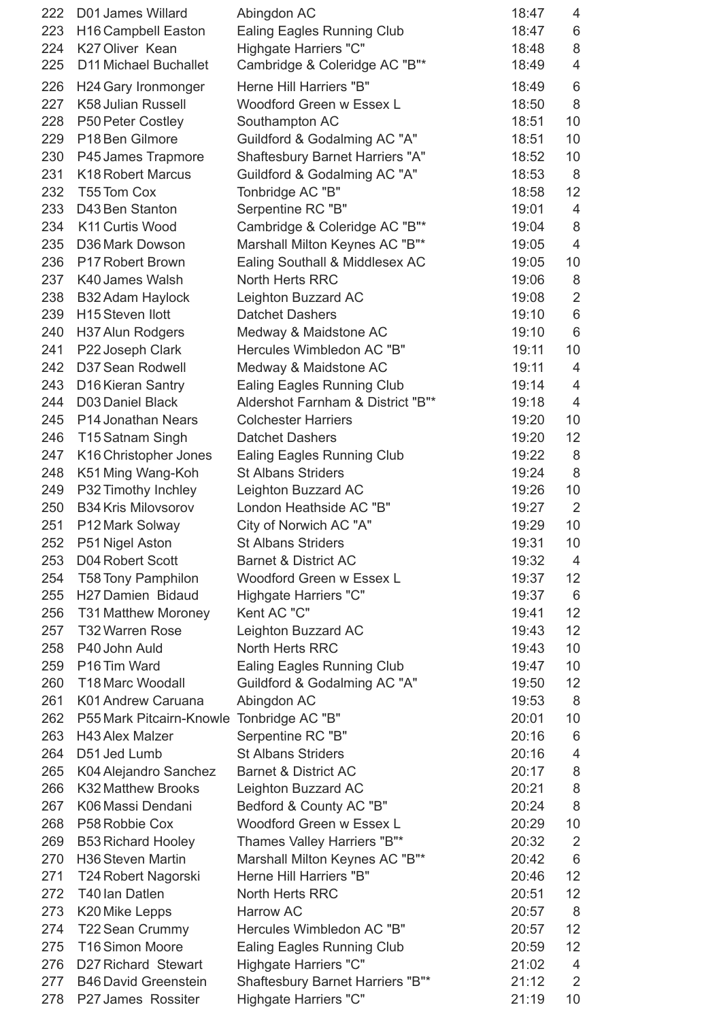| 222 | D01 James Willard                         | Abingdon AC                                              | 18:47 | 4                 |
|-----|-------------------------------------------|----------------------------------------------------------|-------|-------------------|
| 223 | <b>H16 Campbell Easton</b>                | Ealing Eagles Running Club                               | 18:47 | 6                 |
| 224 | K27 Oliver Kean                           | Highgate Harriers "C"                                    | 18:48 | 8                 |
| 225 | D11 Michael Buchallet                     | Cambridge & Coleridge AC "B"*                            | 18:49 | $\overline{4}$    |
| 226 | H24 Gary Ironmonger                       | Herne Hill Harriers "B"                                  | 18:49 | 6                 |
| 227 | K58 Julian Russell                        | Woodford Green w Essex L                                 | 18:50 | 8                 |
| 228 | P50 Peter Costley                         | Southampton AC                                           | 18:51 | 10                |
| 229 | P <sub>18</sub> Ben Gilmore               | Guildford & Godalming AC "A"                             | 18:51 | 10                |
| 230 | P45 James Trapmore                        | Shaftesbury Barnet Harriers "A"                          | 18:52 | 10                |
| 231 | <b>K18 Robert Marcus</b>                  | Guildford & Godalming AC "A"                             | 18:53 | 8                 |
| 232 | T55 Tom Cox                               | Tonbridge AC "B"                                         | 18:58 | 12                |
| 233 | D43 Ben Stanton                           | Serpentine RC "B"                                        | 19:01 | $\overline{4}$    |
| 234 | K11 Curtis Wood                           | Cambridge & Coleridge AC "B"*                            | 19:04 | 8                 |
| 235 | D36 Mark Dowson                           | Marshall Milton Keynes AC "B"*                           | 19:05 | $\overline{4}$    |
|     |                                           |                                                          |       |                   |
| 236 | P17 Robert Brown<br>K40 James Walsh       | Ealing Southall & Middlesex AC<br><b>North Herts RRC</b> | 19:05 | 10                |
| 237 |                                           |                                                          | 19:06 | 8                 |
| 238 | B32 Adam Haylock                          | Leighton Buzzard AC                                      | 19:08 | $\overline{2}$    |
| 239 | H <sub>15</sub> Steven Ilott              | <b>Datchet Dashers</b>                                   | 19:10 | 6                 |
| 240 | H37 Alun Rodgers                          | Medway & Maidstone AC                                    | 19:10 | 6                 |
| 241 | P22 Joseph Clark                          | Hercules Wimbledon AC "B"                                | 19:11 | 10                |
| 242 | D37 Sean Rodwell                          | Medway & Maidstone AC                                    | 19:11 | 4                 |
| 243 | D16 Kieran Santry                         | <b>Ealing Eagles Running Club</b>                        | 19:14 | $\overline{4}$    |
| 244 | D03 Daniel Black                          | Aldershot Farnham & District "B"*                        | 19:18 | $\overline{4}$    |
| 245 | P14 Jonathan Nears                        | <b>Colchester Harriers</b>                               | 19:20 | 10                |
| 246 | T15 Satnam Singh                          | <b>Datchet Dashers</b>                                   | 19:20 | 12                |
| 247 | K16 Christopher Jones                     | <b>Ealing Eagles Running Club</b>                        | 19:22 | 8                 |
| 248 | K51 Ming Wang-Koh                         | <b>St Albans Striders</b>                                | 19:24 | 8                 |
| 249 | P32 Timothy Inchley                       | Leighton Buzzard AC                                      | 19:26 | 10                |
| 250 | <b>B34 Kris Milovsorov</b>                | London Heathside AC "B"                                  | 19:27 | 2                 |
| 251 | P12 Mark Solway                           | City of Norwich AC "A"                                   | 19:29 | 10                |
| 252 | P51 Nigel Aston                           | <b>St Albans Striders</b>                                | 19:31 | 10                |
| 253 | D04 Robert Scott                          | <b>Barnet &amp; District AC</b>                          | 19:32 | 4                 |
| 254 | <b>T58 Tony Pamphilon</b>                 | Woodford Green w Essex L                                 | 19:37 | $12 \overline{ }$ |
| 255 | H27 Damien Bidaud                         | Highgate Harriers "C"                                    | 19:37 | 6                 |
| 256 | <b>T31 Matthew Moroney</b>                | Kent AC "C"                                              | 19:41 | 12                |
| 257 | T32 Warren Rose                           | Leighton Buzzard AC                                      | 19:43 | 12                |
| 258 | P40 John Auld                             | North Herts RRC                                          | 19:43 | 10                |
| 259 | P16 Tim Ward                              | <b>Ealing Eagles Running Club</b>                        | 19:47 | 10                |
| 260 | <b>T18 Marc Woodall</b>                   | Guildford & Godalming AC "A"                             | 19:50 | 12                |
| 261 | K01 Andrew Caruana                        | Abingdon AC                                              | 19:53 | 8                 |
| 262 | P55 Mark Pitcairn-Knowle Tonbridge AC "B" |                                                          | 20:01 | 10                |
| 263 | H43 Alex Malzer                           | Serpentine RC "B"                                        | 20:16 | 6                 |
| 264 | D51 Jed Lumb                              | <b>St Albans Striders</b>                                | 20:16 | $\overline{4}$    |
| 265 | K04 Alejandro Sanchez                     | <b>Barnet &amp; District AC</b>                          | 20:17 | 8                 |
| 266 | <b>K32 Matthew Brooks</b>                 | Leighton Buzzard AC                                      | 20:21 | $\,8\,$           |
| 267 | K06 Massi Dendani                         | Bedford & County AC "B"                                  | 20:24 | 8                 |
| 268 | P58 Robbie Cox                            | Woodford Green w Essex L                                 | 20:29 | 10                |
| 269 | <b>B53 Richard Hooley</b>                 | Thames Valley Harriers "B"*                              | 20:32 | $\overline{2}$    |
| 270 | H36 Steven Martin                         | Marshall Milton Keynes AC "B"*                           | 20:42 | 6                 |
| 271 | T24 Robert Nagorski                       | Herne Hill Harriers "B"                                  | 20:46 | 12                |
| 272 | T40 Ian Datlen                            | <b>North Herts RRC</b>                                   | 20:51 | 12                |
| 273 | K20 Mike Lepps                            | <b>Harrow AC</b>                                         | 20:57 | 8                 |
| 274 | T22 Sean Crummy                           | Hercules Wimbledon AC "B"                                | 20:57 | 12                |
| 275 | T16 Simon Moore                           | <b>Ealing Eagles Running Club</b>                        | 20:59 | 12                |
| 276 | D27 Richard Stewart                       | Highgate Harriers "C"                                    | 21:02 | $\overline{4}$    |
| 277 | <b>B46 David Greenstein</b>               | Shaftesbury Barnet Harriers "B"*                         | 21:12 | 2                 |
| 278 | P27 James Rossiter                        | Highgate Harriers "C"                                    | 21:19 | 10                |
|     |                                           |                                                          |       |                   |